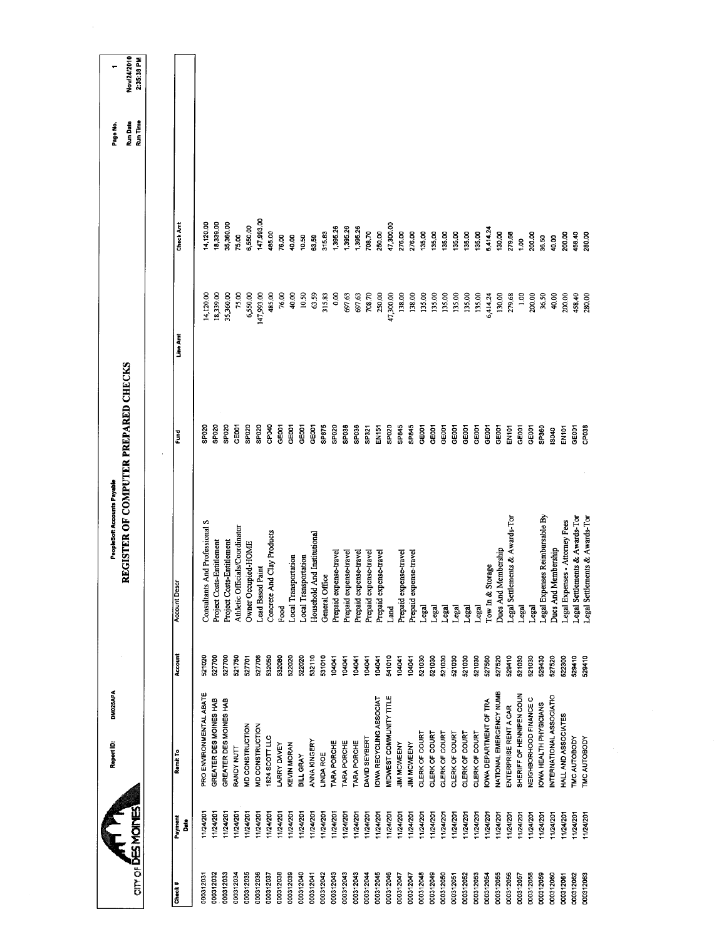|           |                 | DM025APA<br>Report ID:         |         | PeopleSoft Accounts Payable          |                   |            |                  | Page No.                    |                           |
|-----------|-----------------|--------------------------------|---------|--------------------------------------|-------------------|------------|------------------|-----------------------------|---------------------------|
|           | <b>ATILITY</b>  |                                |         | REGISTER OF COMPUTER PREPARED CHECKS |                   |            |                  | Run Time<br><b>Run Date</b> | Nov/24/2010<br>2:35:38 PM |
|           |                 |                                |         |                                      |                   |            |                  |                             |                           |
| Check #   | Payment<br>Date | Remit To                       | Account | <b>Account Descr</b>                 | Fund              | Line Amt   | <b>Check Amt</b> |                             |                           |
|           |                 |                                |         |                                      |                   |            |                  |                             |                           |
| 000312031 | 1/24/20         | PRO ENVIRONMENTAL ABATE        | 521020  | Consultants And Professional S       | SP020             | 14,120.00  | 14,120.00        |                             |                           |
| 000312032 | 11/24/201       | GREATER DES MOINES HAB         | 527700  | Project Costs-Entitlement            | SP020             | 18,339.00  | 18,339.00        |                             |                           |
| 000312033 | 1/24/201        | GREATER DES MOINES HAB         | 527700  | Project Costs-Entitlement            | SP020             | 35,360.00  | 35,360.00        |                             |                           |
| 000312034 | 11/24/201       | RANDY NUTT                     | 521750  | Athletic Officials/Coordinator       | GE001             | 75.00      | 75.00            |                             |                           |
| 000312035 | 11/24/201       | <b>MD CONSTRUCTION</b>         | 527701  | Owner Occupied-HOME                  | SP020             | 6,550.00   | 6,550.00         |                             |                           |
| 000312036 | 11/24/201       | MD CONSTRUCTION                | 527706  | <b>Lead Based Paint</b>              | SP <sub>020</sub> | 147,993.00 | 147,993.00       |                             |                           |
| 000312037 | 1/24/201        | 1824 SCOTT LLC                 | 532050  | Concrete And Clay Products           | CPO40             | 485.00     | 485.00           |                             |                           |
| 000312038 | 1/24/201        | LARRY DAVEY                    | 532080  | Food                                 | GE001             | 76.00      | 76.00            |                             |                           |
| 000312039 | 11/24/201       | <b>KEVIN MORAN</b>             | 522020  | Local Transportation                 | GE001             | 40.00      | 40.00            |                             |                           |
| 000312040 | 124/201         | BILL GRAY                      | 522020  | Local Transportation                 | GE001             | 10.50      | 10.50            |                             |                           |
| 000312041 | 11/24/201       | <b>ANNA KINGERY</b>            | 532110  | Household And Institutional          | GE001             | 63.59      | 63.59            |                             |                           |
| 00312042  | 11/24/201       | <b>LINDA ROE</b>               | 531010  | General Office                       | SP875             | 315.83     | 315.83           |                             |                           |
| 000312043 | 11/24/201       | TARA PORCHE                    | 104041  | Prepaid expense-travel               | SP020             | 0.00       | 1,395.26         |                             |                           |
| 000312043 | 11/24/201       | TARA PORCHE                    | 104041  | Prepaid expense-travel               | SP036             | 697.63     | 1,395.26         |                             |                           |
| 00312043  | 11/24/201       | TARA PORCHE                    | 104041  | Prepaid expense-travel               | SPO36             | 697.63     | 1,395.26         |                             |                           |
| 000312044 | 11/24/201       | DAVID SEYBERT                  | 104041  | Prepaid expense-travel               | SP321             | 708.70     | 708.70           |                             |                           |
| 000312045 | 11/24/201       | <b>OWA RECYCLING ASSOCIAT</b>  | 104041  | Prepaid expense-travel               | EN151             | 250.00     | 250.00           |                             |                           |
| 00312046  | 11/24/201       | MIDWEST COMMUNITY TITLE        | 541010  | Land                                 | SPO <sub>20</sub> | 47,300.00  | 47,300.00        |                             |                           |
| 000312047 | 11/24/201       | <b>JIM MCWEENY</b>             | 104041  | Prepaid expense-travel               | SP845             | 138,00     | 276.00           |                             |                           |
| 000312047 | 1/24/201        | <b>JIM MCWEENY</b>             | 104041  | Prepaid expense-travel               | SP845             | 138.00     | 276.00           |                             |                           |
| 00312048  | 1/24/201        | CLERK OF COURT                 | 521030  | Legal                                | GEOO1             | 135.00     | 135,00           |                             |                           |
| 000312049 | 11/24/201       | CLERK OF COURT                 | 521030  | Legal                                | GE001             | 135.00     | 135.00           |                             |                           |
| 000312050 | 11/24/201       | CLERK OF COURT                 | 521030  | Legal                                | GE001             | 135.00     | 135.00           |                             |                           |
| 000312051 | 1/24/201        | CLERK OF COURT                 | 521030  | Legal                                | GE001             | 135.00     | 135.00           |                             |                           |
| 000312052 | 11/24/201       | CLERK OF COURT                 | 521030  | Legal                                | GE001             | 135.00     | 135.00           |                             |                           |
| 000312053 | 11/24/201       | CLERK OF COURT                 | 521030  | Legal                                | GE001             | 135.00     | 135.00           |                             |                           |
| 000312054 | 1/24/201        | <b>OWA DEPARTMENT OF TRA</b>   | 527560  | Tow In & Storage                     | GE001             | 6,414.24   | 6,414.24         |                             |                           |
| 000312055 | 11/24/201       | NATIONAL EMERGENCY NUMB        | 527520  | Dues And Membership                  | GE001             | 130,00     | 130.00           |                             |                           |
| 000312056 | 11/24/201       | ENTERPRISE RENT A CAR          | 529410  | Legal Settlements & Awards-Tor       | EN101             | 279.68     | 279.68           |                             |                           |
| 000312057 | 11/24/201       | SHERIFF OF HENNPEN COUN        | 521030  | Legal                                | GEOOT             | 1.00       | $\frac{8}{1}$    |                             |                           |
| 000312058 | 11/24/201       | NEIGHBORHOOD FINANCE C         | 521030  | Legal                                | GEOOT             | 200.00     | 200.00           |                             |                           |
| 000312059 | 124/201         | OWA HEALTH PHYSICIANS          | 529430  | Legal Expenses Reimbursable By       | SP360             | 36.50      | 36.50            |                             |                           |
| 000312060 | 11/24/201       | <b>NTERNATIONAL ASSOCIATIO</b> | 527520  | <b>Dues And Membership</b>           | IS040             | 40.00      | 40.00            |                             |                           |
| 000312061 | 11/24/201       | HALL AND ASSOCIATES            | 522300  | Legal Expenses - Attorney Fees       | EN101             | 200.00     | 200.00           |                             |                           |
| 000312062 | 11/24/201       | <b>TMC AUTOBODY</b>            | 529410  | Legal Settlements & Awards-Tor       | <b>GOOT</b>       | 458.40     | 458.40           |                             |                           |
| 000312063 | 11/24/201       | TMC AUTOBODY                   | 529410  | Legal Settlements & Awards-Tor       | <b>SPORT</b>      | 280,00     | <b>00.08</b>     |                             |                           |
|           |                 |                                |         |                                      |                   |            |                  |                             |                           |

 $\sim$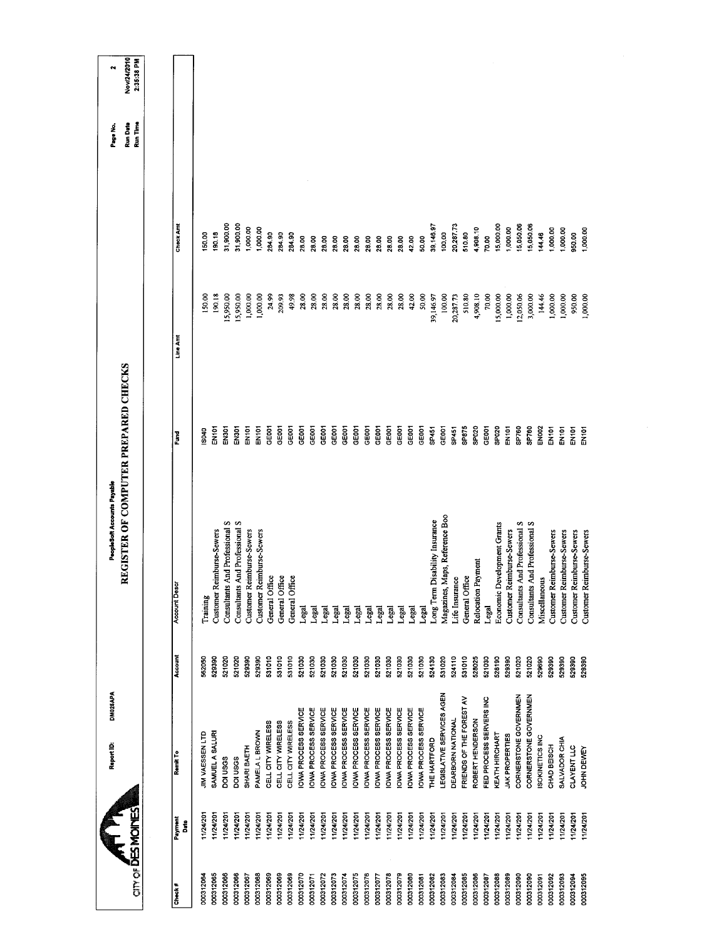| Nov/24/2010<br>2:35:38 PM<br>N<br>Run Time<br>Run Date<br>Page No. |                      |                        |                           |                                |                                       |                           |                           |                    |                    |                    |                     |                     |                     |                     |                     |                     |                     |                     |                      |                     |                     |                     |                                   |                                   |                   |                          |                    |                         |                             |                           |                                |                                |                 |                           |                           |                           |                           |
|--------------------------------------------------------------------|----------------------|------------------------|---------------------------|--------------------------------|---------------------------------------|---------------------------|---------------------------|--------------------|--------------------|--------------------|---------------------|---------------------|---------------------|---------------------|---------------------|---------------------|---------------------|---------------------|----------------------|---------------------|---------------------|---------------------|-----------------------------------|-----------------------------------|-------------------|--------------------------|--------------------|-------------------------|-----------------------------|---------------------------|--------------------------------|--------------------------------|-----------------|---------------------------|---------------------------|---------------------------|---------------------------|
|                                                                    |                      |                        |                           | 31,900.00                      | 31,900.00                             |                           |                           |                    |                    |                    |                     |                     |                     |                     |                     |                     |                     |                     |                      |                     |                     |                     |                                   |                                   | 20,287.73         |                          |                    |                         | 15,000.00                   |                           | 5,050.06                       | 15,050.06                      |                 |                           |                           |                           |                           |
|                                                                    | Check Amt            | 150.00                 | 190.18                    |                                |                                       | 1,000.00                  | 1,000.00                  | 284.90             | 284.90             | 284.90             | 28.00               | 28.00               | 28.00               | 28.00               | 28.00               | 28.00               | 2800                | 28.00               | 28,00                | 28.00               | 42.00               | 50,00               | 39,146.97                         | 100.00                            |                   | 510.80                   | 4,908.10           | 70.00                   |                             | 1,000.00                  |                                |                                | 144.46          | 1,000.00                  | 1,000.00                  | 950.00                    | 1,000.00                  |
|                                                                    | Line Amt             | 150,00                 | 190.18                    | 15,950.00                      | 15,950.00                             | 1,000.00                  | 1,000.00                  | 24.99              | 209.93             | 49.98              | 28.00               | 28.00               | 28.00               | 28.00               | 28.00               | 28.00               | 28.00               | 28,00               | 28.00                | 28.00               | 42.00               | 50.00               | 39,146.97                         | 100.00                            | 20,287.73         | 510,80                   | 4,908.10           | 70.00                   | 5,000.00                    | 1,000.00                  | 12,050.06                      | 3,000.00                       | 144.46          | 1,000.00                  | 1,000.00                  | 950.00                    | 1,000.00                  |
| REGISTER OF COMPUTER PREPARED CHECKS                               | Fund                 | \$040                  | EN161                     | EN301                          | EN301                                 | EN101                     | EN101                     | GE001              | GEOOT              | GE001              | <b>GEOOT</b>        | GE001               | GE001               | <b>GE001</b>        | GE001               | GE001               | GE001               | GE001               | GE001                | GE001               | GE001               | GE001               | SP451                             | GE001                             | SP451             | SP875                    | SPO <sub>20</sub>  | GEOOT                   | SPO <sub>20</sub>           | EN101                     | SP760                          | SP760                          | EN002           | EN <sub>101</sub>         | EN <sup>101</sup>         | EN101                     | EN <sub>101</sub>         |
| PeopleSoft Accounts Payable                                        | <b>Account Descr</b> | Training               | Customer Reimburse-Sewers | Consultants And Professional S | <b>Consultants And Professional S</b> | Customer Reimburse-Sewers | Customer Reimburse-Sewers | General Office     | General Office     | General Office     | Legal               | Legal               | Legal               | Legal               | Legal               | Legal               | Legal               | Legal               | Legal                | Legal               | Legal               | Legal               | Disability Insurance<br>Long Term | Maps, Reference Boo<br>Magazines, | Life Insurance    | General Office           | Relocation Payment | Legal                   | Economic Development Grants | Customer Reimburse-Sewers | Consultants And Professional S | Consultants And Professional S | Miscellaneous   | Customer Reimburse-Sewers | Customer Reimburse-Sewers | Customer Reimburse-Sewers | Customer Reimburse-Sewers |
|                                                                    | Account              | 562050                 | 529390                    | 521020                         | 521020                                | 529390                    | 529390                    | 531010             | 531010             | 531010             | 521030              | 521030              | 521030              | 521030              | 521030              | 521030              | 521030              | 521030              | 521030               | 521030              | 521030              | 521030              | 524130                            | 531020                            | 524110            | 531010                   | 528025             | 521030                  | 528190                      | 529390                    | 521020                         | 521020                         | 529690          | 529390                    | 529390                    | 529390                    | 529390                    |
| DM025APA<br>Report ID:                                             | Remit To             | <b>JIM VAESSEN LTD</b> | SAMUEL A SALURI           | DOI USGS                       | DOI USGS                              | SHARI BAETH               | PAMELA L BROWN            | CELL CITY WIRELESS | CELL CITY WIRELESS | CELL CITY WIRELESS | OWA PROCESS SERVICE | OWA PROCESS SERVICE | OWA PROCESS SERVICE | OWA PROCESS SERVICE | OWA PROCESS SERVICE | OWA PROCESS SERVICE | OWA PROCESS SERVICE | OWA PROCESS SERVICE | IOWA PROCESS SERVICE | OWA PROCESS SERVICE | OWA PROCESS SERVICE | OWA PROCESS SERVICE | THE HARTFORD                      | EGISLATIVE SERVICES AGEN          | DEARBORN NATIONAL | FRIENDS OF THE FOREST AV | ROBERT HENDERSON   | FED PROCESS SERVERS INC | KEATH HIRCHART              | JAK PROPERTIES            | CORNERSTONE GOVERNMEN          | CORNERSTONE GOVERNMEN          | ISOKINETICS INC | CHAD BEISCH               | SALVADOR CHIA             | <b>CLAYENT LLC</b>        | JOHN DEWEY                |
|                                                                    | Payment<br>Date      | 11/24/201              | 1/24/201                  | 11/24/201                      | 11/24/201                             | 11/24/201                 | 11/24/201                 | 1/24/201           | 11/24/201          | 11/24/201          | 11/24/201           | 11/24/201           | 1/24/201            | 11/24/201           | 11/24/201           | 11/24/201           | 11/24/201           | 11/24/201           | 11/24/201            | 11/24/201           | 11/24/201           | 11/24/201           | 11/24/201                         | 11/24/201                         | 11/24/201         | 11/24/201                | 11/24/201          | 11/24/201               | 11/24/201                   | 11/24/201                 | 124/201                        | 1124/201                       | 11/24/201       | 1/24/201                  | 11/24/201                 | 1/24/201                  | 11/24/201                 |
| <b>ATHER MONES</b>                                                 | Check #              | 000312064              | 000312065                 | 000312066                      | 000312066                             | 000312067                 | 000312068                 | 000312069          | 000312069          | 000312069          | 000312070           | 000312071           | 000312072           | 000312073           | 000312074           | 000312075           | 000312076           | 000312077           | 000312078            | 000312079           | 000312080           | 000312081           | 000312082                         | 000312083                         | 000312084         | 000312085                | 000312086          | 000312087               | 000312088                   | 000312089                 | 000312090                      | 000312090                      | 000312091       | 000312092                 | 000312093                 | 000312094                 | 000312095                 |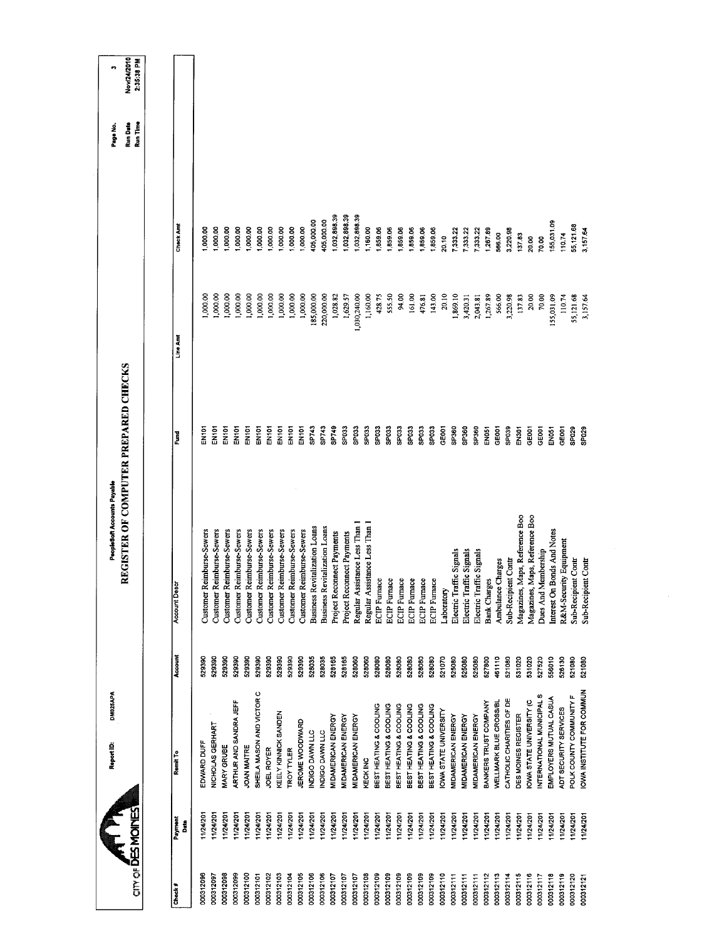| Nov/24/2010<br>2:35:38 PM<br>m<br>Run Time<br>Run Date<br>Page No. |                      |                                     |                                |                           |                           |                                       |                                |                           |                           |                      |                                           |                           |                                      |                               |                            |                                   |                           |                                |                              |                                            |                        |                                            |                        |                        |                             |                          |                           |                           |                                          |                        |                          |                     |                                   |                                   |                        |                                                       |
|--------------------------------------------------------------------|----------------------|-------------------------------------|--------------------------------|---------------------------|---------------------------|---------------------------------------|--------------------------------|---------------------------|---------------------------|----------------------|-------------------------------------------|---------------------------|--------------------------------------|-------------------------------|----------------------------|-----------------------------------|---------------------------|--------------------------------|------------------------------|--------------------------------------------|------------------------|--------------------------------------------|------------------------|------------------------|-----------------------------|--------------------------|---------------------------|---------------------------|------------------------------------------|------------------------|--------------------------|---------------------|-----------------------------------|-----------------------------------|------------------------|-------------------------------------------------------|
|                                                                    | Check Amt            | 1,000.00                            | 1,000.00                       | 1,000.00                  | 1,000.00                  | 1,000.00                              | 1,000.00                       | 1,000.00                  | 1,000.00                  |                      | 000.00                                    | 1,000.00                  | 405,000.00                           | 405,000.00                    | 1,032,898.39               | 1,032,898.39                      | 1,032,898.39              | 1,160.00                       | 1,859.06                     | 1,859.06                                   | 1,859.06               | 1,859.06                                   | 1,859.06               | 1,859.06               | 20.10                       | 7,333.22                 | 7,333.22                  | 7,333.22                  | 1,267.89                                 | 566.00                 | 3,220.98                 | 137.83              | 20.00                             | 70.00                             |                        | 155,031.09<br>110.74                                  |
|                                                                    | Line Amt             | ,000.00                             | 000.000                        | 1,000.00                  | 1,000.00                  | 1,000.00                              | 1,000.00                       | 1,000.00                  | 1,000.00                  |                      | 1,000.00                                  | 1,000.00                  | 185,000.00                           | 220,000.00                    | 1,028.82                   | 1,629.57                          | 1,030,240.00              | 1,160.00                       | 428.75                       | 555.50                                     | 94.00                  | 161.00                                     | 476.81                 | 143.00                 | 20.10                       | 1,869.10                 | 3,420.31                  | 2,043.81                  | 1,267.89                                 | 566.00                 |                          | 137.83<br>3,220.98  | 20.00                             | 70.00                             |                        | 110.74<br>155,031.09                                  |
|                                                                    | š                    | EN101                               | EN101                          | EN <sub>101</sub>         | EN101                     | EN101                                 | EN101                          | EN101                     | EN101                     | EN101                |                                           | EN <sub>101</sub>         | SP743                                | SP743                         | SP749                      | SPO33                             | SPO33                     | SPO33                          | <b>SP033</b>                 | SPO33                                      | SP033                  | SPO33                                      | SP033                  | SPO33                  | GE001                       | SP360                    | SP360                     | SP360                     | EN <sub>051</sub>                        | GE001                  | SP039                    | EN301               | GEDOT                             | GEDOT                             | EN <sub>051</sub>      | GE001                                                 |
| REGISTER OF COMPUTER PREPARED CHECKS                               | <b>Account Descr</b> | <b>Reimburse-Sewers</b><br>Customer | Reimburse-Sewers<br>Customer 1 | Customer Reimburse-Sewers | Customer Reimburse-Sewers | <b>Reimburse-Sewers</b><br>Customer 1 | Reimburse-Sewers<br>Customer I | Customer Reimburse-Sewers | Customer Reimburse-Sewers |                      | Reimburse-Sewers<br>Customer <sub>1</sub> | Customer Reimburse-Sewers | <b>Business Revitalization Loans</b> | Business Revitalization Loans | Project Reconnect Payments | <b>Project Reconnect Payments</b> |                           | Regular Assistance Less Than 1 | Regular Assistance Less Than | <b>ECIP</b> Furnace<br><b>ECIP</b> Furnace |                        | <b>ECIP</b> Furnace<br><b>ECIP</b> Furnace | <b>ECIP</b> Furnace    | <b>ECIP</b> Furnace    | Laboratory                  | Electric Traffic Signals | Electric Traffic Signals  |                           | Electric Traffic Signals<br>Bank Charges | Ambulance Charges      |                          | Sub-Recipient Contr | Maps, Reference Boo<br>Magazines, | Maps, Reference Boo<br>Magazines, | Dues And Membership    | Interest On Bonds And Notes<br>R&M-Security Equipment |
|                                                                    | Account              | 529390                              | 529390                         | 529390                    | 529390                    | 529390                                | 529390                         | 529390                    |                           | 529390               | 529390                                    | 529390                    | 528035                               | 528035                        | 528165                     | 528165                            | 528060                    | 528060                         | 528080                       | 528080                                     | 528080                 | 528080                                     | 528080                 | 528080                 | 521070                      | 525080                   | 525080                    | 525080                    | 527800                                   | 461110                 | 521080                   | 531020              | 531020                            | 527520                            | 556010                 | 526130                                                |
|                                                                    | Remit To             | EDWARD DUFF                         | NICHOLAS GERHART               | MARY GRUBE                | ARTHUR AND SANDRA JEFF    | <b>JOAN MAITRE</b>                    | SHEILA MASON AND VICTOR C      | JOEL ROYER                |                           | KEELY KINNICK SANDEN | <b>TROY TYLER</b>                         | JEROME WOODWARD           | NDIGO DAWN LLC                       | NDIGO DAWN LLC                | MIDAMERICAN ENERGY         | MIDAMERICAN ENERGY                | <b>MIDAMERICAN ENERGY</b> | <b>KECK INC</b>                | BEST HEATING & COOLING       | BEST HEATING & COOLING                     | BEST HEATING & COOLING | BEST HEATING & COOLING                     | BEST HEATING & COOLING | BEST HEATING & COOLING | <b>OWA STATE UNIVERSITY</b> | MIDAMERICAN ENERGY       | <b>MIDAMERICAN ENERGY</b> | <b>MIDAMERICAN ENERGY</b> | BANKERS TRUST COMPANY                    | WELLMARK BLUE CROSS/BL | CATHOLIC CHARITIES OF DE | DES MOINES REGISTER | OWA STATE UNIVERSITY (C           | NTERNATIONAL MUNICIPAL S          | EMPLOYERS MUTUAL CASUA | ADT SECURITY SERVICES                                 |
|                                                                    | Payment<br>Date      | 11/24/201                           | 11/24/201                      | 11/24/201                 | 11/24/201                 | 11/24/201                             | 11/24/201                      | 1/24/201                  |                           | 11/24/201            | 11/24/201                                 | 1124/201                  | 11/24/201                            | 11/24/201                     | 11/24/201                  | 11/24/201                         | 11/24/201                 | 11/24/201                      | 11/24/201                    | 11/24/201                                  | 11/24/201              | 11/24/201                                  | 11/24/201              | 11/24/201              | 11/24/201                   | 11/24/201                | 11/24/201                 | 11/24/201                 | 11/24/201                                | 11/24/201              | 11/24/201                | 11/24/201           | 11/24/201                         | 11/24/201                         | 11/24/201              | 1/24/201                                              |
| <b>ATTIC ACTS</b><br>On or DES MOINES                              | Check#               | 000312096                           | 000312097                      | 000312098                 | 000312099                 | 000312100                             | 000312101                      |                           | 000312102                 | 000312103            | 000312104                                 | 000312105                 | 000312106                            | 000312106                     | 000312107                  | 000312107                         | 000312107                 | 000312108                      | 000312109                    | 000312109                                  | 000312109              | 000312109                                  | 000312109              | 000312109              | 000312110                   | 000312111                | 000312111                 | 000312111                 | 000312112                                | 000312113              | 000312114                | 000312115           | 000312116                         | 000312117                         | 000312118              | 000312119<br>000312120                                |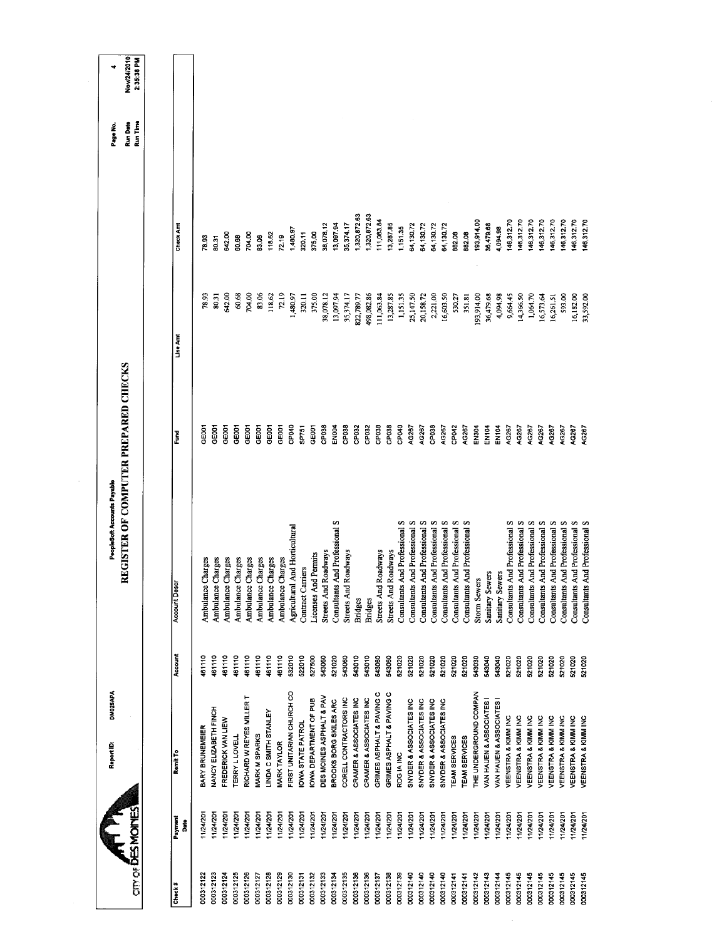| Nov/24/2010<br>2:35:38 PM<br>Run Date<br>Run Time<br>1,320,872.63<br>1,320,872.63<br>146,312.70<br>146,312.70<br>146,312.70<br>146,312.70<br>146,312.70<br>146,312.70<br>146,312.70<br>11,063.84<br>193,914.00<br>146,312.70<br>35,374.17<br>13,287.85<br>36,479.68<br>Check Amt<br>38,078.12<br>13,097.94<br>64,130.72<br>54,130.72<br>64,130.72<br>64,130.72<br>1,151.35<br>4,094.98<br>1,480.97<br>375.00<br>882.08<br>320.11<br>882.08<br>704.00<br>118.62<br>642.00<br>72.19<br>60.68<br>83.06<br>78.93<br>50.31<br>642.00<br>60.68<br>83.06<br>72.19<br>80.31<br>704.00<br>118.62<br>375.00<br>38,078.12<br>498,082.86<br>13,287.85<br>1,151.35<br>25,147.50<br>2,221.00<br>16,603.50<br>36,479.68<br>4,094.98<br>9,664.45<br>14,366.50<br>593.00<br>33,592.00<br>1,480.97<br>13,097.94<br>35,374.17<br>111,063.84<br>20,158.72<br>530.27<br>193,914.00<br>1,064.70<br>16,573.64<br>16,182.00<br>78.93<br>320.11<br>822,789.77<br>351.81<br>16,261.51<br>Line Amt<br>REGISTER OF COMPUTER PREPARED CHECKS<br>CP040<br>CP038<br>CP038<br>CP040<br>CP038<br>CP042<br>EN104<br>EN104<br>AG267<br>GE001<br>GEOOT<br>GE001<br><b>EN004</b><br>CP032<br>CP <sub>038</sub><br>CP038<br>AG267<br>AG267<br>AC267<br>EN304<br>AG267<br>AG267<br>4G267<br>AG267<br>GEOOT<br><b>SEROT</b><br>GEOOT<br>CEOD<br>GEOOT<br>GEO <sub>01</sub><br>CP032<br>AG267<br>AG267<br>AG267<br>AG267<br><b>SP751</b><br>š<br>Consultants And Professional S<br>And Professional S<br>Consultants And Professional S<br>Consultants And Professional S<br>Consultants And Professional S<br>Consultants And Professional S<br>Consultants And Professional S<br>Consultants And Professional S<br>Consultants And Professional S<br>Consultants And Professional S<br>Consultants And Professional S<br><b>Consultants And Professional S</b><br>Consultants And Professional S<br>s<br>Consultants And Professional S<br>Consultants And Professional S<br>Agricultural And Horticultural<br>Consultants And Professional<br>Roadways<br>Roadways<br>Streets And Roadways<br>Roadways<br>Licenses And Permits<br>Ambulance Charges<br>Ambulance Charges<br>Ambulance Charges<br>Ambulance Charges<br>Ambulance Charges<br>Ambulance Charges<br>Ambulance Charges<br>Ambulance Charges<br>Contract Carriers<br>Sanitary Sewers<br>Sanitary Sewers<br><b>Storm Sewers</b><br><b>Account Desc</b><br>Streets And<br>Consultants<br>Streets And<br>Streets And<br><b>Bridges</b><br><b>Bridges</b><br>Account<br>161110<br>461110<br>461110<br>461110<br>461110<br>461110<br>461110<br>461110<br>532010<br>522010<br>543010<br>527500<br>521020<br>543060<br>543010<br>543060<br>543060<br>521020<br>521020<br>521020<br>521020<br>543030<br>543040<br>521020<br>521020<br>521020<br>543060<br>521020<br>521020<br>521020<br>543040<br>521020<br>521020<br>521020<br>521020<br>521020<br>FIRST UNITARIAN CHURCH CO<br>THE UNDERGROUND COMPAN<br>GRIMES ASPHALT & PAVING C<br>GRIMES ASPHALT & PAVING C<br>RICHARD W REYES MILLER T<br>DES MOINES ASPHALT & PAV<br>CORELL CONTRACTORS INC<br>CRAMER & ASSOCIATES INC<br>OWA DEPARTMENT OF PUB<br>CRAMER & ASSOCIATES INC<br>SNYDER & ASSOCIATES INC<br>SNYDER & ASSOCIATES INC<br>BROOKS BORG SKILES ARC<br>SNYDER & ASSOCIATES INC<br>SNYDER & ASSOCIATES INC<br>VAN HAUEN & ASSOCIATES<br>VAN HAUEN & ASSOCIATES<br>NANCY ELIZABETH FINCH<br>LINDA C SMITH STANLEY<br>VEENSTRA & KIMM INC<br>VEENSTRA & KIMM INC<br>VEENSTRA & KIMM INC<br>VEENSTRA & KIMM INC<br>VEENSTRA & KIMM INC<br>VEENSTRA & KIMM INC<br>VEENSTRA & KIMM INC<br>VEENSTRA & KIMM INC<br>FREDERICK VAN LIEW<br><b>OWA STATE PATROL</b><br>BARY BRUNEMEIER<br>MARK M SPARKS<br><b>TERRY LLOVELL</b><br>TEAM SERVICES<br><b>TEAM SERVICES</b><br><b>MARK TAYLOR</b><br>Remit To<br>RDG IA INC<br><b>ATILITY</b><br>11/24/201<br>11/24/201<br>11/24/201<br>11/24/201<br>11/24/201<br>11/24/201<br>11/24/201<br>11/24/201<br>11/24/201<br>1/24/201<br>1/24/201<br>1/24/201<br>11/24/201<br>11/24/201<br>11/24/201<br>11/24/201<br>11/24/201<br>11/24/201<br>11/24/201<br>11/24/201<br>11/24/201<br>11/24/201<br>11/24/201<br>1/24/201<br>1/24/201<br>1/24/201<br>1/24/201<br>124/201<br>11/24/201<br>1/24/201<br>11/24/201<br>11/24/201<br>11/24/201<br>1/24/201<br>1/24/201<br>11/24/201<br>Payment<br>å |  | DM025APA<br>Report ID: | PeopleSoft Accounts Payable |  | Page No. |  |
|----------------------------------------------------------------------------------------------------------------------------------------------------------------------------------------------------------------------------------------------------------------------------------------------------------------------------------------------------------------------------------------------------------------------------------------------------------------------------------------------------------------------------------------------------------------------------------------------------------------------------------------------------------------------------------------------------------------------------------------------------------------------------------------------------------------------------------------------------------------------------------------------------------------------------------------------------------------------------------------------------------------------------------------------------------------------------------------------------------------------------------------------------------------------------------------------------------------------------------------------------------------------------------------------------------------------------------------------------------------------------------------------------------------------------------------------------------------------------------------------------------------------------------------------------------------------------------------------------------------------------------------------------------------------------------------------------------------------------------------------------------------------------------------------------------------------------------------------------------------------------------------------------------------------------------------------------------------------------------------------------------------------------------------------------------------------------------------------------------------------------------------------------------------------------------------------------------------------------------------------------------------------------------------------------------------------------------------------------------------------------------------------------------------------------------------------------------------------------------------------------------------------------------------------------------------------------------------------------------------------------------------------------------------------------------------------------------------------------------------------------------------------------------------------------------------------------------------------------------------------------------------------------------------------------------------------------------------------------------------------------------------------------------------------------------------------------------------------------------------------------------------------------------------------------------------------------------------------------------------------------------------------------------------------------------------------------------------------------------------------------------------------------------------------------------------------------------------------------------------------------------------------------------------------------------------------------------------------------------------------------------------------------------------------------------------------------------------------------------------------------------------------------------------------------------------------------------------------------------------------------------------------------------------------------------------------------------------------------------------------------------------------------------------------------------------------------------------------------------------------------------------------------------------------------------------------------------------------------------------------------------------------------------------------------|--|------------------------|-----------------------------|--|----------|--|
| 000312130<br>000312135<br>000312140<br>000312123<br>000312125<br>000312126<br>000312129<br>000312133<br>000312136<br>000312136<br>000312138<br>000312139<br>000312140<br>000312140<br>000312140<br>000312141<br>000312144<br>000312145<br>000312145<br>000312122<br>000312124<br>000312127<br>000312128<br>000312131<br>000312132<br>000312134<br>000312137<br>000312141<br>000312142                                                                                                                                                                                                                                                                                                                                                                                                                                                                                                                                                                                                                                                                                                                                                                                                                                                                                                                                                                                                                                                                                                                                                                                                                                                                                                                                                                                                                                                                                                                                                                                                                                                                                                                                                                                                                                                                                                                                                                                                                                                                                                                                                                                                                                                                                                                                                                                                                                                                                                                                                                                                                                                                                                                                                                                                                                                                                                                                                                                                                                                                                                                                                                                                                                                                                                                                                                                                                                                                                                                                                                                                                                                                                                                                                                                                                                                                                                              |  |                        |                             |  |          |  |
| 000312143<br>000312145<br>000312145<br>000312145<br>000312145<br>000312145<br>000312145<br>Check#                                                                                                                                                                                                                                                                                                                                                                                                                                                                                                                                                                                                                                                                                                                                                                                                                                                                                                                                                                                                                                                                                                                                                                                                                                                                                                                                                                                                                                                                                                                                                                                                                                                                                                                                                                                                                                                                                                                                                                                                                                                                                                                                                                                                                                                                                                                                                                                                                                                                                                                                                                                                                                                                                                                                                                                                                                                                                                                                                                                                                                                                                                                                                                                                                                                                                                                                                                                                                                                                                                                                                                                                                                                                                                                                                                                                                                                                                                                                                                                                                                                                                                                                                                                                  |  |                        |                             |  |          |  |
|                                                                                                                                                                                                                                                                                                                                                                                                                                                                                                                                                                                                                                                                                                                                                                                                                                                                                                                                                                                                                                                                                                                                                                                                                                                                                                                                                                                                                                                                                                                                                                                                                                                                                                                                                                                                                                                                                                                                                                                                                                                                                                                                                                                                                                                                                                                                                                                                                                                                                                                                                                                                                                                                                                                                                                                                                                                                                                                                                                                                                                                                                                                                                                                                                                                                                                                                                                                                                                                                                                                                                                                                                                                                                                                                                                                                                                                                                                                                                                                                                                                                                                                                                                                                                                                                                                    |  |                        |                             |  |          |  |
|                                                                                                                                                                                                                                                                                                                                                                                                                                                                                                                                                                                                                                                                                                                                                                                                                                                                                                                                                                                                                                                                                                                                                                                                                                                                                                                                                                                                                                                                                                                                                                                                                                                                                                                                                                                                                                                                                                                                                                                                                                                                                                                                                                                                                                                                                                                                                                                                                                                                                                                                                                                                                                                                                                                                                                                                                                                                                                                                                                                                                                                                                                                                                                                                                                                                                                                                                                                                                                                                                                                                                                                                                                                                                                                                                                                                                                                                                                                                                                                                                                                                                                                                                                                                                                                                                                    |  |                        |                             |  |          |  |
|                                                                                                                                                                                                                                                                                                                                                                                                                                                                                                                                                                                                                                                                                                                                                                                                                                                                                                                                                                                                                                                                                                                                                                                                                                                                                                                                                                                                                                                                                                                                                                                                                                                                                                                                                                                                                                                                                                                                                                                                                                                                                                                                                                                                                                                                                                                                                                                                                                                                                                                                                                                                                                                                                                                                                                                                                                                                                                                                                                                                                                                                                                                                                                                                                                                                                                                                                                                                                                                                                                                                                                                                                                                                                                                                                                                                                                                                                                                                                                                                                                                                                                                                                                                                                                                                                                    |  |                        |                             |  |          |  |
|                                                                                                                                                                                                                                                                                                                                                                                                                                                                                                                                                                                                                                                                                                                                                                                                                                                                                                                                                                                                                                                                                                                                                                                                                                                                                                                                                                                                                                                                                                                                                                                                                                                                                                                                                                                                                                                                                                                                                                                                                                                                                                                                                                                                                                                                                                                                                                                                                                                                                                                                                                                                                                                                                                                                                                                                                                                                                                                                                                                                                                                                                                                                                                                                                                                                                                                                                                                                                                                                                                                                                                                                                                                                                                                                                                                                                                                                                                                                                                                                                                                                                                                                                                                                                                                                                                    |  |                        |                             |  |          |  |
|                                                                                                                                                                                                                                                                                                                                                                                                                                                                                                                                                                                                                                                                                                                                                                                                                                                                                                                                                                                                                                                                                                                                                                                                                                                                                                                                                                                                                                                                                                                                                                                                                                                                                                                                                                                                                                                                                                                                                                                                                                                                                                                                                                                                                                                                                                                                                                                                                                                                                                                                                                                                                                                                                                                                                                                                                                                                                                                                                                                                                                                                                                                                                                                                                                                                                                                                                                                                                                                                                                                                                                                                                                                                                                                                                                                                                                                                                                                                                                                                                                                                                                                                                                                                                                                                                                    |  |                        |                             |  |          |  |
|                                                                                                                                                                                                                                                                                                                                                                                                                                                                                                                                                                                                                                                                                                                                                                                                                                                                                                                                                                                                                                                                                                                                                                                                                                                                                                                                                                                                                                                                                                                                                                                                                                                                                                                                                                                                                                                                                                                                                                                                                                                                                                                                                                                                                                                                                                                                                                                                                                                                                                                                                                                                                                                                                                                                                                                                                                                                                                                                                                                                                                                                                                                                                                                                                                                                                                                                                                                                                                                                                                                                                                                                                                                                                                                                                                                                                                                                                                                                                                                                                                                                                                                                                                                                                                                                                                    |  |                        |                             |  |          |  |
|                                                                                                                                                                                                                                                                                                                                                                                                                                                                                                                                                                                                                                                                                                                                                                                                                                                                                                                                                                                                                                                                                                                                                                                                                                                                                                                                                                                                                                                                                                                                                                                                                                                                                                                                                                                                                                                                                                                                                                                                                                                                                                                                                                                                                                                                                                                                                                                                                                                                                                                                                                                                                                                                                                                                                                                                                                                                                                                                                                                                                                                                                                                                                                                                                                                                                                                                                                                                                                                                                                                                                                                                                                                                                                                                                                                                                                                                                                                                                                                                                                                                                                                                                                                                                                                                                                    |  |                        |                             |  |          |  |
|                                                                                                                                                                                                                                                                                                                                                                                                                                                                                                                                                                                                                                                                                                                                                                                                                                                                                                                                                                                                                                                                                                                                                                                                                                                                                                                                                                                                                                                                                                                                                                                                                                                                                                                                                                                                                                                                                                                                                                                                                                                                                                                                                                                                                                                                                                                                                                                                                                                                                                                                                                                                                                                                                                                                                                                                                                                                                                                                                                                                                                                                                                                                                                                                                                                                                                                                                                                                                                                                                                                                                                                                                                                                                                                                                                                                                                                                                                                                                                                                                                                                                                                                                                                                                                                                                                    |  |                        |                             |  |          |  |
|                                                                                                                                                                                                                                                                                                                                                                                                                                                                                                                                                                                                                                                                                                                                                                                                                                                                                                                                                                                                                                                                                                                                                                                                                                                                                                                                                                                                                                                                                                                                                                                                                                                                                                                                                                                                                                                                                                                                                                                                                                                                                                                                                                                                                                                                                                                                                                                                                                                                                                                                                                                                                                                                                                                                                                                                                                                                                                                                                                                                                                                                                                                                                                                                                                                                                                                                                                                                                                                                                                                                                                                                                                                                                                                                                                                                                                                                                                                                                                                                                                                                                                                                                                                                                                                                                                    |  |                        |                             |  |          |  |
|                                                                                                                                                                                                                                                                                                                                                                                                                                                                                                                                                                                                                                                                                                                                                                                                                                                                                                                                                                                                                                                                                                                                                                                                                                                                                                                                                                                                                                                                                                                                                                                                                                                                                                                                                                                                                                                                                                                                                                                                                                                                                                                                                                                                                                                                                                                                                                                                                                                                                                                                                                                                                                                                                                                                                                                                                                                                                                                                                                                                                                                                                                                                                                                                                                                                                                                                                                                                                                                                                                                                                                                                                                                                                                                                                                                                                                                                                                                                                                                                                                                                                                                                                                                                                                                                                                    |  |                        |                             |  |          |  |
|                                                                                                                                                                                                                                                                                                                                                                                                                                                                                                                                                                                                                                                                                                                                                                                                                                                                                                                                                                                                                                                                                                                                                                                                                                                                                                                                                                                                                                                                                                                                                                                                                                                                                                                                                                                                                                                                                                                                                                                                                                                                                                                                                                                                                                                                                                                                                                                                                                                                                                                                                                                                                                                                                                                                                                                                                                                                                                                                                                                                                                                                                                                                                                                                                                                                                                                                                                                                                                                                                                                                                                                                                                                                                                                                                                                                                                                                                                                                                                                                                                                                                                                                                                                                                                                                                                    |  |                        |                             |  |          |  |
|                                                                                                                                                                                                                                                                                                                                                                                                                                                                                                                                                                                                                                                                                                                                                                                                                                                                                                                                                                                                                                                                                                                                                                                                                                                                                                                                                                                                                                                                                                                                                                                                                                                                                                                                                                                                                                                                                                                                                                                                                                                                                                                                                                                                                                                                                                                                                                                                                                                                                                                                                                                                                                                                                                                                                                                                                                                                                                                                                                                                                                                                                                                                                                                                                                                                                                                                                                                                                                                                                                                                                                                                                                                                                                                                                                                                                                                                                                                                                                                                                                                                                                                                                                                                                                                                                                    |  |                        |                             |  |          |  |
|                                                                                                                                                                                                                                                                                                                                                                                                                                                                                                                                                                                                                                                                                                                                                                                                                                                                                                                                                                                                                                                                                                                                                                                                                                                                                                                                                                                                                                                                                                                                                                                                                                                                                                                                                                                                                                                                                                                                                                                                                                                                                                                                                                                                                                                                                                                                                                                                                                                                                                                                                                                                                                                                                                                                                                                                                                                                                                                                                                                                                                                                                                                                                                                                                                                                                                                                                                                                                                                                                                                                                                                                                                                                                                                                                                                                                                                                                                                                                                                                                                                                                                                                                                                                                                                                                                    |  |                        |                             |  |          |  |
|                                                                                                                                                                                                                                                                                                                                                                                                                                                                                                                                                                                                                                                                                                                                                                                                                                                                                                                                                                                                                                                                                                                                                                                                                                                                                                                                                                                                                                                                                                                                                                                                                                                                                                                                                                                                                                                                                                                                                                                                                                                                                                                                                                                                                                                                                                                                                                                                                                                                                                                                                                                                                                                                                                                                                                                                                                                                                                                                                                                                                                                                                                                                                                                                                                                                                                                                                                                                                                                                                                                                                                                                                                                                                                                                                                                                                                                                                                                                                                                                                                                                                                                                                                                                                                                                                                    |  |                        |                             |  |          |  |
|                                                                                                                                                                                                                                                                                                                                                                                                                                                                                                                                                                                                                                                                                                                                                                                                                                                                                                                                                                                                                                                                                                                                                                                                                                                                                                                                                                                                                                                                                                                                                                                                                                                                                                                                                                                                                                                                                                                                                                                                                                                                                                                                                                                                                                                                                                                                                                                                                                                                                                                                                                                                                                                                                                                                                                                                                                                                                                                                                                                                                                                                                                                                                                                                                                                                                                                                                                                                                                                                                                                                                                                                                                                                                                                                                                                                                                                                                                                                                                                                                                                                                                                                                                                                                                                                                                    |  |                        |                             |  |          |  |
|                                                                                                                                                                                                                                                                                                                                                                                                                                                                                                                                                                                                                                                                                                                                                                                                                                                                                                                                                                                                                                                                                                                                                                                                                                                                                                                                                                                                                                                                                                                                                                                                                                                                                                                                                                                                                                                                                                                                                                                                                                                                                                                                                                                                                                                                                                                                                                                                                                                                                                                                                                                                                                                                                                                                                                                                                                                                                                                                                                                                                                                                                                                                                                                                                                                                                                                                                                                                                                                                                                                                                                                                                                                                                                                                                                                                                                                                                                                                                                                                                                                                                                                                                                                                                                                                                                    |  |                        |                             |  |          |  |
|                                                                                                                                                                                                                                                                                                                                                                                                                                                                                                                                                                                                                                                                                                                                                                                                                                                                                                                                                                                                                                                                                                                                                                                                                                                                                                                                                                                                                                                                                                                                                                                                                                                                                                                                                                                                                                                                                                                                                                                                                                                                                                                                                                                                                                                                                                                                                                                                                                                                                                                                                                                                                                                                                                                                                                                                                                                                                                                                                                                                                                                                                                                                                                                                                                                                                                                                                                                                                                                                                                                                                                                                                                                                                                                                                                                                                                                                                                                                                                                                                                                                                                                                                                                                                                                                                                    |  |                        |                             |  |          |  |
|                                                                                                                                                                                                                                                                                                                                                                                                                                                                                                                                                                                                                                                                                                                                                                                                                                                                                                                                                                                                                                                                                                                                                                                                                                                                                                                                                                                                                                                                                                                                                                                                                                                                                                                                                                                                                                                                                                                                                                                                                                                                                                                                                                                                                                                                                                                                                                                                                                                                                                                                                                                                                                                                                                                                                                                                                                                                                                                                                                                                                                                                                                                                                                                                                                                                                                                                                                                                                                                                                                                                                                                                                                                                                                                                                                                                                                                                                                                                                                                                                                                                                                                                                                                                                                                                                                    |  |                        |                             |  |          |  |
|                                                                                                                                                                                                                                                                                                                                                                                                                                                                                                                                                                                                                                                                                                                                                                                                                                                                                                                                                                                                                                                                                                                                                                                                                                                                                                                                                                                                                                                                                                                                                                                                                                                                                                                                                                                                                                                                                                                                                                                                                                                                                                                                                                                                                                                                                                                                                                                                                                                                                                                                                                                                                                                                                                                                                                                                                                                                                                                                                                                                                                                                                                                                                                                                                                                                                                                                                                                                                                                                                                                                                                                                                                                                                                                                                                                                                                                                                                                                                                                                                                                                                                                                                                                                                                                                                                    |  |                        |                             |  |          |  |
|                                                                                                                                                                                                                                                                                                                                                                                                                                                                                                                                                                                                                                                                                                                                                                                                                                                                                                                                                                                                                                                                                                                                                                                                                                                                                                                                                                                                                                                                                                                                                                                                                                                                                                                                                                                                                                                                                                                                                                                                                                                                                                                                                                                                                                                                                                                                                                                                                                                                                                                                                                                                                                                                                                                                                                                                                                                                                                                                                                                                                                                                                                                                                                                                                                                                                                                                                                                                                                                                                                                                                                                                                                                                                                                                                                                                                                                                                                                                                                                                                                                                                                                                                                                                                                                                                                    |  |                        |                             |  |          |  |
|                                                                                                                                                                                                                                                                                                                                                                                                                                                                                                                                                                                                                                                                                                                                                                                                                                                                                                                                                                                                                                                                                                                                                                                                                                                                                                                                                                                                                                                                                                                                                                                                                                                                                                                                                                                                                                                                                                                                                                                                                                                                                                                                                                                                                                                                                                                                                                                                                                                                                                                                                                                                                                                                                                                                                                                                                                                                                                                                                                                                                                                                                                                                                                                                                                                                                                                                                                                                                                                                                                                                                                                                                                                                                                                                                                                                                                                                                                                                                                                                                                                                                                                                                                                                                                                                                                    |  |                        |                             |  |          |  |
|                                                                                                                                                                                                                                                                                                                                                                                                                                                                                                                                                                                                                                                                                                                                                                                                                                                                                                                                                                                                                                                                                                                                                                                                                                                                                                                                                                                                                                                                                                                                                                                                                                                                                                                                                                                                                                                                                                                                                                                                                                                                                                                                                                                                                                                                                                                                                                                                                                                                                                                                                                                                                                                                                                                                                                                                                                                                                                                                                                                                                                                                                                                                                                                                                                                                                                                                                                                                                                                                                                                                                                                                                                                                                                                                                                                                                                                                                                                                                                                                                                                                                                                                                                                                                                                                                                    |  |                        |                             |  |          |  |
|                                                                                                                                                                                                                                                                                                                                                                                                                                                                                                                                                                                                                                                                                                                                                                                                                                                                                                                                                                                                                                                                                                                                                                                                                                                                                                                                                                                                                                                                                                                                                                                                                                                                                                                                                                                                                                                                                                                                                                                                                                                                                                                                                                                                                                                                                                                                                                                                                                                                                                                                                                                                                                                                                                                                                                                                                                                                                                                                                                                                                                                                                                                                                                                                                                                                                                                                                                                                                                                                                                                                                                                                                                                                                                                                                                                                                                                                                                                                                                                                                                                                                                                                                                                                                                                                                                    |  |                        |                             |  |          |  |
|                                                                                                                                                                                                                                                                                                                                                                                                                                                                                                                                                                                                                                                                                                                                                                                                                                                                                                                                                                                                                                                                                                                                                                                                                                                                                                                                                                                                                                                                                                                                                                                                                                                                                                                                                                                                                                                                                                                                                                                                                                                                                                                                                                                                                                                                                                                                                                                                                                                                                                                                                                                                                                                                                                                                                                                                                                                                                                                                                                                                                                                                                                                                                                                                                                                                                                                                                                                                                                                                                                                                                                                                                                                                                                                                                                                                                                                                                                                                                                                                                                                                                                                                                                                                                                                                                                    |  |                        |                             |  |          |  |
|                                                                                                                                                                                                                                                                                                                                                                                                                                                                                                                                                                                                                                                                                                                                                                                                                                                                                                                                                                                                                                                                                                                                                                                                                                                                                                                                                                                                                                                                                                                                                                                                                                                                                                                                                                                                                                                                                                                                                                                                                                                                                                                                                                                                                                                                                                                                                                                                                                                                                                                                                                                                                                                                                                                                                                                                                                                                                                                                                                                                                                                                                                                                                                                                                                                                                                                                                                                                                                                                                                                                                                                                                                                                                                                                                                                                                                                                                                                                                                                                                                                                                                                                                                                                                                                                                                    |  |                        |                             |  |          |  |
|                                                                                                                                                                                                                                                                                                                                                                                                                                                                                                                                                                                                                                                                                                                                                                                                                                                                                                                                                                                                                                                                                                                                                                                                                                                                                                                                                                                                                                                                                                                                                                                                                                                                                                                                                                                                                                                                                                                                                                                                                                                                                                                                                                                                                                                                                                                                                                                                                                                                                                                                                                                                                                                                                                                                                                                                                                                                                                                                                                                                                                                                                                                                                                                                                                                                                                                                                                                                                                                                                                                                                                                                                                                                                                                                                                                                                                                                                                                                                                                                                                                                                                                                                                                                                                                                                                    |  |                        |                             |  |          |  |
|                                                                                                                                                                                                                                                                                                                                                                                                                                                                                                                                                                                                                                                                                                                                                                                                                                                                                                                                                                                                                                                                                                                                                                                                                                                                                                                                                                                                                                                                                                                                                                                                                                                                                                                                                                                                                                                                                                                                                                                                                                                                                                                                                                                                                                                                                                                                                                                                                                                                                                                                                                                                                                                                                                                                                                                                                                                                                                                                                                                                                                                                                                                                                                                                                                                                                                                                                                                                                                                                                                                                                                                                                                                                                                                                                                                                                                                                                                                                                                                                                                                                                                                                                                                                                                                                                                    |  |                        |                             |  |          |  |
|                                                                                                                                                                                                                                                                                                                                                                                                                                                                                                                                                                                                                                                                                                                                                                                                                                                                                                                                                                                                                                                                                                                                                                                                                                                                                                                                                                                                                                                                                                                                                                                                                                                                                                                                                                                                                                                                                                                                                                                                                                                                                                                                                                                                                                                                                                                                                                                                                                                                                                                                                                                                                                                                                                                                                                                                                                                                                                                                                                                                                                                                                                                                                                                                                                                                                                                                                                                                                                                                                                                                                                                                                                                                                                                                                                                                                                                                                                                                                                                                                                                                                                                                                                                                                                                                                                    |  |                        |                             |  |          |  |
|                                                                                                                                                                                                                                                                                                                                                                                                                                                                                                                                                                                                                                                                                                                                                                                                                                                                                                                                                                                                                                                                                                                                                                                                                                                                                                                                                                                                                                                                                                                                                                                                                                                                                                                                                                                                                                                                                                                                                                                                                                                                                                                                                                                                                                                                                                                                                                                                                                                                                                                                                                                                                                                                                                                                                                                                                                                                                                                                                                                                                                                                                                                                                                                                                                                                                                                                                                                                                                                                                                                                                                                                                                                                                                                                                                                                                                                                                                                                                                                                                                                                                                                                                                                                                                                                                                    |  |                        |                             |  |          |  |
|                                                                                                                                                                                                                                                                                                                                                                                                                                                                                                                                                                                                                                                                                                                                                                                                                                                                                                                                                                                                                                                                                                                                                                                                                                                                                                                                                                                                                                                                                                                                                                                                                                                                                                                                                                                                                                                                                                                                                                                                                                                                                                                                                                                                                                                                                                                                                                                                                                                                                                                                                                                                                                                                                                                                                                                                                                                                                                                                                                                                                                                                                                                                                                                                                                                                                                                                                                                                                                                                                                                                                                                                                                                                                                                                                                                                                                                                                                                                                                                                                                                                                                                                                                                                                                                                                                    |  |                        |                             |  |          |  |
|                                                                                                                                                                                                                                                                                                                                                                                                                                                                                                                                                                                                                                                                                                                                                                                                                                                                                                                                                                                                                                                                                                                                                                                                                                                                                                                                                                                                                                                                                                                                                                                                                                                                                                                                                                                                                                                                                                                                                                                                                                                                                                                                                                                                                                                                                                                                                                                                                                                                                                                                                                                                                                                                                                                                                                                                                                                                                                                                                                                                                                                                                                                                                                                                                                                                                                                                                                                                                                                                                                                                                                                                                                                                                                                                                                                                                                                                                                                                                                                                                                                                                                                                                                                                                                                                                                    |  |                        |                             |  |          |  |
|                                                                                                                                                                                                                                                                                                                                                                                                                                                                                                                                                                                                                                                                                                                                                                                                                                                                                                                                                                                                                                                                                                                                                                                                                                                                                                                                                                                                                                                                                                                                                                                                                                                                                                                                                                                                                                                                                                                                                                                                                                                                                                                                                                                                                                                                                                                                                                                                                                                                                                                                                                                                                                                                                                                                                                                                                                                                                                                                                                                                                                                                                                                                                                                                                                                                                                                                                                                                                                                                                                                                                                                                                                                                                                                                                                                                                                                                                                                                                                                                                                                                                                                                                                                                                                                                                                    |  |                        |                             |  |          |  |
|                                                                                                                                                                                                                                                                                                                                                                                                                                                                                                                                                                                                                                                                                                                                                                                                                                                                                                                                                                                                                                                                                                                                                                                                                                                                                                                                                                                                                                                                                                                                                                                                                                                                                                                                                                                                                                                                                                                                                                                                                                                                                                                                                                                                                                                                                                                                                                                                                                                                                                                                                                                                                                                                                                                                                                                                                                                                                                                                                                                                                                                                                                                                                                                                                                                                                                                                                                                                                                                                                                                                                                                                                                                                                                                                                                                                                                                                                                                                                                                                                                                                                                                                                                                                                                                                                                    |  |                        |                             |  |          |  |
|                                                                                                                                                                                                                                                                                                                                                                                                                                                                                                                                                                                                                                                                                                                                                                                                                                                                                                                                                                                                                                                                                                                                                                                                                                                                                                                                                                                                                                                                                                                                                                                                                                                                                                                                                                                                                                                                                                                                                                                                                                                                                                                                                                                                                                                                                                                                                                                                                                                                                                                                                                                                                                                                                                                                                                                                                                                                                                                                                                                                                                                                                                                                                                                                                                                                                                                                                                                                                                                                                                                                                                                                                                                                                                                                                                                                                                                                                                                                                                                                                                                                                                                                                                                                                                                                                                    |  |                        |                             |  |          |  |
|                                                                                                                                                                                                                                                                                                                                                                                                                                                                                                                                                                                                                                                                                                                                                                                                                                                                                                                                                                                                                                                                                                                                                                                                                                                                                                                                                                                                                                                                                                                                                                                                                                                                                                                                                                                                                                                                                                                                                                                                                                                                                                                                                                                                                                                                                                                                                                                                                                                                                                                                                                                                                                                                                                                                                                                                                                                                                                                                                                                                                                                                                                                                                                                                                                                                                                                                                                                                                                                                                                                                                                                                                                                                                                                                                                                                                                                                                                                                                                                                                                                                                                                                                                                                                                                                                                    |  |                        |                             |  |          |  |
|                                                                                                                                                                                                                                                                                                                                                                                                                                                                                                                                                                                                                                                                                                                                                                                                                                                                                                                                                                                                                                                                                                                                                                                                                                                                                                                                                                                                                                                                                                                                                                                                                                                                                                                                                                                                                                                                                                                                                                                                                                                                                                                                                                                                                                                                                                                                                                                                                                                                                                                                                                                                                                                                                                                                                                                                                                                                                                                                                                                                                                                                                                                                                                                                                                                                                                                                                                                                                                                                                                                                                                                                                                                                                                                                                                                                                                                                                                                                                                                                                                                                                                                                                                                                                                                                                                    |  |                        |                             |  |          |  |
|                                                                                                                                                                                                                                                                                                                                                                                                                                                                                                                                                                                                                                                                                                                                                                                                                                                                                                                                                                                                                                                                                                                                                                                                                                                                                                                                                                                                                                                                                                                                                                                                                                                                                                                                                                                                                                                                                                                                                                                                                                                                                                                                                                                                                                                                                                                                                                                                                                                                                                                                                                                                                                                                                                                                                                                                                                                                                                                                                                                                                                                                                                                                                                                                                                                                                                                                                                                                                                                                                                                                                                                                                                                                                                                                                                                                                                                                                                                                                                                                                                                                                                                                                                                                                                                                                                    |  |                        |                             |  |          |  |

 $\hat{\mathcal{A}}$ 

 $\bar{z}$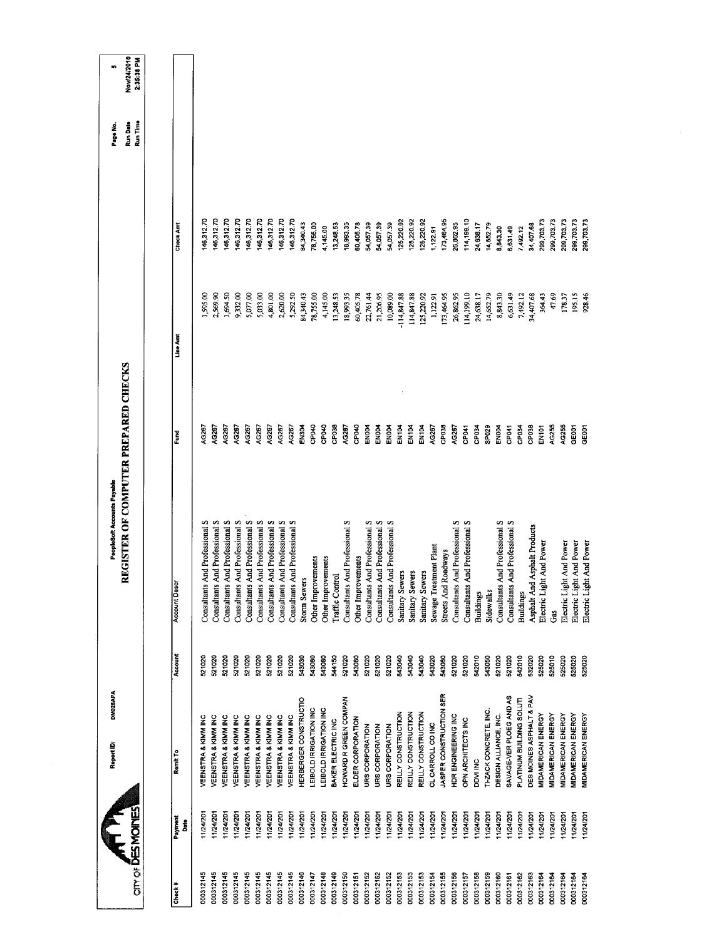| Nov/24/2010<br>2:35:38 PM<br>Run Time<br>46,312.70<br>46,312.70<br>46,312.70<br>146,312.70<br>146,312.70<br>146,312.70<br>146,312.70<br>146,312.70<br>114,199.10<br>299,703.73<br>146,312.70<br>125,220.92<br>125,220.92<br>73,464.95<br>299,703.73<br>299,703.73<br>299,703.73<br>299,703.73<br>125,220.92<br>34,340.43<br>26,862.95<br>18,993.35<br>54,057.39<br>54,057.39<br>54,057.39<br>78,755.00<br>13,248.53<br>80,405.78<br>14 638 17<br>14,652.79<br>34,407.68<br>Check Amt<br>1,122.91<br>4,145.00<br>8,843.30<br>5,631.49<br>7,492.12<br>1,694.50<br>9,332.00<br>2,620.00<br>5,292.50<br>21,206.95<br>114,199.10<br>14,652.79<br>8,843.30<br>6,631.49<br>47.69<br>1,595.00<br>2,569.90<br>5,077.00<br>5,033.00<br>4,801.00<br>78,755.00<br>4,145.00<br>13,248.53<br>18,993.35<br>60,405.78<br>22,761.44<br>10,089.00<br>114,847.88<br>114,847.88<br>13,464.95<br>26,862.95<br>7,492.12<br>364.43<br>195.15<br>928.46<br>84,340.43<br>125,220.92<br>24,638.17<br>34,407.68<br>178.37<br>1,122.91<br>Line Amt<br>REGISTER OF COMPUTER PREPARED CHECKS<br>CP040<br>4G267<br>AG267<br>AG267<br>EN304<br>CP040<br>CPO40<br>CP038<br>AG267<br>AG267<br>CP038<br>AG255<br>AG255<br><b>AG267</b><br>4G267<br>AG267<br>AG267<br>4G267<br>AG267<br><b>EN004</b><br>ENOO4<br><b>EN004</b><br>EN104<br><b>EN104</b><br>EN104<br>CP <sub>041</sub><br>CP034<br>SP029<br>GE001<br>AG267<br>EN004<br>CP <sub>041</sub><br>CP038<br><b>GEOOT</b><br>CP <sub>034</sub><br>EN101<br>Ğ<br>Consultants And Professional S<br>Consultants And Professional S<br>Consultants And Professional S<br>Consultants And Professional S<br>Consultants And Professional S<br>Consultants And Professional S<br>Consultants And Professional S<br>And Professional S<br>Consultants And Professional S<br>Consultants And Professional S<br>Consultants And Professional S<br>Consultants And Professional S<br>Consultants And Professional S<br>Consultants And Professional S<br>And Professional S<br>Consultants And Professional S<br>Consultants And Professional S<br>Asphalt And Asphalt Products<br>Electric Light And Power<br>Electric Light And Power<br>Electric Light And Power<br>Electric Light And Power<br>Sewage Treatment Plant<br>Roadways<br>Other Improvements<br>Other Improvements<br>Other Improvements<br>Sanitary Sewers<br>Sanitary Sewers<br>Sanitary Sewers<br>Traffic Control<br><b>Storm Sewers</b><br><b>Account Descr</b><br>Consultants<br>Streets And<br>Consultants<br>Sidewalks<br><b>Buildings</b><br><b>Buildings</b><br>Gas<br>Account<br>521020<br>521020<br>543030<br>543080<br>544150<br>521020<br>521020<br>521020<br>521020<br>543040<br>543040<br>543040<br>542010<br>542010<br>521020<br>521020<br>521020<br>521020<br>521020<br>543080<br>543080<br>543020<br>543060<br>521020<br>521020<br>543050<br>521020<br>521020<br>532020<br>525020<br>525010<br>525020<br>525020<br>521020<br>521020<br>525020<br>JASPER CONSTRUCTION SER<br>SAVAGE-VER PLOEG AND AS<br>DES MOINES ASPHALT & PAV<br>HERBERGER CONSTRUCTIO<br>HOWARD R GREEN COMPAN<br>PLATINUM BUILDING SOLUTI<br>LEIBOLD IRRIGATION INC<br>EIBOLD IRRIGATION INC<br><b>TI-ZACK CONCRETE, INC.</b><br>REILLY CONSTRUCTION<br>REILLY CONSTRUCTION<br>REILLY CONSTRUCTION<br>DESIGN ALLIANCE, INC.<br><b>MIDAMERICAN ENERGY</b><br>MIDAMERICAN ENERGY<br><b>VIDAMERICAN ENERGY</b><br>HDR ENGINEERING INC<br><b>MIDAMERICAN ENERGY</b><br><b>VIDAMERICAN ENERGY</b><br>VEENSTRA & KIMM INC<br>VEENSTRA & KIMM INC<br>VEENSTRA & KIMM INC<br>VEENSTRA & KIMM INC<br>VEENSTRA & KIMM INC<br>VEENSTRA & KIMM INC<br>VEENSTRA & KIMM INC<br>VEENSTRA & KIMM INC<br>VEENSTRA & KIMM INC<br>ELDER CORPORATION<br>OPN ARCHITECTS INC<br>BAKER ELECTRIC INC<br>CL CARROLL CO INC<br>URS CORPORATION<br>URS CORPORATION<br>URS CORPORATION<br>Remit To<br>DDVI INC<br><b>ATILITY</b><br>11/24/201<br>11/24/201<br>11/24/201<br>1/24/201<br>11/24/201<br>11/24/201<br>1/24/201<br>11/24/201<br>11/24/201<br>11/24/201<br>11/24/201<br>11/24/201<br>11/24/201<br>11/24/201<br>11/24/201<br>11/24/201<br>11/24/201<br>11/24/201<br>1/24/201<br>11/24/201<br>11/24/201<br>11/24/201<br>11/24/201<br>11/24/201<br>11/24/201<br>1/24/201<br>11/24/201<br>1/24/201<br>11/24/201<br>11/24/201<br>11/24/201<br>11/24/201<br>11/24/201<br>124/201<br>11/24/201<br>1/24/201<br>Payment<br>å<br>000312145<br>000312145<br>000312145<br>000312145<br>000312145<br>000312145<br>000312145<br>000312145<br>000312145<br>000312146<br>000312149<br>000312150<br>000312147<br>000312148<br>000312152<br>000312153<br>000312155<br>000312156<br>000312158<br>000312159<br>000312162<br>000312163<br>000312164<br>000312164<br>000312164<br>000312151<br>000312152<br>000312152<br>000312153<br>000312153<br>000312154<br>000312157<br>000312160<br>000312161<br>000312164<br>000312164<br>Check# |  | DM025APA<br>Report ID: | PeopleSoft Accounts Payable |  | Page No.        | ю |
|--------------------------------------------------------------------------------------------------------------------------------------------------------------------------------------------------------------------------------------------------------------------------------------------------------------------------------------------------------------------------------------------------------------------------------------------------------------------------------------------------------------------------------------------------------------------------------------------------------------------------------------------------------------------------------------------------------------------------------------------------------------------------------------------------------------------------------------------------------------------------------------------------------------------------------------------------------------------------------------------------------------------------------------------------------------------------------------------------------------------------------------------------------------------------------------------------------------------------------------------------------------------------------------------------------------------------------------------------------------------------------------------------------------------------------------------------------------------------------------------------------------------------------------------------------------------------------------------------------------------------------------------------------------------------------------------------------------------------------------------------------------------------------------------------------------------------------------------------------------------------------------------------------------------------------------------------------------------------------------------------------------------------------------------------------------------------------------------------------------------------------------------------------------------------------------------------------------------------------------------------------------------------------------------------------------------------------------------------------------------------------------------------------------------------------------------------------------------------------------------------------------------------------------------------------------------------------------------------------------------------------------------------------------------------------------------------------------------------------------------------------------------------------------------------------------------------------------------------------------------------------------------------------------------------------------------------------------------------------------------------------------------------------------------------------------------------------------------------------------------------------------------------------------------------------------------------------------------------------------------------------------------------------------------------------------------------------------------------------------------------------------------------------------------------------------------------------------------------------------------------------------------------------------------------------------------------------------------------------------------------------------------------------------------------------------------------------------------------------------------------------------------------------------------------------------------------------------------------------------------------------------------------------------------------------------------------------------------------------------------------------------------------------------------------------------------------------------------------------------------------------------------------------------------------------------------------------------------------------------------------------------------------------------------------------------------------------------------------------------------------------------------------------------------------------------------------------------------------------------------------------------------------------------------------------------------------------------------------------------------------------------------------------------------------------------------------------------------------------------------------------------------------------------------------------------------------------------------------------------|--|------------------------|-----------------------------|--|-----------------|---|
|                                                                                                                                                                                                                                                                                                                                                                                                                                                                                                                                                                                                                                                                                                                                                                                                                                                                                                                                                                                                                                                                                                                                                                                                                                                                                                                                                                                                                                                                                                                                                                                                                                                                                                                                                                                                                                                                                                                                                                                                                                                                                                                                                                                                                                                                                                                                                                                                                                                                                                                                                                                                                                                                                                                                                                                                                                                                                                                                                                                                                                                                                                                                                                                                                                                                                                                                                                                                                                                                                                                                                                                                                                                                                                                                                                                                                                                                                                                                                                                                                                                                                                                                                                                                                                                                                                                                                                                                                                                                                                                                                                                                                                                                                                                                                                                                                                                              |  |                        |                             |  | <b>Run Date</b> |   |
|                                                                                                                                                                                                                                                                                                                                                                                                                                                                                                                                                                                                                                                                                                                                                                                                                                                                                                                                                                                                                                                                                                                                                                                                                                                                                                                                                                                                                                                                                                                                                                                                                                                                                                                                                                                                                                                                                                                                                                                                                                                                                                                                                                                                                                                                                                                                                                                                                                                                                                                                                                                                                                                                                                                                                                                                                                                                                                                                                                                                                                                                                                                                                                                                                                                                                                                                                                                                                                                                                                                                                                                                                                                                                                                                                                                                                                                                                                                                                                                                                                                                                                                                                                                                                                                                                                                                                                                                                                                                                                                                                                                                                                                                                                                                                                                                                                                              |  |                        |                             |  |                 |   |
|                                                                                                                                                                                                                                                                                                                                                                                                                                                                                                                                                                                                                                                                                                                                                                                                                                                                                                                                                                                                                                                                                                                                                                                                                                                                                                                                                                                                                                                                                                                                                                                                                                                                                                                                                                                                                                                                                                                                                                                                                                                                                                                                                                                                                                                                                                                                                                                                                                                                                                                                                                                                                                                                                                                                                                                                                                                                                                                                                                                                                                                                                                                                                                                                                                                                                                                                                                                                                                                                                                                                                                                                                                                                                                                                                                                                                                                                                                                                                                                                                                                                                                                                                                                                                                                                                                                                                                                                                                                                                                                                                                                                                                                                                                                                                                                                                                                              |  |                        |                             |  |                 |   |
|                                                                                                                                                                                                                                                                                                                                                                                                                                                                                                                                                                                                                                                                                                                                                                                                                                                                                                                                                                                                                                                                                                                                                                                                                                                                                                                                                                                                                                                                                                                                                                                                                                                                                                                                                                                                                                                                                                                                                                                                                                                                                                                                                                                                                                                                                                                                                                                                                                                                                                                                                                                                                                                                                                                                                                                                                                                                                                                                                                                                                                                                                                                                                                                                                                                                                                                                                                                                                                                                                                                                                                                                                                                                                                                                                                                                                                                                                                                                                                                                                                                                                                                                                                                                                                                                                                                                                                                                                                                                                                                                                                                                                                                                                                                                                                                                                                                              |  |                        |                             |  |                 |   |
|                                                                                                                                                                                                                                                                                                                                                                                                                                                                                                                                                                                                                                                                                                                                                                                                                                                                                                                                                                                                                                                                                                                                                                                                                                                                                                                                                                                                                                                                                                                                                                                                                                                                                                                                                                                                                                                                                                                                                                                                                                                                                                                                                                                                                                                                                                                                                                                                                                                                                                                                                                                                                                                                                                                                                                                                                                                                                                                                                                                                                                                                                                                                                                                                                                                                                                                                                                                                                                                                                                                                                                                                                                                                                                                                                                                                                                                                                                                                                                                                                                                                                                                                                                                                                                                                                                                                                                                                                                                                                                                                                                                                                                                                                                                                                                                                                                                              |  |                        |                             |  |                 |   |
|                                                                                                                                                                                                                                                                                                                                                                                                                                                                                                                                                                                                                                                                                                                                                                                                                                                                                                                                                                                                                                                                                                                                                                                                                                                                                                                                                                                                                                                                                                                                                                                                                                                                                                                                                                                                                                                                                                                                                                                                                                                                                                                                                                                                                                                                                                                                                                                                                                                                                                                                                                                                                                                                                                                                                                                                                                                                                                                                                                                                                                                                                                                                                                                                                                                                                                                                                                                                                                                                                                                                                                                                                                                                                                                                                                                                                                                                                                                                                                                                                                                                                                                                                                                                                                                                                                                                                                                                                                                                                                                                                                                                                                                                                                                                                                                                                                                              |  |                        |                             |  |                 |   |
|                                                                                                                                                                                                                                                                                                                                                                                                                                                                                                                                                                                                                                                                                                                                                                                                                                                                                                                                                                                                                                                                                                                                                                                                                                                                                                                                                                                                                                                                                                                                                                                                                                                                                                                                                                                                                                                                                                                                                                                                                                                                                                                                                                                                                                                                                                                                                                                                                                                                                                                                                                                                                                                                                                                                                                                                                                                                                                                                                                                                                                                                                                                                                                                                                                                                                                                                                                                                                                                                                                                                                                                                                                                                                                                                                                                                                                                                                                                                                                                                                                                                                                                                                                                                                                                                                                                                                                                                                                                                                                                                                                                                                                                                                                                                                                                                                                                              |  |                        |                             |  |                 |   |
|                                                                                                                                                                                                                                                                                                                                                                                                                                                                                                                                                                                                                                                                                                                                                                                                                                                                                                                                                                                                                                                                                                                                                                                                                                                                                                                                                                                                                                                                                                                                                                                                                                                                                                                                                                                                                                                                                                                                                                                                                                                                                                                                                                                                                                                                                                                                                                                                                                                                                                                                                                                                                                                                                                                                                                                                                                                                                                                                                                                                                                                                                                                                                                                                                                                                                                                                                                                                                                                                                                                                                                                                                                                                                                                                                                                                                                                                                                                                                                                                                                                                                                                                                                                                                                                                                                                                                                                                                                                                                                                                                                                                                                                                                                                                                                                                                                                              |  |                        |                             |  |                 |   |
|                                                                                                                                                                                                                                                                                                                                                                                                                                                                                                                                                                                                                                                                                                                                                                                                                                                                                                                                                                                                                                                                                                                                                                                                                                                                                                                                                                                                                                                                                                                                                                                                                                                                                                                                                                                                                                                                                                                                                                                                                                                                                                                                                                                                                                                                                                                                                                                                                                                                                                                                                                                                                                                                                                                                                                                                                                                                                                                                                                                                                                                                                                                                                                                                                                                                                                                                                                                                                                                                                                                                                                                                                                                                                                                                                                                                                                                                                                                                                                                                                                                                                                                                                                                                                                                                                                                                                                                                                                                                                                                                                                                                                                                                                                                                                                                                                                                              |  |                        |                             |  |                 |   |
|                                                                                                                                                                                                                                                                                                                                                                                                                                                                                                                                                                                                                                                                                                                                                                                                                                                                                                                                                                                                                                                                                                                                                                                                                                                                                                                                                                                                                                                                                                                                                                                                                                                                                                                                                                                                                                                                                                                                                                                                                                                                                                                                                                                                                                                                                                                                                                                                                                                                                                                                                                                                                                                                                                                                                                                                                                                                                                                                                                                                                                                                                                                                                                                                                                                                                                                                                                                                                                                                                                                                                                                                                                                                                                                                                                                                                                                                                                                                                                                                                                                                                                                                                                                                                                                                                                                                                                                                                                                                                                                                                                                                                                                                                                                                                                                                                                                              |  |                        |                             |  |                 |   |
|                                                                                                                                                                                                                                                                                                                                                                                                                                                                                                                                                                                                                                                                                                                                                                                                                                                                                                                                                                                                                                                                                                                                                                                                                                                                                                                                                                                                                                                                                                                                                                                                                                                                                                                                                                                                                                                                                                                                                                                                                                                                                                                                                                                                                                                                                                                                                                                                                                                                                                                                                                                                                                                                                                                                                                                                                                                                                                                                                                                                                                                                                                                                                                                                                                                                                                                                                                                                                                                                                                                                                                                                                                                                                                                                                                                                                                                                                                                                                                                                                                                                                                                                                                                                                                                                                                                                                                                                                                                                                                                                                                                                                                                                                                                                                                                                                                                              |  |                        |                             |  |                 |   |
|                                                                                                                                                                                                                                                                                                                                                                                                                                                                                                                                                                                                                                                                                                                                                                                                                                                                                                                                                                                                                                                                                                                                                                                                                                                                                                                                                                                                                                                                                                                                                                                                                                                                                                                                                                                                                                                                                                                                                                                                                                                                                                                                                                                                                                                                                                                                                                                                                                                                                                                                                                                                                                                                                                                                                                                                                                                                                                                                                                                                                                                                                                                                                                                                                                                                                                                                                                                                                                                                                                                                                                                                                                                                                                                                                                                                                                                                                                                                                                                                                                                                                                                                                                                                                                                                                                                                                                                                                                                                                                                                                                                                                                                                                                                                                                                                                                                              |  |                        |                             |  |                 |   |
|                                                                                                                                                                                                                                                                                                                                                                                                                                                                                                                                                                                                                                                                                                                                                                                                                                                                                                                                                                                                                                                                                                                                                                                                                                                                                                                                                                                                                                                                                                                                                                                                                                                                                                                                                                                                                                                                                                                                                                                                                                                                                                                                                                                                                                                                                                                                                                                                                                                                                                                                                                                                                                                                                                                                                                                                                                                                                                                                                                                                                                                                                                                                                                                                                                                                                                                                                                                                                                                                                                                                                                                                                                                                                                                                                                                                                                                                                                                                                                                                                                                                                                                                                                                                                                                                                                                                                                                                                                                                                                                                                                                                                                                                                                                                                                                                                                                              |  |                        |                             |  |                 |   |
|                                                                                                                                                                                                                                                                                                                                                                                                                                                                                                                                                                                                                                                                                                                                                                                                                                                                                                                                                                                                                                                                                                                                                                                                                                                                                                                                                                                                                                                                                                                                                                                                                                                                                                                                                                                                                                                                                                                                                                                                                                                                                                                                                                                                                                                                                                                                                                                                                                                                                                                                                                                                                                                                                                                                                                                                                                                                                                                                                                                                                                                                                                                                                                                                                                                                                                                                                                                                                                                                                                                                                                                                                                                                                                                                                                                                                                                                                                                                                                                                                                                                                                                                                                                                                                                                                                                                                                                                                                                                                                                                                                                                                                                                                                                                                                                                                                                              |  |                        |                             |  |                 |   |
|                                                                                                                                                                                                                                                                                                                                                                                                                                                                                                                                                                                                                                                                                                                                                                                                                                                                                                                                                                                                                                                                                                                                                                                                                                                                                                                                                                                                                                                                                                                                                                                                                                                                                                                                                                                                                                                                                                                                                                                                                                                                                                                                                                                                                                                                                                                                                                                                                                                                                                                                                                                                                                                                                                                                                                                                                                                                                                                                                                                                                                                                                                                                                                                                                                                                                                                                                                                                                                                                                                                                                                                                                                                                                                                                                                                                                                                                                                                                                                                                                                                                                                                                                                                                                                                                                                                                                                                                                                                                                                                                                                                                                                                                                                                                                                                                                                                              |  |                        |                             |  |                 |   |
|                                                                                                                                                                                                                                                                                                                                                                                                                                                                                                                                                                                                                                                                                                                                                                                                                                                                                                                                                                                                                                                                                                                                                                                                                                                                                                                                                                                                                                                                                                                                                                                                                                                                                                                                                                                                                                                                                                                                                                                                                                                                                                                                                                                                                                                                                                                                                                                                                                                                                                                                                                                                                                                                                                                                                                                                                                                                                                                                                                                                                                                                                                                                                                                                                                                                                                                                                                                                                                                                                                                                                                                                                                                                                                                                                                                                                                                                                                                                                                                                                                                                                                                                                                                                                                                                                                                                                                                                                                                                                                                                                                                                                                                                                                                                                                                                                                                              |  |                        |                             |  |                 |   |
|                                                                                                                                                                                                                                                                                                                                                                                                                                                                                                                                                                                                                                                                                                                                                                                                                                                                                                                                                                                                                                                                                                                                                                                                                                                                                                                                                                                                                                                                                                                                                                                                                                                                                                                                                                                                                                                                                                                                                                                                                                                                                                                                                                                                                                                                                                                                                                                                                                                                                                                                                                                                                                                                                                                                                                                                                                                                                                                                                                                                                                                                                                                                                                                                                                                                                                                                                                                                                                                                                                                                                                                                                                                                                                                                                                                                                                                                                                                                                                                                                                                                                                                                                                                                                                                                                                                                                                                                                                                                                                                                                                                                                                                                                                                                                                                                                                                              |  |                        |                             |  |                 |   |
|                                                                                                                                                                                                                                                                                                                                                                                                                                                                                                                                                                                                                                                                                                                                                                                                                                                                                                                                                                                                                                                                                                                                                                                                                                                                                                                                                                                                                                                                                                                                                                                                                                                                                                                                                                                                                                                                                                                                                                                                                                                                                                                                                                                                                                                                                                                                                                                                                                                                                                                                                                                                                                                                                                                                                                                                                                                                                                                                                                                                                                                                                                                                                                                                                                                                                                                                                                                                                                                                                                                                                                                                                                                                                                                                                                                                                                                                                                                                                                                                                                                                                                                                                                                                                                                                                                                                                                                                                                                                                                                                                                                                                                                                                                                                                                                                                                                              |  |                        |                             |  |                 |   |
|                                                                                                                                                                                                                                                                                                                                                                                                                                                                                                                                                                                                                                                                                                                                                                                                                                                                                                                                                                                                                                                                                                                                                                                                                                                                                                                                                                                                                                                                                                                                                                                                                                                                                                                                                                                                                                                                                                                                                                                                                                                                                                                                                                                                                                                                                                                                                                                                                                                                                                                                                                                                                                                                                                                                                                                                                                                                                                                                                                                                                                                                                                                                                                                                                                                                                                                                                                                                                                                                                                                                                                                                                                                                                                                                                                                                                                                                                                                                                                                                                                                                                                                                                                                                                                                                                                                                                                                                                                                                                                                                                                                                                                                                                                                                                                                                                                                              |  |                        |                             |  |                 |   |
|                                                                                                                                                                                                                                                                                                                                                                                                                                                                                                                                                                                                                                                                                                                                                                                                                                                                                                                                                                                                                                                                                                                                                                                                                                                                                                                                                                                                                                                                                                                                                                                                                                                                                                                                                                                                                                                                                                                                                                                                                                                                                                                                                                                                                                                                                                                                                                                                                                                                                                                                                                                                                                                                                                                                                                                                                                                                                                                                                                                                                                                                                                                                                                                                                                                                                                                                                                                                                                                                                                                                                                                                                                                                                                                                                                                                                                                                                                                                                                                                                                                                                                                                                                                                                                                                                                                                                                                                                                                                                                                                                                                                                                                                                                                                                                                                                                                              |  |                        |                             |  |                 |   |
|                                                                                                                                                                                                                                                                                                                                                                                                                                                                                                                                                                                                                                                                                                                                                                                                                                                                                                                                                                                                                                                                                                                                                                                                                                                                                                                                                                                                                                                                                                                                                                                                                                                                                                                                                                                                                                                                                                                                                                                                                                                                                                                                                                                                                                                                                                                                                                                                                                                                                                                                                                                                                                                                                                                                                                                                                                                                                                                                                                                                                                                                                                                                                                                                                                                                                                                                                                                                                                                                                                                                                                                                                                                                                                                                                                                                                                                                                                                                                                                                                                                                                                                                                                                                                                                                                                                                                                                                                                                                                                                                                                                                                                                                                                                                                                                                                                                              |  |                        |                             |  |                 |   |
|                                                                                                                                                                                                                                                                                                                                                                                                                                                                                                                                                                                                                                                                                                                                                                                                                                                                                                                                                                                                                                                                                                                                                                                                                                                                                                                                                                                                                                                                                                                                                                                                                                                                                                                                                                                                                                                                                                                                                                                                                                                                                                                                                                                                                                                                                                                                                                                                                                                                                                                                                                                                                                                                                                                                                                                                                                                                                                                                                                                                                                                                                                                                                                                                                                                                                                                                                                                                                                                                                                                                                                                                                                                                                                                                                                                                                                                                                                                                                                                                                                                                                                                                                                                                                                                                                                                                                                                                                                                                                                                                                                                                                                                                                                                                                                                                                                                              |  |                        |                             |  |                 |   |
|                                                                                                                                                                                                                                                                                                                                                                                                                                                                                                                                                                                                                                                                                                                                                                                                                                                                                                                                                                                                                                                                                                                                                                                                                                                                                                                                                                                                                                                                                                                                                                                                                                                                                                                                                                                                                                                                                                                                                                                                                                                                                                                                                                                                                                                                                                                                                                                                                                                                                                                                                                                                                                                                                                                                                                                                                                                                                                                                                                                                                                                                                                                                                                                                                                                                                                                                                                                                                                                                                                                                                                                                                                                                                                                                                                                                                                                                                                                                                                                                                                                                                                                                                                                                                                                                                                                                                                                                                                                                                                                                                                                                                                                                                                                                                                                                                                                              |  |                        |                             |  |                 |   |
|                                                                                                                                                                                                                                                                                                                                                                                                                                                                                                                                                                                                                                                                                                                                                                                                                                                                                                                                                                                                                                                                                                                                                                                                                                                                                                                                                                                                                                                                                                                                                                                                                                                                                                                                                                                                                                                                                                                                                                                                                                                                                                                                                                                                                                                                                                                                                                                                                                                                                                                                                                                                                                                                                                                                                                                                                                                                                                                                                                                                                                                                                                                                                                                                                                                                                                                                                                                                                                                                                                                                                                                                                                                                                                                                                                                                                                                                                                                                                                                                                                                                                                                                                                                                                                                                                                                                                                                                                                                                                                                                                                                                                                                                                                                                                                                                                                                              |  |                        |                             |  |                 |   |
|                                                                                                                                                                                                                                                                                                                                                                                                                                                                                                                                                                                                                                                                                                                                                                                                                                                                                                                                                                                                                                                                                                                                                                                                                                                                                                                                                                                                                                                                                                                                                                                                                                                                                                                                                                                                                                                                                                                                                                                                                                                                                                                                                                                                                                                                                                                                                                                                                                                                                                                                                                                                                                                                                                                                                                                                                                                                                                                                                                                                                                                                                                                                                                                                                                                                                                                                                                                                                                                                                                                                                                                                                                                                                                                                                                                                                                                                                                                                                                                                                                                                                                                                                                                                                                                                                                                                                                                                                                                                                                                                                                                                                                                                                                                                                                                                                                                              |  |                        |                             |  |                 |   |
|                                                                                                                                                                                                                                                                                                                                                                                                                                                                                                                                                                                                                                                                                                                                                                                                                                                                                                                                                                                                                                                                                                                                                                                                                                                                                                                                                                                                                                                                                                                                                                                                                                                                                                                                                                                                                                                                                                                                                                                                                                                                                                                                                                                                                                                                                                                                                                                                                                                                                                                                                                                                                                                                                                                                                                                                                                                                                                                                                                                                                                                                                                                                                                                                                                                                                                                                                                                                                                                                                                                                                                                                                                                                                                                                                                                                                                                                                                                                                                                                                                                                                                                                                                                                                                                                                                                                                                                                                                                                                                                                                                                                                                                                                                                                                                                                                                                              |  |                        |                             |  |                 |   |
|                                                                                                                                                                                                                                                                                                                                                                                                                                                                                                                                                                                                                                                                                                                                                                                                                                                                                                                                                                                                                                                                                                                                                                                                                                                                                                                                                                                                                                                                                                                                                                                                                                                                                                                                                                                                                                                                                                                                                                                                                                                                                                                                                                                                                                                                                                                                                                                                                                                                                                                                                                                                                                                                                                                                                                                                                                                                                                                                                                                                                                                                                                                                                                                                                                                                                                                                                                                                                                                                                                                                                                                                                                                                                                                                                                                                                                                                                                                                                                                                                                                                                                                                                                                                                                                                                                                                                                                                                                                                                                                                                                                                                                                                                                                                                                                                                                                              |  |                        |                             |  |                 |   |
|                                                                                                                                                                                                                                                                                                                                                                                                                                                                                                                                                                                                                                                                                                                                                                                                                                                                                                                                                                                                                                                                                                                                                                                                                                                                                                                                                                                                                                                                                                                                                                                                                                                                                                                                                                                                                                                                                                                                                                                                                                                                                                                                                                                                                                                                                                                                                                                                                                                                                                                                                                                                                                                                                                                                                                                                                                                                                                                                                                                                                                                                                                                                                                                                                                                                                                                                                                                                                                                                                                                                                                                                                                                                                                                                                                                                                                                                                                                                                                                                                                                                                                                                                                                                                                                                                                                                                                                                                                                                                                                                                                                                                                                                                                                                                                                                                                                              |  |                        |                             |  |                 |   |
|                                                                                                                                                                                                                                                                                                                                                                                                                                                                                                                                                                                                                                                                                                                                                                                                                                                                                                                                                                                                                                                                                                                                                                                                                                                                                                                                                                                                                                                                                                                                                                                                                                                                                                                                                                                                                                                                                                                                                                                                                                                                                                                                                                                                                                                                                                                                                                                                                                                                                                                                                                                                                                                                                                                                                                                                                                                                                                                                                                                                                                                                                                                                                                                                                                                                                                                                                                                                                                                                                                                                                                                                                                                                                                                                                                                                                                                                                                                                                                                                                                                                                                                                                                                                                                                                                                                                                                                                                                                                                                                                                                                                                                                                                                                                                                                                                                                              |  |                        |                             |  |                 |   |
|                                                                                                                                                                                                                                                                                                                                                                                                                                                                                                                                                                                                                                                                                                                                                                                                                                                                                                                                                                                                                                                                                                                                                                                                                                                                                                                                                                                                                                                                                                                                                                                                                                                                                                                                                                                                                                                                                                                                                                                                                                                                                                                                                                                                                                                                                                                                                                                                                                                                                                                                                                                                                                                                                                                                                                                                                                                                                                                                                                                                                                                                                                                                                                                                                                                                                                                                                                                                                                                                                                                                                                                                                                                                                                                                                                                                                                                                                                                                                                                                                                                                                                                                                                                                                                                                                                                                                                                                                                                                                                                                                                                                                                                                                                                                                                                                                                                              |  |                        |                             |  |                 |   |
|                                                                                                                                                                                                                                                                                                                                                                                                                                                                                                                                                                                                                                                                                                                                                                                                                                                                                                                                                                                                                                                                                                                                                                                                                                                                                                                                                                                                                                                                                                                                                                                                                                                                                                                                                                                                                                                                                                                                                                                                                                                                                                                                                                                                                                                                                                                                                                                                                                                                                                                                                                                                                                                                                                                                                                                                                                                                                                                                                                                                                                                                                                                                                                                                                                                                                                                                                                                                                                                                                                                                                                                                                                                                                                                                                                                                                                                                                                                                                                                                                                                                                                                                                                                                                                                                                                                                                                                                                                                                                                                                                                                                                                                                                                                                                                                                                                                              |  |                        |                             |  |                 |   |
|                                                                                                                                                                                                                                                                                                                                                                                                                                                                                                                                                                                                                                                                                                                                                                                                                                                                                                                                                                                                                                                                                                                                                                                                                                                                                                                                                                                                                                                                                                                                                                                                                                                                                                                                                                                                                                                                                                                                                                                                                                                                                                                                                                                                                                                                                                                                                                                                                                                                                                                                                                                                                                                                                                                                                                                                                                                                                                                                                                                                                                                                                                                                                                                                                                                                                                                                                                                                                                                                                                                                                                                                                                                                                                                                                                                                                                                                                                                                                                                                                                                                                                                                                                                                                                                                                                                                                                                                                                                                                                                                                                                                                                                                                                                                                                                                                                                              |  |                        |                             |  |                 |   |
|                                                                                                                                                                                                                                                                                                                                                                                                                                                                                                                                                                                                                                                                                                                                                                                                                                                                                                                                                                                                                                                                                                                                                                                                                                                                                                                                                                                                                                                                                                                                                                                                                                                                                                                                                                                                                                                                                                                                                                                                                                                                                                                                                                                                                                                                                                                                                                                                                                                                                                                                                                                                                                                                                                                                                                                                                                                                                                                                                                                                                                                                                                                                                                                                                                                                                                                                                                                                                                                                                                                                                                                                                                                                                                                                                                                                                                                                                                                                                                                                                                                                                                                                                                                                                                                                                                                                                                                                                                                                                                                                                                                                                                                                                                                                                                                                                                                              |  |                        |                             |  |                 |   |
|                                                                                                                                                                                                                                                                                                                                                                                                                                                                                                                                                                                                                                                                                                                                                                                                                                                                                                                                                                                                                                                                                                                                                                                                                                                                                                                                                                                                                                                                                                                                                                                                                                                                                                                                                                                                                                                                                                                                                                                                                                                                                                                                                                                                                                                                                                                                                                                                                                                                                                                                                                                                                                                                                                                                                                                                                                                                                                                                                                                                                                                                                                                                                                                                                                                                                                                                                                                                                                                                                                                                                                                                                                                                                                                                                                                                                                                                                                                                                                                                                                                                                                                                                                                                                                                                                                                                                                                                                                                                                                                                                                                                                                                                                                                                                                                                                                                              |  |                        |                             |  |                 |   |
|                                                                                                                                                                                                                                                                                                                                                                                                                                                                                                                                                                                                                                                                                                                                                                                                                                                                                                                                                                                                                                                                                                                                                                                                                                                                                                                                                                                                                                                                                                                                                                                                                                                                                                                                                                                                                                                                                                                                                                                                                                                                                                                                                                                                                                                                                                                                                                                                                                                                                                                                                                                                                                                                                                                                                                                                                                                                                                                                                                                                                                                                                                                                                                                                                                                                                                                                                                                                                                                                                                                                                                                                                                                                                                                                                                                                                                                                                                                                                                                                                                                                                                                                                                                                                                                                                                                                                                                                                                                                                                                                                                                                                                                                                                                                                                                                                                                              |  |                        |                             |  |                 |   |
|                                                                                                                                                                                                                                                                                                                                                                                                                                                                                                                                                                                                                                                                                                                                                                                                                                                                                                                                                                                                                                                                                                                                                                                                                                                                                                                                                                                                                                                                                                                                                                                                                                                                                                                                                                                                                                                                                                                                                                                                                                                                                                                                                                                                                                                                                                                                                                                                                                                                                                                                                                                                                                                                                                                                                                                                                                                                                                                                                                                                                                                                                                                                                                                                                                                                                                                                                                                                                                                                                                                                                                                                                                                                                                                                                                                                                                                                                                                                                                                                                                                                                                                                                                                                                                                                                                                                                                                                                                                                                                                                                                                                                                                                                                                                                                                                                                                              |  |                        |                             |  |                 |   |
|                                                                                                                                                                                                                                                                                                                                                                                                                                                                                                                                                                                                                                                                                                                                                                                                                                                                                                                                                                                                                                                                                                                                                                                                                                                                                                                                                                                                                                                                                                                                                                                                                                                                                                                                                                                                                                                                                                                                                                                                                                                                                                                                                                                                                                                                                                                                                                                                                                                                                                                                                                                                                                                                                                                                                                                                                                                                                                                                                                                                                                                                                                                                                                                                                                                                                                                                                                                                                                                                                                                                                                                                                                                                                                                                                                                                                                                                                                                                                                                                                                                                                                                                                                                                                                                                                                                                                                                                                                                                                                                                                                                                                                                                                                                                                                                                                                                              |  |                        |                             |  |                 |   |
|                                                                                                                                                                                                                                                                                                                                                                                                                                                                                                                                                                                                                                                                                                                                                                                                                                                                                                                                                                                                                                                                                                                                                                                                                                                                                                                                                                                                                                                                                                                                                                                                                                                                                                                                                                                                                                                                                                                                                                                                                                                                                                                                                                                                                                                                                                                                                                                                                                                                                                                                                                                                                                                                                                                                                                                                                                                                                                                                                                                                                                                                                                                                                                                                                                                                                                                                                                                                                                                                                                                                                                                                                                                                                                                                                                                                                                                                                                                                                                                                                                                                                                                                                                                                                                                                                                                                                                                                                                                                                                                                                                                                                                                                                                                                                                                                                                                              |  |                        |                             |  |                 |   |
|                                                                                                                                                                                                                                                                                                                                                                                                                                                                                                                                                                                                                                                                                                                                                                                                                                                                                                                                                                                                                                                                                                                                                                                                                                                                                                                                                                                                                                                                                                                                                                                                                                                                                                                                                                                                                                                                                                                                                                                                                                                                                                                                                                                                                                                                                                                                                                                                                                                                                                                                                                                                                                                                                                                                                                                                                                                                                                                                                                                                                                                                                                                                                                                                                                                                                                                                                                                                                                                                                                                                                                                                                                                                                                                                                                                                                                                                                                                                                                                                                                                                                                                                                                                                                                                                                                                                                                                                                                                                                                                                                                                                                                                                                                                                                                                                                                                              |  |                        |                             |  |                 |   |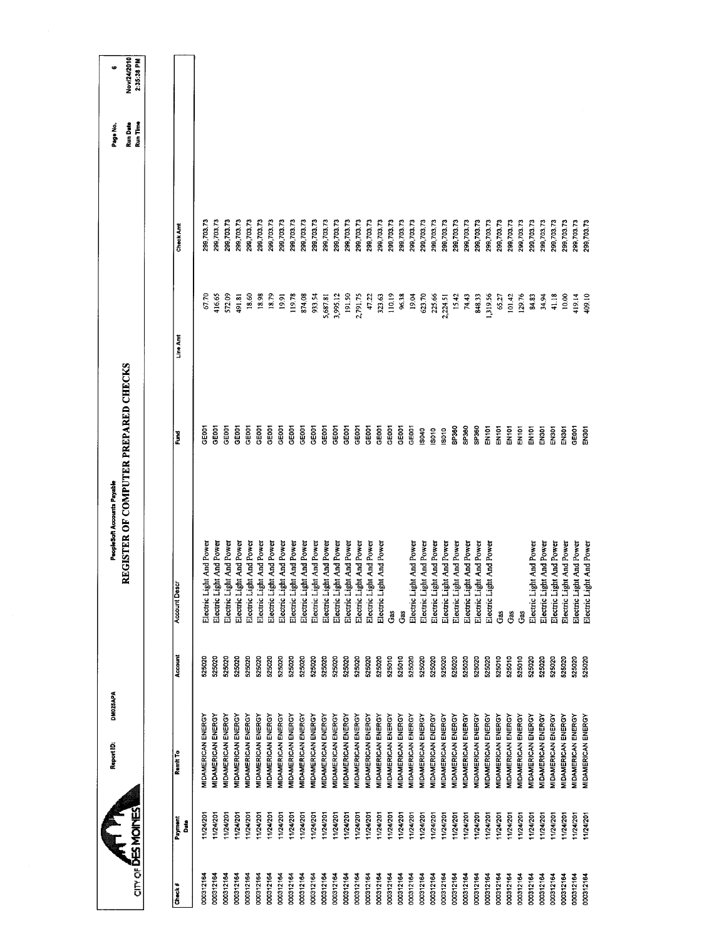|                      |                             | DM025APA<br>Report ID:           |         | PeopleSoft Accounts Payable                 |                   |          |                  | Page No.                    | œ                         |
|----------------------|-----------------------------|----------------------------------|---------|---------------------------------------------|-------------------|----------|------------------|-----------------------------|---------------------------|
| <b>ATIPIC PROPER</b> |                             |                                  |         | <b>UEGISTER OF COMPUTER PREPARED CHECKS</b> |                   |          |                  | <b>Run Date</b><br>Run Time | Nov/24/2010<br>2:35:38 PM |
|                      |                             |                                  |         |                                             |                   |          |                  |                             |                           |
| Check#               | Payment<br>Date <sub></sub> | Ramit To                         | Account | <b>Account Descr</b>                        | š                 | Line Am  | <b>Check Amt</b> |                             |                           |
| 000312164            | 11/24/201                   | <b>MIDAMERICAN ENERGY</b>        | 525020  | And Power<br>Electric Light                 | <b>GEOOT</b>      | 67.70    | 299,703.73       |                             |                           |
| 000312164            | 11/24/201                   | <b>MIDAMERICAN ENERGY</b>        | 525020  | And Power<br>Electric Light                 | GEDOT             | 416.65   | 299,703.73       |                             |                           |
| 000312164            | 11/24/201                   | <b>MIDAMERICAN ENERGY</b>        | 525020  | And Power<br>Electric Light                 | GE001             | 572.09   | 299,703.73       |                             |                           |
| 000312164            | 1/24/201                    | <b>VIDAMERICAN ENERGY</b>        | 525020  | And Power<br>Electric Light                 | GE <sub>001</sub> | 491,81   | 299,703.73       |                             |                           |
| 000312164            | 11/24/201                   | <b>MIDAMERICAN ENERGY</b>        | 525020  | And Power<br>Electric Light                 | GE <sub>001</sub> | 18.60    | 299,703.73       |                             |                           |
| 000312164            | 11/24/201                   | <b>MIDAMERICAN ENERGY</b>        | 525020  | And Power<br>Electric Light                 | GE001             | 18.98    | 299,703.73       |                             |                           |
| 000312164            | 11/24/201                   | MIDAMERICAN ENERGY               | 525020  | And Power<br>Electric Light                 | GE001             | 18.79    | 299,703.73       |                             |                           |
| 000312164            | 11/24/201                   | MIDAMERICAN ENERGY               | 525020  | And Power<br>Electric Light                 | GE001             | 19.91    | 299,703.73       |                             |                           |
| 000312164            | 11/24/201                   | <b><i>AIDAMERICAN ENERGY</i></b> | 525020  | And Power<br>Electric Light                 | GE001             | 119.78   | 299,703.73       |                             |                           |
| 000312164            | 11/24/201                   | <b>MIDAMERICAN ENERGY</b>        | 525020  | And Power<br>Electric Light                 | GE001             | 874.08   | 299,703.73       |                             |                           |
| 000312164            | 11/24/201                   | MIDAMERICAN ENERGY               | 525020  | Electric Light And Power                    | GE001             | 933.54   | 299,703.73       |                             |                           |
| 000312164            | 11/24/201                   | <b>MIDAMERICAN ENERGY</b>        | 525020  | And Power<br>Electric Light                 | GE001             | 5,687.81 | 299,703.73       |                             |                           |
| 000312164            | 11/24/201                   | <b>MIDAMERICAN ENERGY</b>        | 525020  | And Power<br>Electric Light                 | GE001             | 3,995.12 | 299,703.73       |                             |                           |
| 000312164            | 11/24/201                   | <b>MIDAMERICAN ENERGY</b>        | 525020  | And Power<br>Electric Light                 | GE001             | 191.50   | 299,703.73       |                             |                           |
| 000312164            | 11/24/201                   | <b>MIDAMERICAN ENERGY</b>        | 525020  | And Power<br>Electric Light                 | GE001             | 2,791.75 | 299,703.73       |                             |                           |
| 000312164            | 11/24/201                   | MIDAMERICAN ENERGY               | 525020  | And Power<br>Electric Light                 | GE001             | 47.22    | 299,703.73       |                             |                           |
| 000312164            | 11/24/201                   | <b>MIDAMERICAN ENERGY</b>        | 525020  | And Power<br>Electric Light                 | GE001             | 323.63   | 299,703.73       |                             |                           |
| 000312164            | 11/24/201                   | <b>MIDAMERICAN ENERGY</b>        | 525010  | Gas                                         | GE001             | 110.19   | 299,703.73       |                             |                           |
| 000312164            | 11/24/201                   | MIDAMERICAN ENERGY               | 525010  | Gas                                         | GE001             | 96.38    | 299,703.73       |                             |                           |
| 000312164            | 11/24/201                   | <b>MIDAMERICAN ENERGY</b>        | 525020  | And Power<br>Electric Light                 | GE001             | 19.04    | 299,703.73       |                             |                           |
| 000312164            | 11/24/201                   | MIDAMERICAN ENERGY               | 525020  | And Power<br>Electric Light                 | ISD40             | 623.70   | 299,703.73       |                             |                           |
| 000312164            | 11/24/201                   | MIDAMERICAN ENERGY               | 525020  | And Power<br>Electric Light                 | IS010             | 225.66   | 299,703.73       |                             |                           |
| 000312164            | 11/24/201                   | MIDAMERICAN ENERGY               | 525020  | And Power<br>Electric Light                 | IS010             | 2,224.51 | 299,703,73       |                             |                           |
| 000312164            | 11/24/201                   | <b>MIDAMERICAN ENERGY</b>        | 525020  | And Power<br>Electric Light                 | SP360             | 15.42    | 299,703.73       |                             |                           |
| 000312164            | 1/24/201                    | <b>VIDAMERICAN ENERGY</b>        | 525020  | And Power<br>Electric Light                 | SP360             | 74.43    | 299,703.73       |                             |                           |
| 000312164            | 11/24/201                   | <b><i>MIDAMERICAN ENERGY</i></b> | 525020  | And Power<br>Electric Light                 | SP360             | 848.33   | 299,703.73       |                             |                           |
| 000312164            | 11/24/201                   | <b>MIDAMERICAN ENERGY</b>        | 525020  | And Power<br>Electric Light                 | EN101             | 1,319.56 | 299,703.73       |                             |                           |
| 000312164            | 124/201                     | <b>MIDAMERICAN ENERGY</b>        | 525010  | Gás                                         | EN101             | 65.27    | 299,703.73       |                             |                           |
| 000312164            | 11/24/201                   | MIDAMERICAN ENERGY               | 525010  | Gas                                         | EN101             | 101.42   | 299,703.73       |                             |                           |
| 000312164            | 11/24/201                   | <b>MIDAMERICAN ENERGY</b>        | 525010  | Gas                                         | EN101             | 129.76   | 299,703.73       |                             |                           |
| 000312164            | 11/24/201                   | MIDAMERICAN ENERGY               | 525020  | And Power<br>Electric Light                 | EN101             | 84.83    | 299,703.73       |                             |                           |
| 000312164            | 11/24/201                   | <b>MIDAMERICAN ENERGY</b>        | 525020  | Electric Light And Power                    | EN301             | 34.94    | 299,703.73       |                             |                           |
| 000312164            | 11/24/201                   | <b>VIDAMERICAN ENERGY</b>        | 525020  | And Power<br>Electric Light                 | EN301             | 41.18    | 299,703.73       |                             |                           |
| 000312164            | 11/24/201                   | <b>MIDAMERICAN ENERGY</b>        | 525020  | And Power<br>Electric Light                 | EN301             | 10.00    | 299,703.73       |                             |                           |
| 000312164            | 11/24/201                   | <b>MIDAMERICAN ENERGY</b>        | 525020  | And Power<br>Electric Light                 | GE001             | 419.14   | 299,703.73       |                             |                           |
| 000312164            | 11/24/201                   | <b>MIDAMERICAN ENERGY</b>        | 525020  | And Power<br>Electric Light                 | <b>EN301</b>      | 409.10   | 299,703.73       |                             |                           |
|                      |                             |                                  |         |                                             |                   |          |                  |                             |                           |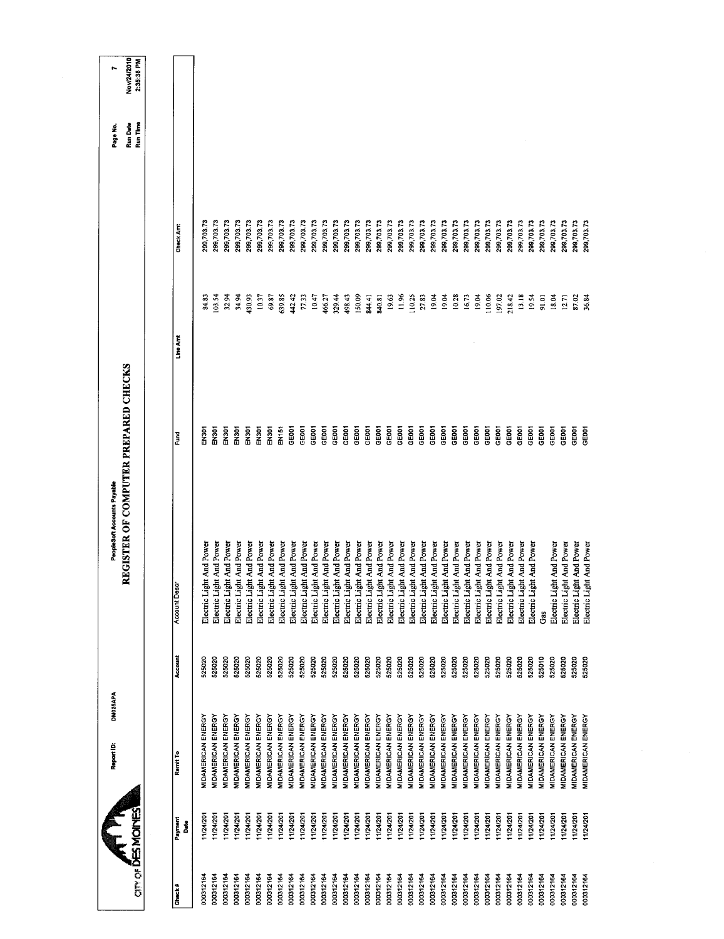| REGISTER OF COMPUTER PREPARED CHECKS<br><b>RSQL</b><br><b>DOSNE</b><br>Ĕ | <b>Account Descr</b>     |                                                      |                  |
|--------------------------------------------------------------------------|--------------------------|------------------------------------------------------|------------------|
|                                                                          |                          |                                                      |                  |
|                                                                          |                          |                                                      |                  |
|                                                                          |                          |                                                      | Account          |
|                                                                          | Electric Light And Power |                                                      | 525020           |
|                                                                          | Electric Light And Power |                                                      | 525020           |
| <b>DOCN</b>                                                              | Electric Light And Power |                                                      | 525020           |
| <b>DOSNE</b>                                                             |                          | Electric Light And Power                             | 525020           |
| EN301                                                                    |                          | Electric Light And Power                             | 525020           |
| EN301                                                                    |                          | Electric Light And Power                             | 525020           |
| nas<br>N                                                                 |                          | Electric Light And Power                             | 525020           |
| EN <sub>151</sub>                                                        |                          | Electric Light And Power                             | 525020           |
| <b>SEGOT</b>                                                             |                          | Electric Light And Power                             | 525020           |
| GE001                                                                    |                          | Electric Light And Power                             | 525020           |
| GEOCT                                                                    |                          | Electric Light And Power                             | 525020           |
| <b>GEOOT</b>                                                             |                          | Electric Light And Power                             | 525020           |
| GE001                                                                    |                          | Electric Light And Power                             | 525020           |
| GE001                                                                    |                          | Electric Light And Power                             | 525020           |
| GEOOT                                                                    |                          | Electric Light And Power                             | 525020           |
| GE001                                                                    |                          | Electric Light And Power                             | 525020           |
| GEOO1                                                                    |                          | Electric Light And Power                             | 525020           |
| GEOO1                                                                    |                          | Electric Light And Power                             | 525020           |
| <b>GEOOT</b>                                                             |                          | Electric Light And Power                             | 525020           |
| GEOCI                                                                    |                          | Electric Light And Power                             | 525020           |
| <b>GEOOT</b>                                                             |                          | Electric Light And Power                             | 525020           |
| <b>GEOOT</b><br><b>GEOCT</b>                                             |                          | Electric Light And Power                             | 525020<br>525020 |
| GEDOT                                                                    |                          | Electric Light And Power<br>Electric Light And Power | 525020           |
| GE001                                                                    |                          | Electric Light And Power                             | 525020           |
| <b>GEOOT</b>                                                             |                          | Electric Light And Power                             | 525020           |
| <b>GEOCI</b>                                                             |                          | Electric Light And Power                             | 525020           |
| GEOCI                                                                    |                          | Electric Light And Power                             | 525020           |
| GE001                                                                    |                          | Electric Light And Power                             | 525020           |
| GE001                                                                    |                          | Electric Light And Power                             | 525020           |
| <b>SEDS</b>                                                              |                          | Electric Light And Power                             | 525020           |
| <b>GEOOT</b>                                                             |                          | Gas                                                  | 525010           |
| GE001                                                                    |                          | Electric Light And Power                             | 525020           |
| GE001                                                                    |                          | Electric Light And Power                             | 525020           |
| GE001                                                                    |                          | Electric Light And Power                             | 525020           |
| GE001                                                                    |                          | Electric Light And Power                             | 525020           |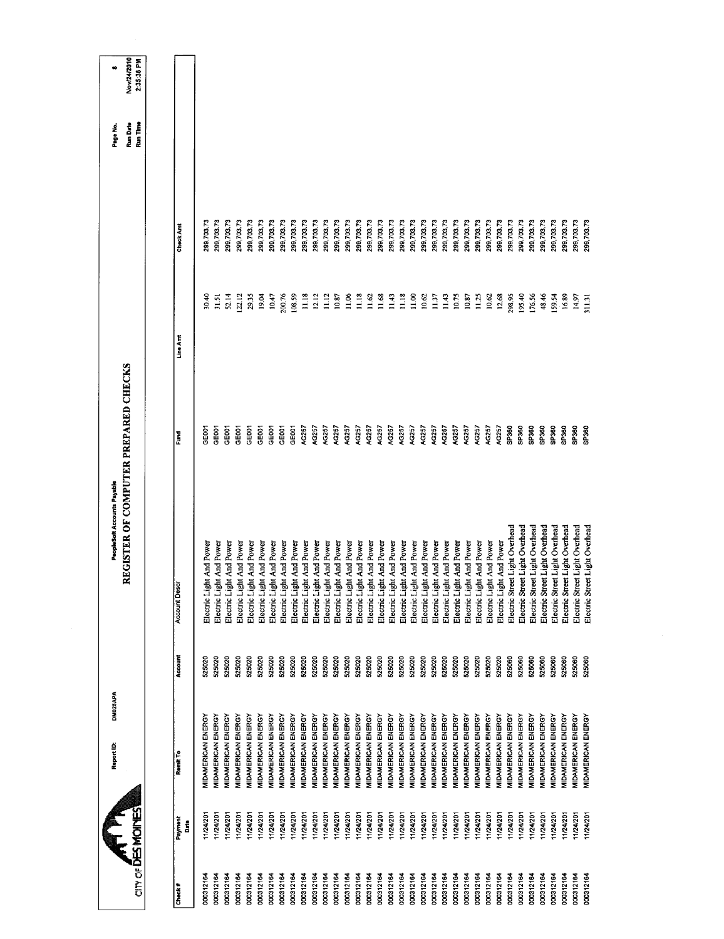| 299,703.73<br>299,703.73<br>299,703,73<br>299,703.73<br>299,703.73<br>299,703.73<br>299,703.73<br>299,703.73<br>299,703.73<br>299,703.73<br>299,703.73<br>299,703.73<br>299,703.73<br>299,703.73<br>299,703.73<br>299,703.73<br>299,703.73<br>299,703.73<br>299,703.73<br>299,703.73<br>299,703.73<br>299,703.73<br>299,703.73<br>299,703,73<br>299,703.73<br>299,703.73<br>299,703.73<br>299,703.73<br>299,703.73<br>299,703.73<br>299,703.73<br>299,703.73<br>299,703.73<br>299,703.73<br>299,703.73<br>299,703.73<br>Check Amt<br>11.18<br>12.12<br>11.12<br>11.18<br>11.68<br>11.18<br>52.14<br>19.04<br>10.47<br>200.76<br>108.59<br>10.87<br>11,06<br>11.62<br>11.43<br>11.00<br>11.37<br>11.43<br>10.87<br>11.25<br>12.68<br>298.95<br>195.40<br>176.56<br>16.89<br>30.40<br>122.12<br>29.35<br>10.62<br>10.75<br>10.62<br>48.46<br>159.54<br>31.51<br>14.97<br>311.31<br>Line Amt<br>GE001<br>AG257<br>AG257<br>SP360<br>SP360<br>GE001<br>GEDD1<br>GE001<br>GE001<br>GE001<br>AG257<br>AG257<br>AG257<br>AG257<br>AG257<br>AG257<br>AG257<br>AG257<br>AG257<br>AG257<br>AG257<br>AG257<br>AG257<br>AG257<br>AG257<br>AG257<br>AG257<br>SP360<br>SP <sub>360</sub><br>SP <sub>360</sub><br>GE001<br><b>GEDOT</b><br>GEOOT<br>SP360<br>SP360<br>SP360<br>Fund<br>Electric Street Light Overhead<br>Electric Street Light Overhead<br>Electric Street Light Overhead<br>Electric Street Light Overhead<br>Electric Street Light Overhead<br>Electric Street Light Overhead<br>Electric Street Light Overhead<br>Electric Street Light Overhead<br>Electric Light And Power<br>Electric Light And Power<br>Electric Light And Power<br>Electric Light And Power<br>Electric Light And Power<br>Electric Light And Power<br>Electric Light And Power<br>Electric Light And Power<br>Electric Light And Power<br>Electric Light And Power<br>Electric Light And Power<br>Electric Light And Power<br>Electric Light And Power<br>Electric Light And Power<br>Electric Light And Power<br>Electric Light And Power<br>Electric Light And Power<br>Electric Light And Power<br>Electric Light And Power<br>Electric Light And Power<br>Electric Light And Power<br>Electric Light And Power<br>Electric Light And Power<br>Electric Light And Power<br>Electric Light And Power<br>Electric Light And Power<br>Electric Light And Power<br>Electric Light And Power<br>Account Descr<br>Account<br>525020<br>525020<br>525020<br>525020<br>525020<br>525020<br>525020<br>525020<br>525060<br>525060<br>525060<br>525020<br>525020<br>525020<br>525020<br>525020<br>525020<br>525020<br>525020<br>525020<br>525020<br>525020<br>525020<br>525020<br>525020<br>525020<br>525020<br>525020<br>525020<br>525060<br>525080<br>525060<br>525020<br>525020<br>525060<br>525060<br>MIDAMERICAN ENERGY<br>MIDAMERICAN ENERGY<br>MIDAMERICAN ENERGY<br><b>MIDAMERICAN ENERGY</b><br><b>MIDAMERICAN ENERGY</b><br><b>MIDAMERICAN ENERGY</b><br>MIDAMERICAN ENERGY<br>MIDAMERICAN ENERGY<br><b>MIDAMERICAN ENERGY</b><br>MIDAMERICAN ENERGY<br>MIDAMERICAN ENERGY<br>MIDAMERICAN ENERGY<br><b>MIDAMERICAN ENERGY</b><br>MIDAMERICAN ENERGY<br>MIDAMERICAN ENERGY<br>MIDAMERICAN ENERGY<br><b>MIDAMERICAN ENERGY</b><br>MIDAMERICAN ENERGY<br><b>MIDAMERICAN ENERGY</b><br>MIDAMERICAN ENERGY<br>MIDAMERICAN ENERGY<br>MIDAMERICAN ENERGY<br>MIDAMERICAN ENERGY<br>MIDAMERICAN ENERGY<br>MIDAMERICAN ENERGY<br>MIDAMERICAN ENERGY<br><b>MIDAMERICAN ENERGY</b><br><b>MIDAMERICAN ENERGY</b><br>MIDAMERICAN ENERGY<br>MIDAMERICAN ENERGY<br>MIDAMERICAN ENERGY<br>MIDAMERICAN ENERGY<br>MIDAMERICAN ENERGY<br><b>MIDAMERICAN ENERGY</b><br>MIDAMERICAN ENERGY<br>MIDAMERICAN ENERGY<br>Remit To<br>11/24/201<br>11/24/201<br>11/24/201<br>11/24/201<br>11/24/201<br>11/24/201<br>11/24/201<br>11/24/201<br>11/24/201<br>11/24/201<br>11/24/201<br>11/24/201<br>11/24/201<br>11/24/201<br>11/24/201<br>11/24/201<br>11/24/201<br>11/24/201<br>11/24/201<br>11/24/201<br>11/24/201<br>11/24/201<br>1/24/201<br>11/24/201<br>11/24/201<br>11/24/201<br>11/24/201<br>11/24/201<br>11/24/201<br>11/24/201<br>11/24/201<br>11/24/201<br>11/24/201<br>1/24/201<br>11/24/201<br>11/24/20<br>Payment<br>å | an of <b>DES MOINES</b> |  |  |  |  |  |
|-------------------------------------------------------------------------------------------------------------------------------------------------------------------------------------------------------------------------------------------------------------------------------------------------------------------------------------------------------------------------------------------------------------------------------------------------------------------------------------------------------------------------------------------------------------------------------------------------------------------------------------------------------------------------------------------------------------------------------------------------------------------------------------------------------------------------------------------------------------------------------------------------------------------------------------------------------------------------------------------------------------------------------------------------------------------------------------------------------------------------------------------------------------------------------------------------------------------------------------------------------------------------------------------------------------------------------------------------------------------------------------------------------------------------------------------------------------------------------------------------------------------------------------------------------------------------------------------------------------------------------------------------------------------------------------------------------------------------------------------------------------------------------------------------------------------------------------------------------------------------------------------------------------------------------------------------------------------------------------------------------------------------------------------------------------------------------------------------------------------------------------------------------------------------------------------------------------------------------------------------------------------------------------------------------------------------------------------------------------------------------------------------------------------------------------------------------------------------------------------------------------------------------------------------------------------------------------------------------------------------------------------------------------------------------------------------------------------------------------------------------------------------------------------------------------------------------------------------------------------------------------------------------------------------------------------------------------------------------------------------------------------------------------------------------------------------------------------------------------------------------------------------------------------------------------------------------------------------------------------------------------------------------------------------------------------------------------------------------------------------------------------------------------------------------------------------------------------------------------------------------------------------------------------------------------------------------------------------------------------------------------------------------------------------------------------------------------------------------------------------------------------------------------------------------------------------------------------------------------------------------------------------------------------------------------------------------------------------------------------------------------------------------------------------------------------------------------------------------------------------------------------------------------------------------------|-------------------------|--|--|--|--|--|
|                                                                                                                                                                                                                                                                                                                                                                                                                                                                                                                                                                                                                                                                                                                                                                                                                                                                                                                                                                                                                                                                                                                                                                                                                                                                                                                                                                                                                                                                                                                                                                                                                                                                                                                                                                                                                                                                                                                                                                                                                                                                                                                                                                                                                                                                                                                                                                                                                                                                                                                                                                                                                                                                                                                                                                                                                                                                                                                                                                                                                                                                                                                                                                                                                                                                                                                                                                                                                                                                                                                                                                                                                                                                                                                                                                                                                                                                                                                                                                                                                                                                                                                                                                                     |                         |  |  |  |  |  |
|                                                                                                                                                                                                                                                                                                                                                                                                                                                                                                                                                                                                                                                                                                                                                                                                                                                                                                                                                                                                                                                                                                                                                                                                                                                                                                                                                                                                                                                                                                                                                                                                                                                                                                                                                                                                                                                                                                                                                                                                                                                                                                                                                                                                                                                                                                                                                                                                                                                                                                                                                                                                                                                                                                                                                                                                                                                                                                                                                                                                                                                                                                                                                                                                                                                                                                                                                                                                                                                                                                                                                                                                                                                                                                                                                                                                                                                                                                                                                                                                                                                                                                                                                                                     |                         |  |  |  |  |  |
|                                                                                                                                                                                                                                                                                                                                                                                                                                                                                                                                                                                                                                                                                                                                                                                                                                                                                                                                                                                                                                                                                                                                                                                                                                                                                                                                                                                                                                                                                                                                                                                                                                                                                                                                                                                                                                                                                                                                                                                                                                                                                                                                                                                                                                                                                                                                                                                                                                                                                                                                                                                                                                                                                                                                                                                                                                                                                                                                                                                                                                                                                                                                                                                                                                                                                                                                                                                                                                                                                                                                                                                                                                                                                                                                                                                                                                                                                                                                                                                                                                                                                                                                                                                     |                         |  |  |  |  |  |
|                                                                                                                                                                                                                                                                                                                                                                                                                                                                                                                                                                                                                                                                                                                                                                                                                                                                                                                                                                                                                                                                                                                                                                                                                                                                                                                                                                                                                                                                                                                                                                                                                                                                                                                                                                                                                                                                                                                                                                                                                                                                                                                                                                                                                                                                                                                                                                                                                                                                                                                                                                                                                                                                                                                                                                                                                                                                                                                                                                                                                                                                                                                                                                                                                                                                                                                                                                                                                                                                                                                                                                                                                                                                                                                                                                                                                                                                                                                                                                                                                                                                                                                                                                                     |                         |  |  |  |  |  |
|                                                                                                                                                                                                                                                                                                                                                                                                                                                                                                                                                                                                                                                                                                                                                                                                                                                                                                                                                                                                                                                                                                                                                                                                                                                                                                                                                                                                                                                                                                                                                                                                                                                                                                                                                                                                                                                                                                                                                                                                                                                                                                                                                                                                                                                                                                                                                                                                                                                                                                                                                                                                                                                                                                                                                                                                                                                                                                                                                                                                                                                                                                                                                                                                                                                                                                                                                                                                                                                                                                                                                                                                                                                                                                                                                                                                                                                                                                                                                                                                                                                                                                                                                                                     |                         |  |  |  |  |  |
|                                                                                                                                                                                                                                                                                                                                                                                                                                                                                                                                                                                                                                                                                                                                                                                                                                                                                                                                                                                                                                                                                                                                                                                                                                                                                                                                                                                                                                                                                                                                                                                                                                                                                                                                                                                                                                                                                                                                                                                                                                                                                                                                                                                                                                                                                                                                                                                                                                                                                                                                                                                                                                                                                                                                                                                                                                                                                                                                                                                                                                                                                                                                                                                                                                                                                                                                                                                                                                                                                                                                                                                                                                                                                                                                                                                                                                                                                                                                                                                                                                                                                                                                                                                     |                         |  |  |  |  |  |
|                                                                                                                                                                                                                                                                                                                                                                                                                                                                                                                                                                                                                                                                                                                                                                                                                                                                                                                                                                                                                                                                                                                                                                                                                                                                                                                                                                                                                                                                                                                                                                                                                                                                                                                                                                                                                                                                                                                                                                                                                                                                                                                                                                                                                                                                                                                                                                                                                                                                                                                                                                                                                                                                                                                                                                                                                                                                                                                                                                                                                                                                                                                                                                                                                                                                                                                                                                                                                                                                                                                                                                                                                                                                                                                                                                                                                                                                                                                                                                                                                                                                                                                                                                                     |                         |  |  |  |  |  |
|                                                                                                                                                                                                                                                                                                                                                                                                                                                                                                                                                                                                                                                                                                                                                                                                                                                                                                                                                                                                                                                                                                                                                                                                                                                                                                                                                                                                                                                                                                                                                                                                                                                                                                                                                                                                                                                                                                                                                                                                                                                                                                                                                                                                                                                                                                                                                                                                                                                                                                                                                                                                                                                                                                                                                                                                                                                                                                                                                                                                                                                                                                                                                                                                                                                                                                                                                                                                                                                                                                                                                                                                                                                                                                                                                                                                                                                                                                                                                                                                                                                                                                                                                                                     |                         |  |  |  |  |  |
|                                                                                                                                                                                                                                                                                                                                                                                                                                                                                                                                                                                                                                                                                                                                                                                                                                                                                                                                                                                                                                                                                                                                                                                                                                                                                                                                                                                                                                                                                                                                                                                                                                                                                                                                                                                                                                                                                                                                                                                                                                                                                                                                                                                                                                                                                                                                                                                                                                                                                                                                                                                                                                                                                                                                                                                                                                                                                                                                                                                                                                                                                                                                                                                                                                                                                                                                                                                                                                                                                                                                                                                                                                                                                                                                                                                                                                                                                                                                                                                                                                                                                                                                                                                     |                         |  |  |  |  |  |
|                                                                                                                                                                                                                                                                                                                                                                                                                                                                                                                                                                                                                                                                                                                                                                                                                                                                                                                                                                                                                                                                                                                                                                                                                                                                                                                                                                                                                                                                                                                                                                                                                                                                                                                                                                                                                                                                                                                                                                                                                                                                                                                                                                                                                                                                                                                                                                                                                                                                                                                                                                                                                                                                                                                                                                                                                                                                                                                                                                                                                                                                                                                                                                                                                                                                                                                                                                                                                                                                                                                                                                                                                                                                                                                                                                                                                                                                                                                                                                                                                                                                                                                                                                                     |                         |  |  |  |  |  |
|                                                                                                                                                                                                                                                                                                                                                                                                                                                                                                                                                                                                                                                                                                                                                                                                                                                                                                                                                                                                                                                                                                                                                                                                                                                                                                                                                                                                                                                                                                                                                                                                                                                                                                                                                                                                                                                                                                                                                                                                                                                                                                                                                                                                                                                                                                                                                                                                                                                                                                                                                                                                                                                                                                                                                                                                                                                                                                                                                                                                                                                                                                                                                                                                                                                                                                                                                                                                                                                                                                                                                                                                                                                                                                                                                                                                                                                                                                                                                                                                                                                                                                                                                                                     |                         |  |  |  |  |  |
|                                                                                                                                                                                                                                                                                                                                                                                                                                                                                                                                                                                                                                                                                                                                                                                                                                                                                                                                                                                                                                                                                                                                                                                                                                                                                                                                                                                                                                                                                                                                                                                                                                                                                                                                                                                                                                                                                                                                                                                                                                                                                                                                                                                                                                                                                                                                                                                                                                                                                                                                                                                                                                                                                                                                                                                                                                                                                                                                                                                                                                                                                                                                                                                                                                                                                                                                                                                                                                                                                                                                                                                                                                                                                                                                                                                                                                                                                                                                                                                                                                                                                                                                                                                     |                         |  |  |  |  |  |
|                                                                                                                                                                                                                                                                                                                                                                                                                                                                                                                                                                                                                                                                                                                                                                                                                                                                                                                                                                                                                                                                                                                                                                                                                                                                                                                                                                                                                                                                                                                                                                                                                                                                                                                                                                                                                                                                                                                                                                                                                                                                                                                                                                                                                                                                                                                                                                                                                                                                                                                                                                                                                                                                                                                                                                                                                                                                                                                                                                                                                                                                                                                                                                                                                                                                                                                                                                                                                                                                                                                                                                                                                                                                                                                                                                                                                                                                                                                                                                                                                                                                                                                                                                                     |                         |  |  |  |  |  |
|                                                                                                                                                                                                                                                                                                                                                                                                                                                                                                                                                                                                                                                                                                                                                                                                                                                                                                                                                                                                                                                                                                                                                                                                                                                                                                                                                                                                                                                                                                                                                                                                                                                                                                                                                                                                                                                                                                                                                                                                                                                                                                                                                                                                                                                                                                                                                                                                                                                                                                                                                                                                                                                                                                                                                                                                                                                                                                                                                                                                                                                                                                                                                                                                                                                                                                                                                                                                                                                                                                                                                                                                                                                                                                                                                                                                                                                                                                                                                                                                                                                                                                                                                                                     |                         |  |  |  |  |  |
|                                                                                                                                                                                                                                                                                                                                                                                                                                                                                                                                                                                                                                                                                                                                                                                                                                                                                                                                                                                                                                                                                                                                                                                                                                                                                                                                                                                                                                                                                                                                                                                                                                                                                                                                                                                                                                                                                                                                                                                                                                                                                                                                                                                                                                                                                                                                                                                                                                                                                                                                                                                                                                                                                                                                                                                                                                                                                                                                                                                                                                                                                                                                                                                                                                                                                                                                                                                                                                                                                                                                                                                                                                                                                                                                                                                                                                                                                                                                                                                                                                                                                                                                                                                     |                         |  |  |  |  |  |
|                                                                                                                                                                                                                                                                                                                                                                                                                                                                                                                                                                                                                                                                                                                                                                                                                                                                                                                                                                                                                                                                                                                                                                                                                                                                                                                                                                                                                                                                                                                                                                                                                                                                                                                                                                                                                                                                                                                                                                                                                                                                                                                                                                                                                                                                                                                                                                                                                                                                                                                                                                                                                                                                                                                                                                                                                                                                                                                                                                                                                                                                                                                                                                                                                                                                                                                                                                                                                                                                                                                                                                                                                                                                                                                                                                                                                                                                                                                                                                                                                                                                                                                                                                                     |                         |  |  |  |  |  |
|                                                                                                                                                                                                                                                                                                                                                                                                                                                                                                                                                                                                                                                                                                                                                                                                                                                                                                                                                                                                                                                                                                                                                                                                                                                                                                                                                                                                                                                                                                                                                                                                                                                                                                                                                                                                                                                                                                                                                                                                                                                                                                                                                                                                                                                                                                                                                                                                                                                                                                                                                                                                                                                                                                                                                                                                                                                                                                                                                                                                                                                                                                                                                                                                                                                                                                                                                                                                                                                                                                                                                                                                                                                                                                                                                                                                                                                                                                                                                                                                                                                                                                                                                                                     |                         |  |  |  |  |  |
|                                                                                                                                                                                                                                                                                                                                                                                                                                                                                                                                                                                                                                                                                                                                                                                                                                                                                                                                                                                                                                                                                                                                                                                                                                                                                                                                                                                                                                                                                                                                                                                                                                                                                                                                                                                                                                                                                                                                                                                                                                                                                                                                                                                                                                                                                                                                                                                                                                                                                                                                                                                                                                                                                                                                                                                                                                                                                                                                                                                                                                                                                                                                                                                                                                                                                                                                                                                                                                                                                                                                                                                                                                                                                                                                                                                                                                                                                                                                                                                                                                                                                                                                                                                     |                         |  |  |  |  |  |
|                                                                                                                                                                                                                                                                                                                                                                                                                                                                                                                                                                                                                                                                                                                                                                                                                                                                                                                                                                                                                                                                                                                                                                                                                                                                                                                                                                                                                                                                                                                                                                                                                                                                                                                                                                                                                                                                                                                                                                                                                                                                                                                                                                                                                                                                                                                                                                                                                                                                                                                                                                                                                                                                                                                                                                                                                                                                                                                                                                                                                                                                                                                                                                                                                                                                                                                                                                                                                                                                                                                                                                                                                                                                                                                                                                                                                                                                                                                                                                                                                                                                                                                                                                                     |                         |  |  |  |  |  |
|                                                                                                                                                                                                                                                                                                                                                                                                                                                                                                                                                                                                                                                                                                                                                                                                                                                                                                                                                                                                                                                                                                                                                                                                                                                                                                                                                                                                                                                                                                                                                                                                                                                                                                                                                                                                                                                                                                                                                                                                                                                                                                                                                                                                                                                                                                                                                                                                                                                                                                                                                                                                                                                                                                                                                                                                                                                                                                                                                                                                                                                                                                                                                                                                                                                                                                                                                                                                                                                                                                                                                                                                                                                                                                                                                                                                                                                                                                                                                                                                                                                                                                                                                                                     |                         |  |  |  |  |  |
|                                                                                                                                                                                                                                                                                                                                                                                                                                                                                                                                                                                                                                                                                                                                                                                                                                                                                                                                                                                                                                                                                                                                                                                                                                                                                                                                                                                                                                                                                                                                                                                                                                                                                                                                                                                                                                                                                                                                                                                                                                                                                                                                                                                                                                                                                                                                                                                                                                                                                                                                                                                                                                                                                                                                                                                                                                                                                                                                                                                                                                                                                                                                                                                                                                                                                                                                                                                                                                                                                                                                                                                                                                                                                                                                                                                                                                                                                                                                                                                                                                                                                                                                                                                     |                         |  |  |  |  |  |
|                                                                                                                                                                                                                                                                                                                                                                                                                                                                                                                                                                                                                                                                                                                                                                                                                                                                                                                                                                                                                                                                                                                                                                                                                                                                                                                                                                                                                                                                                                                                                                                                                                                                                                                                                                                                                                                                                                                                                                                                                                                                                                                                                                                                                                                                                                                                                                                                                                                                                                                                                                                                                                                                                                                                                                                                                                                                                                                                                                                                                                                                                                                                                                                                                                                                                                                                                                                                                                                                                                                                                                                                                                                                                                                                                                                                                                                                                                                                                                                                                                                                                                                                                                                     |                         |  |  |  |  |  |
|                                                                                                                                                                                                                                                                                                                                                                                                                                                                                                                                                                                                                                                                                                                                                                                                                                                                                                                                                                                                                                                                                                                                                                                                                                                                                                                                                                                                                                                                                                                                                                                                                                                                                                                                                                                                                                                                                                                                                                                                                                                                                                                                                                                                                                                                                                                                                                                                                                                                                                                                                                                                                                                                                                                                                                                                                                                                                                                                                                                                                                                                                                                                                                                                                                                                                                                                                                                                                                                                                                                                                                                                                                                                                                                                                                                                                                                                                                                                                                                                                                                                                                                                                                                     |                         |  |  |  |  |  |
|                                                                                                                                                                                                                                                                                                                                                                                                                                                                                                                                                                                                                                                                                                                                                                                                                                                                                                                                                                                                                                                                                                                                                                                                                                                                                                                                                                                                                                                                                                                                                                                                                                                                                                                                                                                                                                                                                                                                                                                                                                                                                                                                                                                                                                                                                                                                                                                                                                                                                                                                                                                                                                                                                                                                                                                                                                                                                                                                                                                                                                                                                                                                                                                                                                                                                                                                                                                                                                                                                                                                                                                                                                                                                                                                                                                                                                                                                                                                                                                                                                                                                                                                                                                     |                         |  |  |  |  |  |
|                                                                                                                                                                                                                                                                                                                                                                                                                                                                                                                                                                                                                                                                                                                                                                                                                                                                                                                                                                                                                                                                                                                                                                                                                                                                                                                                                                                                                                                                                                                                                                                                                                                                                                                                                                                                                                                                                                                                                                                                                                                                                                                                                                                                                                                                                                                                                                                                                                                                                                                                                                                                                                                                                                                                                                                                                                                                                                                                                                                                                                                                                                                                                                                                                                                                                                                                                                                                                                                                                                                                                                                                                                                                                                                                                                                                                                                                                                                                                                                                                                                                                                                                                                                     |                         |  |  |  |  |  |
|                                                                                                                                                                                                                                                                                                                                                                                                                                                                                                                                                                                                                                                                                                                                                                                                                                                                                                                                                                                                                                                                                                                                                                                                                                                                                                                                                                                                                                                                                                                                                                                                                                                                                                                                                                                                                                                                                                                                                                                                                                                                                                                                                                                                                                                                                                                                                                                                                                                                                                                                                                                                                                                                                                                                                                                                                                                                                                                                                                                                                                                                                                                                                                                                                                                                                                                                                                                                                                                                                                                                                                                                                                                                                                                                                                                                                                                                                                                                                                                                                                                                                                                                                                                     |                         |  |  |  |  |  |
|                                                                                                                                                                                                                                                                                                                                                                                                                                                                                                                                                                                                                                                                                                                                                                                                                                                                                                                                                                                                                                                                                                                                                                                                                                                                                                                                                                                                                                                                                                                                                                                                                                                                                                                                                                                                                                                                                                                                                                                                                                                                                                                                                                                                                                                                                                                                                                                                                                                                                                                                                                                                                                                                                                                                                                                                                                                                                                                                                                                                                                                                                                                                                                                                                                                                                                                                                                                                                                                                                                                                                                                                                                                                                                                                                                                                                                                                                                                                                                                                                                                                                                                                                                                     |                         |  |  |  |  |  |
|                                                                                                                                                                                                                                                                                                                                                                                                                                                                                                                                                                                                                                                                                                                                                                                                                                                                                                                                                                                                                                                                                                                                                                                                                                                                                                                                                                                                                                                                                                                                                                                                                                                                                                                                                                                                                                                                                                                                                                                                                                                                                                                                                                                                                                                                                                                                                                                                                                                                                                                                                                                                                                                                                                                                                                                                                                                                                                                                                                                                                                                                                                                                                                                                                                                                                                                                                                                                                                                                                                                                                                                                                                                                                                                                                                                                                                                                                                                                                                                                                                                                                                                                                                                     |                         |  |  |  |  |  |
|                                                                                                                                                                                                                                                                                                                                                                                                                                                                                                                                                                                                                                                                                                                                                                                                                                                                                                                                                                                                                                                                                                                                                                                                                                                                                                                                                                                                                                                                                                                                                                                                                                                                                                                                                                                                                                                                                                                                                                                                                                                                                                                                                                                                                                                                                                                                                                                                                                                                                                                                                                                                                                                                                                                                                                                                                                                                                                                                                                                                                                                                                                                                                                                                                                                                                                                                                                                                                                                                                                                                                                                                                                                                                                                                                                                                                                                                                                                                                                                                                                                                                                                                                                                     |                         |  |  |  |  |  |
|                                                                                                                                                                                                                                                                                                                                                                                                                                                                                                                                                                                                                                                                                                                                                                                                                                                                                                                                                                                                                                                                                                                                                                                                                                                                                                                                                                                                                                                                                                                                                                                                                                                                                                                                                                                                                                                                                                                                                                                                                                                                                                                                                                                                                                                                                                                                                                                                                                                                                                                                                                                                                                                                                                                                                                                                                                                                                                                                                                                                                                                                                                                                                                                                                                                                                                                                                                                                                                                                                                                                                                                                                                                                                                                                                                                                                                                                                                                                                                                                                                                                                                                                                                                     |                         |  |  |  |  |  |
|                                                                                                                                                                                                                                                                                                                                                                                                                                                                                                                                                                                                                                                                                                                                                                                                                                                                                                                                                                                                                                                                                                                                                                                                                                                                                                                                                                                                                                                                                                                                                                                                                                                                                                                                                                                                                                                                                                                                                                                                                                                                                                                                                                                                                                                                                                                                                                                                                                                                                                                                                                                                                                                                                                                                                                                                                                                                                                                                                                                                                                                                                                                                                                                                                                                                                                                                                                                                                                                                                                                                                                                                                                                                                                                                                                                                                                                                                                                                                                                                                                                                                                                                                                                     |                         |  |  |  |  |  |
|                                                                                                                                                                                                                                                                                                                                                                                                                                                                                                                                                                                                                                                                                                                                                                                                                                                                                                                                                                                                                                                                                                                                                                                                                                                                                                                                                                                                                                                                                                                                                                                                                                                                                                                                                                                                                                                                                                                                                                                                                                                                                                                                                                                                                                                                                                                                                                                                                                                                                                                                                                                                                                                                                                                                                                                                                                                                                                                                                                                                                                                                                                                                                                                                                                                                                                                                                                                                                                                                                                                                                                                                                                                                                                                                                                                                                                                                                                                                                                                                                                                                                                                                                                                     |                         |  |  |  |  |  |
|                                                                                                                                                                                                                                                                                                                                                                                                                                                                                                                                                                                                                                                                                                                                                                                                                                                                                                                                                                                                                                                                                                                                                                                                                                                                                                                                                                                                                                                                                                                                                                                                                                                                                                                                                                                                                                                                                                                                                                                                                                                                                                                                                                                                                                                                                                                                                                                                                                                                                                                                                                                                                                                                                                                                                                                                                                                                                                                                                                                                                                                                                                                                                                                                                                                                                                                                                                                                                                                                                                                                                                                                                                                                                                                                                                                                                                                                                                                                                                                                                                                                                                                                                                                     |                         |  |  |  |  |  |
|                                                                                                                                                                                                                                                                                                                                                                                                                                                                                                                                                                                                                                                                                                                                                                                                                                                                                                                                                                                                                                                                                                                                                                                                                                                                                                                                                                                                                                                                                                                                                                                                                                                                                                                                                                                                                                                                                                                                                                                                                                                                                                                                                                                                                                                                                                                                                                                                                                                                                                                                                                                                                                                                                                                                                                                                                                                                                                                                                                                                                                                                                                                                                                                                                                                                                                                                                                                                                                                                                                                                                                                                                                                                                                                                                                                                                                                                                                                                                                                                                                                                                                                                                                                     |                         |  |  |  |  |  |
|                                                                                                                                                                                                                                                                                                                                                                                                                                                                                                                                                                                                                                                                                                                                                                                                                                                                                                                                                                                                                                                                                                                                                                                                                                                                                                                                                                                                                                                                                                                                                                                                                                                                                                                                                                                                                                                                                                                                                                                                                                                                                                                                                                                                                                                                                                                                                                                                                                                                                                                                                                                                                                                                                                                                                                                                                                                                                                                                                                                                                                                                                                                                                                                                                                                                                                                                                                                                                                                                                                                                                                                                                                                                                                                                                                                                                                                                                                                                                                                                                                                                                                                                                                                     |                         |  |  |  |  |  |
|                                                                                                                                                                                                                                                                                                                                                                                                                                                                                                                                                                                                                                                                                                                                                                                                                                                                                                                                                                                                                                                                                                                                                                                                                                                                                                                                                                                                                                                                                                                                                                                                                                                                                                                                                                                                                                                                                                                                                                                                                                                                                                                                                                                                                                                                                                                                                                                                                                                                                                                                                                                                                                                                                                                                                                                                                                                                                                                                                                                                                                                                                                                                                                                                                                                                                                                                                                                                                                                                                                                                                                                                                                                                                                                                                                                                                                                                                                                                                                                                                                                                                                                                                                                     |                         |  |  |  |  |  |
|                                                                                                                                                                                                                                                                                                                                                                                                                                                                                                                                                                                                                                                                                                                                                                                                                                                                                                                                                                                                                                                                                                                                                                                                                                                                                                                                                                                                                                                                                                                                                                                                                                                                                                                                                                                                                                                                                                                                                                                                                                                                                                                                                                                                                                                                                                                                                                                                                                                                                                                                                                                                                                                                                                                                                                                                                                                                                                                                                                                                                                                                                                                                                                                                                                                                                                                                                                                                                                                                                                                                                                                                                                                                                                                                                                                                                                                                                                                                                                                                                                                                                                                                                                                     |                         |  |  |  |  |  |
|                                                                                                                                                                                                                                                                                                                                                                                                                                                                                                                                                                                                                                                                                                                                                                                                                                                                                                                                                                                                                                                                                                                                                                                                                                                                                                                                                                                                                                                                                                                                                                                                                                                                                                                                                                                                                                                                                                                                                                                                                                                                                                                                                                                                                                                                                                                                                                                                                                                                                                                                                                                                                                                                                                                                                                                                                                                                                                                                                                                                                                                                                                                                                                                                                                                                                                                                                                                                                                                                                                                                                                                                                                                                                                                                                                                                                                                                                                                                                                                                                                                                                                                                                                                     |                         |  |  |  |  |  |
|                                                                                                                                                                                                                                                                                                                                                                                                                                                                                                                                                                                                                                                                                                                                                                                                                                                                                                                                                                                                                                                                                                                                                                                                                                                                                                                                                                                                                                                                                                                                                                                                                                                                                                                                                                                                                                                                                                                                                                                                                                                                                                                                                                                                                                                                                                                                                                                                                                                                                                                                                                                                                                                                                                                                                                                                                                                                                                                                                                                                                                                                                                                                                                                                                                                                                                                                                                                                                                                                                                                                                                                                                                                                                                                                                                                                                                                                                                                                                                                                                                                                                                                                                                                     |                         |  |  |  |  |  |
|                                                                                                                                                                                                                                                                                                                                                                                                                                                                                                                                                                                                                                                                                                                                                                                                                                                                                                                                                                                                                                                                                                                                                                                                                                                                                                                                                                                                                                                                                                                                                                                                                                                                                                                                                                                                                                                                                                                                                                                                                                                                                                                                                                                                                                                                                                                                                                                                                                                                                                                                                                                                                                                                                                                                                                                                                                                                                                                                                                                                                                                                                                                                                                                                                                                                                                                                                                                                                                                                                                                                                                                                                                                                                                                                                                                                                                                                                                                                                                                                                                                                                                                                                                                     |                         |  |  |  |  |  |
|                                                                                                                                                                                                                                                                                                                                                                                                                                                                                                                                                                                                                                                                                                                                                                                                                                                                                                                                                                                                                                                                                                                                                                                                                                                                                                                                                                                                                                                                                                                                                                                                                                                                                                                                                                                                                                                                                                                                                                                                                                                                                                                                                                                                                                                                                                                                                                                                                                                                                                                                                                                                                                                                                                                                                                                                                                                                                                                                                                                                                                                                                                                                                                                                                                                                                                                                                                                                                                                                                                                                                                                                                                                                                                                                                                                                                                                                                                                                                                                                                                                                                                                                                                                     |                         |  |  |  |  |  |
|                                                                                                                                                                                                                                                                                                                                                                                                                                                                                                                                                                                                                                                                                                                                                                                                                                                                                                                                                                                                                                                                                                                                                                                                                                                                                                                                                                                                                                                                                                                                                                                                                                                                                                                                                                                                                                                                                                                                                                                                                                                                                                                                                                                                                                                                                                                                                                                                                                                                                                                                                                                                                                                                                                                                                                                                                                                                                                                                                                                                                                                                                                                                                                                                                                                                                                                                                                                                                                                                                                                                                                                                                                                                                                                                                                                                                                                                                                                                                                                                                                                                                                                                                                                     |                         |  |  |  |  |  |
|                                                                                                                                                                                                                                                                                                                                                                                                                                                                                                                                                                                                                                                                                                                                                                                                                                                                                                                                                                                                                                                                                                                                                                                                                                                                                                                                                                                                                                                                                                                                                                                                                                                                                                                                                                                                                                                                                                                                                                                                                                                                                                                                                                                                                                                                                                                                                                                                                                                                                                                                                                                                                                                                                                                                                                                                                                                                                                                                                                                                                                                                                                                                                                                                                                                                                                                                                                                                                                                                                                                                                                                                                                                                                                                                                                                                                                                                                                                                                                                                                                                                                                                                                                                     |                         |  |  |  |  |  |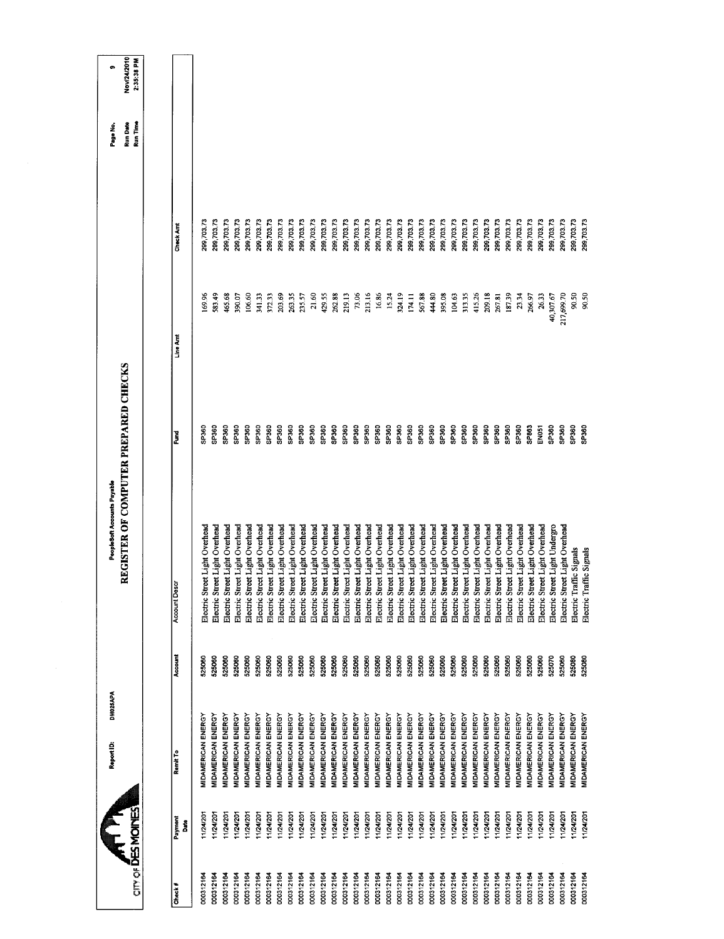| o                           | Nov/24/2010<br>2:35:38 PM            |                      |                           |                                |                                |                                |                                |                                |                                |                                |                                |                                |                                |                                |                                |                                |                                |                                |                                |                                |                                  |                                |                                |                                |                                |                                |                                |                                |                                |                                |                                |                                |                                |                                |                                |                                |                          |                                  |
|-----------------------------|--------------------------------------|----------------------|---------------------------|--------------------------------|--------------------------------|--------------------------------|--------------------------------|--------------------------------|--------------------------------|--------------------------------|--------------------------------|--------------------------------|--------------------------------|--------------------------------|--------------------------------|--------------------------------|--------------------------------|--------------------------------|--------------------------------|--------------------------------|----------------------------------|--------------------------------|--------------------------------|--------------------------------|--------------------------------|--------------------------------|--------------------------------|--------------------------------|--------------------------------|--------------------------------|--------------------------------|--------------------------------|--------------------------------|--------------------------------|--------------------------------|--------------------------------|--------------------------|----------------------------------|
| Page No.                    | Run Time<br>Run Date                 |                      |                           |                                |                                |                                |                                |                                |                                |                                |                                |                                |                                |                                |                                |                                |                                |                                |                                |                                |                                  |                                |                                |                                |                                |                                |                                |                                |                                |                                |                                |                                |                                |                                |                                |                                |                          |                                  |
|                             |                                      |                      |                           |                                |                                |                                |                                |                                |                                |                                |                                |                                |                                |                                |                                |                                |                                |                                |                                |                                |                                  |                                |                                |                                |                                |                                |                                |                                |                                |                                |                                |                                |                                |                                |                                |                                |                          |                                  |
|                             |                                      | Check Am             | 299,703.73                | 299,703.73                     | 299,703.73                     | 299,703.73                     | 299,703.73                     | 299,703.73                     | 299,703.73                     | 299,703.73                     | 299,703.73                     | 299,703.73                     | 299,703.73                     | 299,703.73                     | 299,703.73                     | 299,703.73                     | 299,703.73                     | 299,703.73                     | 299,703.73                     | 299,703.73                     | 299,703.73                       | 299,703.73                     | 299,703.73                     | 299,703,73                     | 299,703,73                     | 299,703.73                     | 299,703.73                     | 299,703.73                     | 299,703.73                     | 299,703.73                     | 299,703.73                     | 299,703.73                     | 299,703.73                     | 299,703.73                     | 299,703.73                     | 299,703.73                     | 299,703.73               | 299,703.73                       |
|                             |                                      |                      | 169.96                    | 583.49                         | 165.68                         | 390.07                         | 106.60                         | 341.33                         | 372.33                         | 203.69                         | 26335                          | 235.57                         | 21.60                          | 429.55                         | 262.88                         | 219.13                         | 73.06                          | 213.16                         | 16.86                          | 15.24                          | 324.19                           | 174.11                         | 567.88                         | 444.80                         | 395.08                         | 104.63                         | 31335                          | 415.26                         | 209.18                         | 267.81                         | 187.39                         | 23.34                          | 266.97                         | 26.33                          | 40,307.67                      | 217,699.70                     | 90.50                    | 90.50                            |
|                             |                                      | Line Am              |                           |                                |                                |                                |                                |                                |                                |                                |                                |                                |                                |                                |                                |                                |                                |                                |                                |                                |                                  |                                |                                |                                |                                |                                |                                |                                |                                |                                |                                |                                |                                |                                |                                |                                |                          |                                  |
|                             |                                      |                      |                           |                                |                                |                                |                                |                                |                                |                                |                                |                                |                                |                                |                                |                                |                                |                                |                                |                                |                                  |                                |                                |                                |                                |                                |                                |                                |                                |                                |                                |                                |                                |                                |                                |                                |                          |                                  |
|                             |                                      | š                    | SP360                     | SP360                          | SP360                          | SP360                          | SP360                          | SP360                          | SP <sub>360</sub>              | SP360                          | <b>GBC4S</b>                   | SP <sub>360</sub>              | SP <sub>360</sub>              | SP360                          | SP <sub>360</sub>              | SP360                          | SP360                          | SP <sub>360</sub>              | SP <sub>360</sub>              | SP360                          | SP360                            | SP360                          | SP360                          | SP360                          | SP <sub>360</sub>              | SP360                          | SP <sub>360</sub>              | SP360                          | SP360                          | SP360                          | SP360                          | <b>GP360</b>                   | SP863                          | EN051                          | SP <sub>360</sub>              | SP360                          | SP360                    | SP360                            |
| PeopleSoft Accounts Payable | REGISTER OF COMPUTER PREPARED CHECKS |                      |                           |                                |                                |                                |                                |                                |                                |                                |                                |                                |                                |                                |                                |                                |                                |                                |                                |                                |                                  |                                |                                |                                |                                |                                |                                |                                |                                |                                |                                |                                |                                |                                |                                |                                |                          |                                  |
|                             |                                      |                      | eet Light Overhead        | Electric Street Light Overhead | Electric Street Light Overhead | Electric Street Light Overhead | Electric Street Light Overhead | Electric Street Light Overhead | Electric Street Light Overhead | Electric Street Light Overhead | Electric Street Light Overhead | Electric Street Light Overhead | Electric Street Light Overhead | Electric Street Light Overhead | Electric Street Light Overhead | Electric Street Light Overhead | Electric Street Light Overhead | Electric Street Light Overhead | Electric Street Light Overhead | Electric Street Light Overhead | Electric Street Light Overhead   | Electric Street Light Overhead | Electric Street Light Overhead | Electric Street Light Overhead | Electric Street Light Overhead | Electric Street Light Overhead | Electric Street Light Overhead | Electric Street Light Overhead | Electric Street Light Overhead | Electric Street Light Overhead | Electric Street Light Overhead | Electric Street Light Overhead | Electric Street Light Overhead | Electric Street Light Overhead | Electric Street Light Undergro | Electric Street Light Overhead |                          |                                  |
|                             |                                      | <b>Account Descr</b> | Electric Str              |                                |                                |                                |                                |                                |                                |                                |                                |                                |                                |                                |                                |                                |                                |                                |                                |                                |                                  |                                |                                |                                |                                |                                |                                |                                |                                |                                |                                |                                |                                |                                |                                |                                | Electric Traffic Signals | Electric Traffic Signals         |
|                             |                                      | Account              | 525060                    | 525060                         | 525060                         | 525060                         | 525060                         | 525060                         | 525060                         | 525060                         | 525060                         | 525060                         | 525060                         | 525060                         | 525060                         | 525060                         | 525060                         | 525060                         | 525060                         | 525060                         | 525060                           | 525060                         | 525060                         | 525060                         | 525060                         | 525060                         | 525060                         | 525060                         | 525060                         | 525060                         | 525060                         | 525060                         | 525060                         | 525060                         | 525070                         | 525060                         | 525080                   | 525080                           |
| DM025APA                    |                                      |                      |                           |                                |                                |                                |                                |                                |                                |                                |                                |                                |                                |                                |                                |                                |                                |                                |                                |                                |                                  |                                |                                |                                |                                |                                |                                |                                |                                |                                |                                |                                |                                |                                |                                |                                |                          |                                  |
| Report ID:                  |                                      | Remit To             | <b>MIDAMERICAN ENERGY</b> | <b>MIDAMERICAN ENERGY</b>      | <b>MIDAMERICAN ENERGY</b>      | MIDAMERICAN ENERGY             | MIDAMERICAN ENERGY             | <b>MIDAMERICAN ENERGY</b>      | MIDAMERICAN ENERGY             | MIDAMERICAN ENERGY             | MIDAMERICAN ENERGY             | <b>MIDAMERICAN ENERGY</b>      | <b>MIDAMERICAN ENERGY</b>      | MIDAMERICAN ENERGY             | MIDAMERICAN ENERGY             | MIDAMERICAN ENERGY             | MIDAMERICAN ENERGY             | MIDAMERICAN ENERGY             | MIDAMERICAN ENERGY             | MIDAMERICAN ENERGY             | <b><i>AIDAMERICAN ENERGY</i></b> | MIDAMERICAN ENERGY             | MIDAMERICAN ENERGY             | <b>MIDAMERICAN ENERGY</b>      | MIDAMERICAN ENERGY             | MIDAMERICAN ENERGY             | MIDAMERICAN ENERGY             | MIDAMERICAN ENERGY             | <b>MIDAMERICAN ENERGY</b>      | <b>MIDAMERICAN ENERGY</b>      | MIDAMERICAN ENERGY             | <b>VIDAMERICAN ENERGY</b>      | MIDAMERICAN ENERGY             | MIDAMERICAN ENERGY             | MIDAMERICAN ENERGY             | MIDAMERICAN ENERGY             | MIDAMERICAN ENERGY       | <b><i>AIDAMERICAN ENERGY</i></b> |
|                             |                                      | Payment<br>Date      | 11/24/20                  | 11/24/201                      | 11/24/201                      | 11/24/201                      | 11/24/201                      | 1/24/201                       | 11/24/201                      | 11/24/201                      | 11/24/201                      | 11/24/201                      | 11/24/201                      | 11/24/201                      | 11/24/201                      | 11/24/201                      | 11/24/201                      | 11/24/201                      | 11/24/201                      | 11/24/201                      | 11/24/201                        | 11/24/201                      | 11/24/201                      | 1/24/201                       | 11/24/201                      | 11/24/201                      | 1/24/201                       | 11/24/201                      | 11/24/201                      | 11/24/201                      | 11/24/201                      | 124/201                        | 11/24/201                      | 11/24/201                      | 1/24/201                       | 11/24/201                      | 1124/201                 | 11/24/201                        |
|                             | any of <b>DES MOINES</b>             |                      |                           |                                |                                |                                |                                |                                |                                |                                |                                |                                |                                |                                |                                |                                |                                |                                |                                |                                |                                  |                                |                                |                                |                                |                                |                                |                                |                                |                                |                                |                                |                                |                                |                                |                                |                          |                                  |
|                             |                                      | Check#               | 000312164                 | 000312164                      | 000312164                      | 000312164                      | 000312164                      | 000312164                      | 000312164                      | 000312164                      | 000312164                      | 000312164                      | 000312164                      | 000312164                      | 000312164                      | 000312164                      | 000312164                      | 000312164                      | 000312164                      | 000312164                      | 000312164                        | 000312164                      | 000312164                      | 000312164                      | 000312164                      | 000312164                      | 000312164                      | 000312164                      | 000312164                      | 000312164                      | 000312164                      | 000312164                      | 000312164                      | 000312164                      | 000312164                      | 000312164                      | 000312164                | 000312164                        |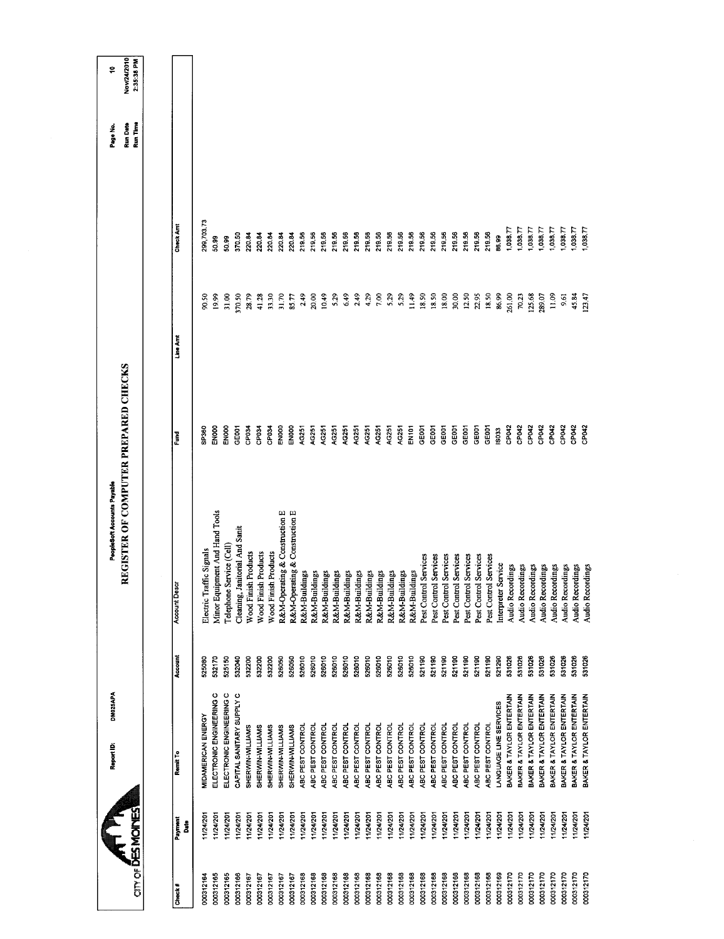| $\sum_{\text{error}}$ |              | DM025APA<br>Report ID:    |         | REGISTER OF COMPUTER PREPARED CHECKS<br>PeopleSoft Accounts Payable |                   |                |            | Run Date<br>Page No. | Nov/24/2010<br>÷ |
|-----------------------|--------------|---------------------------|---------|---------------------------------------------------------------------|-------------------|----------------|------------|----------------------|------------------|
|                       |              |                           |         |                                                                     |                   |                |            | Run Time             | 2:35:38 PM       |
|                       |              |                           |         |                                                                     |                   |                |            |                      |                  |
| Check#                | Payment<br>å | Remit To                  | Account | <b>Account Desc</b>                                                 | Ě                 | Line Amt       | Check Am   |                      |                  |
| 000312164             | 11/24/201    | <b>MIDAMERICAN ENERGY</b> | 525080  | Electric Traffic Signals                                            | <b>SP260</b>      | 90.50          | 299,703.73 |                      |                  |
| 000312165             | 11/24/201    | ELECTRONIC ENGINEERING C  | 532170  | Minor Equipment And Hand Tools                                      | <b>EN000</b>      | 19.99          | 50.99      |                      |                  |
| 000312165             | 11/24/201    | ELECTRONIC ENGINEERING C  | 525150  | Telephone Service (Cell)                                            | EN000             | 31.00          | 50.99      |                      |                  |
| 000312166             | 11/24/201    | CAPITAL SANITARY SUPPLY C | 532040  | Cleaning, Janitorial And Sanit                                      | <b>SEDDT</b>      | 370,50         | 370.50     |                      |                  |
| 000312167             | 11/24/201    | SHERWIN-WILLIAMS          | 532200  | Wood Finish Products                                                | CP034             | 28.79          | 220.84     |                      |                  |
| 000312167             | 11/24/201    | SHERWIN-WILLIAMS          | 532200  | Wood Finish Products                                                | CP034             | 41.28          | 220.84     |                      |                  |
| 000312167             | 11/24/201    | SHERWIN-WILLIAMS          | 532200  | Wood Finish Products                                                | CP034             | 33.30          | 220.84     |                      |                  |
| 000312167             | 11/24/201    | SHERWIN-WILLIAMS          | 526050  | R&M-Operating & Construction E                                      | ENOOD             | 31.70          | 220.84     |                      |                  |
| 000312167             | 11/24/201    | SHERWIN-WILLIAMS          | 526050  | R&M-Operating & Construction E                                      | EN000             | 85.77          | 220.84     |                      |                  |
| 000312168             | 11/24/201    | ABC PEST CONTROL          | 526010  | R&M-Buildings                                                       | AG251             | 2.49           | 219.56     |                      |                  |
| 000312168             | 11/24/201    | ABC PEST CONTROL          | 526010  | R&M-Buildings                                                       | AG251             | 20,00          | 219.56     |                      |                  |
| 000312168             | 1/24/201     | ABC PEST CONTROL          | 526010  | R&M-Buildings                                                       | AG251             | 10.49          | 219.56     |                      |                  |
| 000312168             | 11/24/201    | ABC PEST CONTROL          | 526010  | R&M-Buildings                                                       | A <sub>Q</sub>    | 5.29           | 219.56     |                      |                  |
| 000312168             | 11/24/201    | ABC PEST CONTROL          | 526010  | R&M-Buildings                                                       | AG251             | 6.49           | 219.56     |                      |                  |
| 000312168             | 1/24/201     | ABC PEST CONTROL          | 526010  | R&M-Buildings                                                       | AG251             | 2.49           | 219.56     |                      |                  |
| 000312168             | 1/24/201     | ABC PEST CONTROL          | 526010  | R&M-Buildings                                                       | AG251             | 4.29           | 219.56     |                      |                  |
| 000312168             | 11/24/201    | ABC PEST CONTROL          | 526010  | R&M-Buildings                                                       | AG251             | 7.00           | 219.50     |                      |                  |
| 000312168             | 11/24/201    | ABC PEST CONTROL          | 526010  | R&M-Buildings                                                       | AG251             | 5.29           | 219.56     |                      |                  |
| 000312168             | 11/24/201    | ABC PEST CONTROL          | 526010  | R&M-Buildings                                                       | AG251             | 5.29           | 219.56     |                      |                  |
| 000312168             | 1/24/201     | ABC PEST CONTROL          | 526010  | R&M-Buildings                                                       | EN101             | 11.49          | 219.56     |                      |                  |
| 000312168             | 11/24/201    | ABC PEST CONTROL          | 521190  | Services<br>Pest Control                                            | GEDOT             | 18.50          | 219.56     |                      |                  |
| 000312168             | 11/24/201    | ABC PEST CONTROL          | 521190  | Services<br>Pest Control                                            | GEOOT             | 18.50          | 219.56     |                      |                  |
| 000312168             | 1/24/201     | ABC PEST CONTROL          | 521190  | Services<br>Pest Control                                            | GE <sub>DO1</sub> | 18.00          | 219.56     |                      |                  |
| 000312168             | 11/24/201    | ABC PEST CONTROL          | 521190  | Services<br>Pest Control                                            | GEOOT             | 30.00          | 219.56     |                      |                  |
| 000312168             | 11/24/201    | ABC PEST CONTROL          | 521190  | Services<br>Pest Control                                            | GE001             | 12.50          | 219.56     |                      |                  |
| 000312168             | 11/24/201    | ABC PEST CONTROL          | 521190  | Services<br>Pest Control                                            | <b>GEOOT</b>      | 22.95          | 21956      |                      |                  |
| 000312168             | 11/24/201    | ABC PEST CONTROL          | 521190  | Services<br>Pest Control                                            | GEOOT             | 18.50          | 219.56     |                      |                  |
| 000312169             | 11/24/201    | LANGUAGE LINE SERVICES    | 521290  | Interpreter Service                                                 | 6033              | 86.99          | 86,99      |                      |                  |
| 000312170             | 11/24/201    | BAKER & TAYLOR ENTERTAIN  | 531026  | Audio Recordings                                                    | CP042             | 261.00         | 1,038.77   |                      |                  |
| 000312170             | 11/24/201    | BAKER & TAYLOR ENTERTAIN  | 531026  | Audio Recordings                                                    | CP <sub>042</sub> | 70.23          | 1,038.77   |                      |                  |
| 000312170             | 124/201      | BAKER & TAYLOR ENTERTAIN  | 531026  | Audio Recordings                                                    | CP <sub>042</sub> | 125.68         | 1,038.77   |                      |                  |
| 000312170             | 11/24/201    | BAKER & TAYLOR ENTERTAIN  | 531026  | Audio Recordings                                                    | CP042             | 289.07         | 1,038.77   |                      |                  |
| 000312170             | 1/24/201     | BAKER & TAYLOR ENTERTAIN  | 531026  | Audio Recordings                                                    | CP <sub>042</sub> | $\frac{8}{11}$ | 1,038.77   |                      |                  |
| 000312170             | 11/24/201    | BAKER & TAYLOR ENTERTAIN  | 531026  | Audio Recordings                                                    | CP042             | 9.61           | 1,038.77   |                      |                  |
| 000312170             | 11/24/201    | BAKER & TAYLOR ENTERTAIN  | 531026  | Audio Recordings                                                    | <b>SPORT</b>      | 45.84          | 0.38.77    |                      |                  |
| 000312170             | 11/24/20     | BAKER & TAYLOR ENTERTAIN  | 531026  | Audio Recordings                                                    | <b>SPORT</b>      | 123.47         | 1,038.77   |                      |                  |
|                       |              |                           |         |                                                                     |                   |                |            |                      |                  |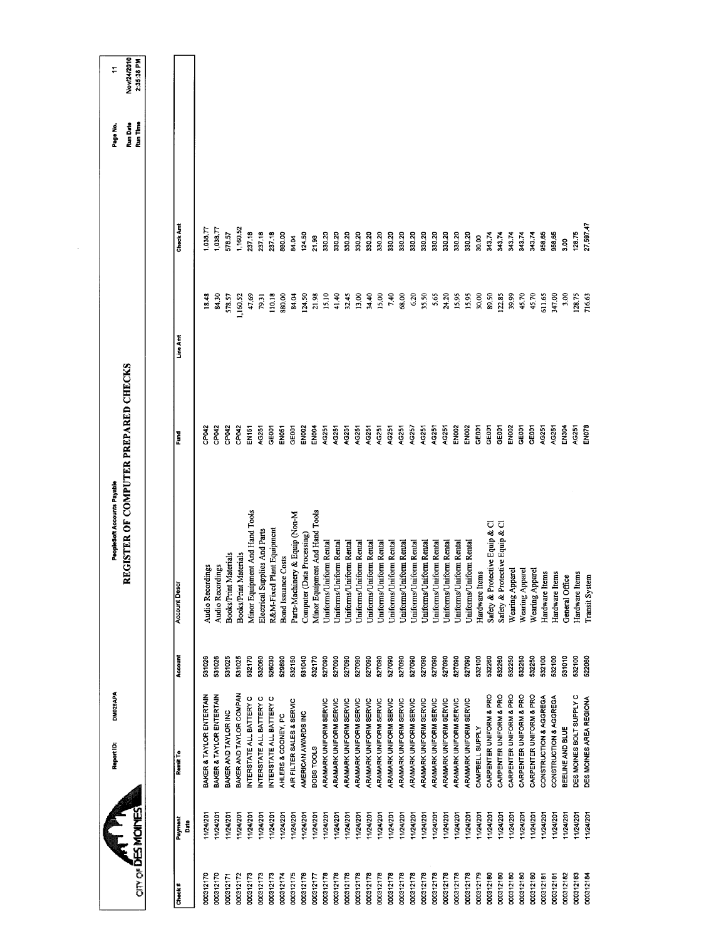|                         |                 | DM025APA<br>Report ID:        |         | REGISTER OF COMPUTER PREPARED CHECKS<br>PeopleSoft Accounts Payable |                   |           |               | Page No.             | ÷,                        |
|-------------------------|-----------------|-------------------------------|---------|---------------------------------------------------------------------|-------------------|-----------|---------------|----------------------|---------------------------|
| an or <b>DES MONTES</b> |                 |                               |         |                                                                     |                   |           |               | Run Time<br>Run Date | Nov/24/2010<br>2:35:38 PM |
|                         |                 |                               |         |                                                                     |                   |           |               |                      |                           |
| Check#                  | Payment<br>Date | Remit To                      | Account | <b>Account Descr</b>                                                | š                 | Line Arrt | Check Amt     |                      |                           |
| 000312170               | 11/24/201       | BAKER & TAYLOR ENTERTAIN      | 531026  | Audio Recordings                                                    | <b>SPO42</b>      | 18.48     | 038.77        |                      |                           |
| 000312170               | 1/24/201        | BAKER & TAYLOR ENTERTAIN      | 531026  | Audio Recordings                                                    | CP042             | 84.30     | ,038.77       |                      |                           |
| 000312171               | 11/24/201       | BAKER AND TAYLOR INC          | 531025  | Materials<br><b>Books/Print</b>                                     | CPO42             | 578.57    | 578.57        |                      |                           |
| 000312172               | 1/24/201        | BAKER AND TAYLOR COMPAN       | 531025  | Materials<br><b>Books/Print</b>                                     | CP042             | 1,160.52  | 1,160.52      |                      |                           |
| 000312173               | 11/24/201       | INTERSTATE ALL BATTERY C      | 532170  | Minor Equipment And Hand Tools                                      | EN151             | 47.69     | 237.18        |                      |                           |
| 000312173               | 11/24/20        | INTERSTATE ALL BATTERY C      | 532060  | Electrical Supplies And Parts                                       | AG251             | 79.31     | 237.18        |                      |                           |
| 000312173               | 1/24/201        | INTERSTATE ALL BATTERY C      | 526030  | R&M-Fixed Plant Equipment                                           | GEOOT             | 110,18    | 237.18        |                      |                           |
| 000312174               | 11/24/201       | AHLERS & COONEY, PC           | 529890  | Bond Issuance Costs                                                 | EN <sub>051</sub> | 880,00    | 880.00        |                      |                           |
| 000312175               | 11/24/201       | AIR FILTER SALES & SERVIC     | 532150  | Parts-Machinery & Equip (Non-M                                      | GE001             | 84.04     | 84.04         |                      |                           |
| 000312176               | 1/24/201        | AMERICAN AWARDS INC           | 531040  | Computer (Data Processing)                                          | EN <sub>002</sub> | 124.50    | 124.50        |                      |                           |
| 000312177               | 11/24/201       | BOBS TOOLS                    | 532170  | Minor Equipment And Hand Tools                                      | EN004             | 21.98     | 21.98         |                      |                           |
| 000312178               | 1/24/201        | ARAMARK UNIFORM SERVIC        | 527090  | Uniforms/Uniform Rental                                             | AG251             | 15.10     | 330.20        |                      |                           |
| 000312178               | 11/24/201       | ARAMARK UNIFORM SERVIC        | 527090  | Uniforms/Uniform Rental                                             | AG251             | 41.40     | 330.20        |                      |                           |
| 000312178               | 124/201         | ARAMARK UNIFORM SERVIC        | 527090  | Uniforms/Uniform Rental                                             | AG251             | 32.45     | 330.20        |                      |                           |
| 000312178               | 1/24/201        | ARAMARK UNIFORM SERVIC        | 527090  | <b>Jniforms/Uniform Rental</b>                                      | AG251             | 13.00     | 330.20        |                      |                           |
| 000312178               | 11/24/201       | ARAMARK UNIFORM SERVIC        | 527090  | Uniforms/Uniform Rental                                             | AG251             | 34.40     | 330.20        |                      |                           |
| 000312178               | 11/24/201       | ARAMARK UNIFORM SERVIC        | 527090  | Uniforms/Uniform Rental                                             | AG251             | 15.00     | 330.20        |                      |                           |
| 000312178               | 1/24/201        | ARAMARK UNIFORM SERVIC        | 527090  | Jniforms/Uniform Rental                                             | AG251             | 7.40      | 330.20        |                      |                           |
| 000312178               | 1/24/201        | ARAMARK UNIFORM SERVIC        | 527090  | Uniforms/Uniform Rental                                             | AG251             | 68.00     | 330.20        |                      |                           |
| 000312178               | 11/24/201       | ARAMARK UNIFORM SERVIC        | 527090  | Uniforms/Uniform Rental                                             | AG257             | 6.20      | 330.20        |                      |                           |
| 000312178               | 11/24/201       | ARAMARK UNIFORM SERVIC        | 527090  | Uniforms/Uniform Rental                                             | AG251             | 35.50     | 33020         |                      |                           |
| 000312178               | 11/24/201       | ARAMARK UNIFORM SERVIC        | 527090  | Uniforms/Uniform Rental                                             | AG251             | 5.65      | 330.20        |                      |                           |
| 000312178               | 11/24/201       | ARAMARK UNFORM SERVIC         | 527090  | Uniforms/Uniform Rental                                             | AG251             | 24.20     | 330.20        |                      |                           |
| 000312178               | 11/24/201       | <b>ARAMARK UNIFORM SERVIC</b> | 527090  | Uniforms/Uniform Rental                                             | <b>EN002</b>      | 15.95     | 330.20        |                      |                           |
| 000312178               | 11/24/201       | ARAMARK UNIFORM SERVIC        | 527090  | Uniforms/Uniform Rental                                             | <b>EN002</b>      | 15.95     | 330.20        |                      |                           |
| 000312179               | 1/24/201        | CAMPBELL SUPPLY               | 532100  | Hardware Items                                                      | GE001             | 30.00     | 30.00         |                      |                           |
| 000312180               | 1/24/201        | CARPENTER UNIFORM & PRO       | 532260  | Safety & Protective Equip & Cl                                      | GE001             | 89.50     | 343.74        |                      |                           |
| 000312180               | 11/24/201       | CARPENTER UNIFORM & PRO       | 532260  | Safety & Protective Equip & Cl                                      | GEOOT             | 122.85    | 343.74        |                      |                           |
| 000312180               | 1/24/201        | CARPENTER UNIFORM & PRO       | 532250  | Wearing Apparel                                                     | <b>EN002</b>      | 39.99     | 343.74        |                      |                           |
| 000312180               | 11/24/201       | CARPENTER UNIFORM & PRO       | 532250  | Wearing Appare                                                      | GE001             | 45.70     | 343.74        |                      |                           |
| 000312180               | 1/24/20         | CARPENTER UNIFORM & PRO       | 532250  | Wearing Apparel                                                     | GE001             | 45.70     | 343.74        |                      |                           |
| 000312181               | 11/24/201       | CONSTRUCTION & AGGREGA        | 532100  | Hardware Items                                                      | AG251             | 611.65    | 958.65        |                      |                           |
| 000312181               | 11/24/201       | CONSTRUCTION & AGGREGA        | 532100  | Hardware Items                                                      | <b>AG251</b>      | 347.00    | 958,65        |                      |                           |
| 000312182               | 1/24/201        | BEELINE AND BLUE              | 531010  | General Office                                                      | EN304             | 3.00      | $\frac{8}{3}$ |                      |                           |
| 000312183               | 11/24/20        | DES MOINES BOLT SUPPLY C      | 532100  | Hardware Items                                                      | AG251             | 128.75    | 128.75        |                      |                           |
| 000312184               | 11/24/201       | DES MOINES AREA REGIONA       | 522060  | Transit System                                                      | ENO <sub>78</sub> | /16.63    | 27,597.47     |                      |                           |
|                         |                 |                               |         |                                                                     |                   |           |               |                      |                           |

 $\sim$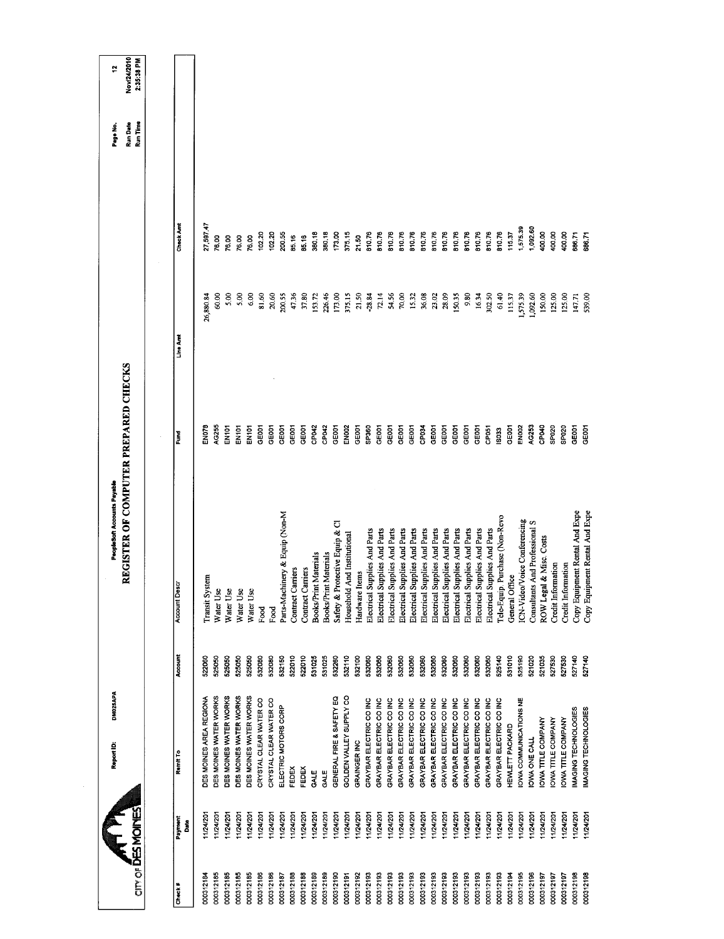| <b>OTHOLOGY</b>        |                          |         |                                 |                   | REGISTER OF COMPUTER PREPARED CHECKS |                  | <b>Run Date</b> | Nov/24/2010 |
|------------------------|--------------------------|---------|---------------------------------|-------------------|--------------------------------------|------------------|-----------------|-------------|
|                        |                          |         |                                 |                   |                                      |                  | Run Time        | 2:35:38 PM  |
| Payment<br>å           | Remit To                 | Account | <b>Account Descr</b>            | Fund              | Line Amt                             | Check Amt        |                 |             |
| 11/24/20<br>000312184  | DES MOINES AREA REGIONA  | 522060  | Transit System                  | EN078             | 26,880.84                            | 27,597.47        |                 |             |
| 11/24/201<br>000312185 | DES MOINES WATER WORKS   | 525050  | Water Use                       | AG255             | 60.00                                | 76.00            |                 |             |
| 11/24/201<br>000312185 | DES MOINES WATER WORKS   | 525050  | Water Use                       | EN101             | 5.00                                 | 76.00            |                 |             |
| 1124/201<br>000312185  | DES MOINES WATER WORKS   | 525050  | Water Use                       | EN <sub>101</sub> | 5,00                                 | 76.00            |                 |             |
| 11/24/201<br>000312185 | DES MOINES WATER WORKS   | 525050  | Water Use                       | EN <sub>101</sub> | 6.00                                 | 76.00            |                 |             |
| 1/24/201<br>000312186  | CRYSTAL CLEAR WATER CO   | 532080  | Food                            | GE001             | 81.60                                | 102.20           |                 |             |
| 11/24/201<br>000312186 | CRYSTAL CLEAR WATER CO   | 532080  | Food                            | GEOOT             | 20.60                                | 102.20           |                 |             |
| 11/24/201<br>000312187 | ELECTRIC MOTORS CORP     | 532150  | Parts-Machinery & Equip (Non-M  | GEOOT             | 200.55                               | 200.55           |                 |             |
| 11/24/201<br>000312188 | FEDEX                    | 522010  | Contract Carriers               | GE001             | 47.36                                | 85.16            |                 |             |
| 11/24/201<br>000312188 | FEDEX                    | 522010  | Contract Carriers               | GE001             | 37.80                                | 85.16            |                 |             |
| 1/24/201<br>000312189  | GALE                     | 531025  | Materials<br><b>Books/Print</b> | CP042             | 153.72                               | 380.18           |                 |             |
| 11/24/201<br>000312189 | GALE                     | 531025  | <b>Books/Print Materials</b>    | CP <sub>042</sub> | 226.46                               | 380.18           |                 |             |
| 1/24/201<br>000312190  | GENERAL FIRE & SAFETY EQ | 532260  | Safety & Protective Equip & Cl  | GE001             | 173.00                               | 173.00           |                 |             |
| 11/24/201<br>000312191 | GOLDEN VALLEY SUPPLY CO  | 532110  | And Institutional<br>Household  | EN002             | 375.15                               | 375.15           |                 |             |
| 11/24/201<br>000312192 | GRAINGER INC             | 532100  | Hardware Items                  | GE001             | 21.50                                | 21.50            |                 |             |
| 11/24/201<br>000312193 | GRAYBAR ELECTRIC CO INC  | 532060  | Electrical Supplies And Parts   | SP360             | $-28.84$                             | 810.76           |                 |             |
| 11/24/201<br>000312193 | GRAYBAR ELECTRIC CO INC  | 532060  | Electrical Supplies And Parts   | GE001             | 72.14                                | 810.76           |                 |             |
| 11/24/201<br>000312193 | GRAYBAR ELECTRIC CO INC  | 532060  | Electrical Supplies And Parts   | GE001             | 54.56                                | 810.76           |                 |             |
| 11/24/201<br>000312193 | GRAYBAR ELECTRIC CO INC  | 532060  | Electrical Supplies And Parts   | GE001             | 70.00                                | 810.76           |                 |             |
| 11/24/201<br>000312193 | GRAYBAR ELECTRIC CO INC  | 532060  | Electrical Supplies And Parts   | GEOCI             | 15.32                                | 810.76           |                 |             |
| 1/24/201<br>000312193  | GRAYBAR ELECTRIC CO INC  | 532060  | Electrical Supplies And Parts   | CP034             | 36.08                                | 810.76           |                 |             |
| 1124/201<br>000312193  | GRAYBAR ELECTRIC CO INC  | 532060  | Electrical Supplies And Parts   | <b>GE001</b>      | 23.02                                | 810.76           |                 |             |
| 1/24/201<br>000312193  | GRAYBAR ELECTRIC CO INC  | 532060  | Electrical Supplies And Parts   | GE001             | 28.09                                | 810.76           |                 |             |
| 11/24/201<br>000312193 | GRAYBAR ELECTRIC CO INC  | 532060  | Electrical Supplies And Parts   | GEOOT             | 150.35                               | 810.76           |                 |             |
| 11/24/201<br>000312193 | GRAYBAR ELECTRIC CO INC  | 532060  | Electrical Supplies And Parts   | GEOOT             | 9.80                                 | 810.76           |                 |             |
| 11/24/201<br>000312193 | GRAYBAR ELECTRIC CO INC  | 532060  | Electrical Supplies And Parts   | GEOOT             | 16.34                                | 810.76           |                 |             |
| 11/24/201<br>000312193 | GRAYBAR ELECTRIC CO INC  | 532060  | Electrical Supplies And Parts   | CP051             | 302.50                               | 810.76           |                 |             |
| 11/24/201<br>000312193 | GRAYBAR ELECTRIC CO INC  | 525140  | Tele-Equip. Purchase (Non-Revo  | <b>ISO33</b>      | 61.40                                | 810.76           |                 |             |
| 11/24/201<br>000312194 | <b>HEWLETT PACKARD</b>   | 531010  | General Office                  | GE001             | 115.37                               | 115.37           |                 |             |
| 11/24/201<br>000312195 | OWA COMMUNICATIONS NE    | 525190  | ICN-VideoVoice Conferencing     | EN002             | 1,575.39                             | 1,575.39         |                 |             |
| 11/24/201<br>000312196 | OWA ONE CALL             | 521020  | Consultants And Professional S  | AG253             | 1,092.60                             | 1,092.60         |                 |             |
| 11/24/201<br>000312197 | OWA TITLE COMPANY        | 521035  | & Misc. Costs<br>ROW Legal      | CPO4D             | 150.00                               | 400.00           |                 |             |
| 1/24/20<br>000312197   | OWA TITLE COMPANY        | 527530  | Credit Information              | SP020             | 125.00                               | 100.00           |                 |             |
| 11/24/201<br>000312197 | <b>OWA TITLE COMPANY</b> | 527530  | Credit Information              | SP020             | 125.00                               | 400.00           |                 |             |
| 1124/201<br>000312198  | MAGING TECHNOLOGIES      | 527140  | Copy Equipment Rental And Expe  | GE001             | 147.71                               | 686.71<br>686.71 |                 |             |
| 1/24/201<br>000312198  | MAGING TECHNOLOGIES      | 527140  | Copy Equipment Rental And Expe  | GE001             | 539.00                               |                  |                 |             |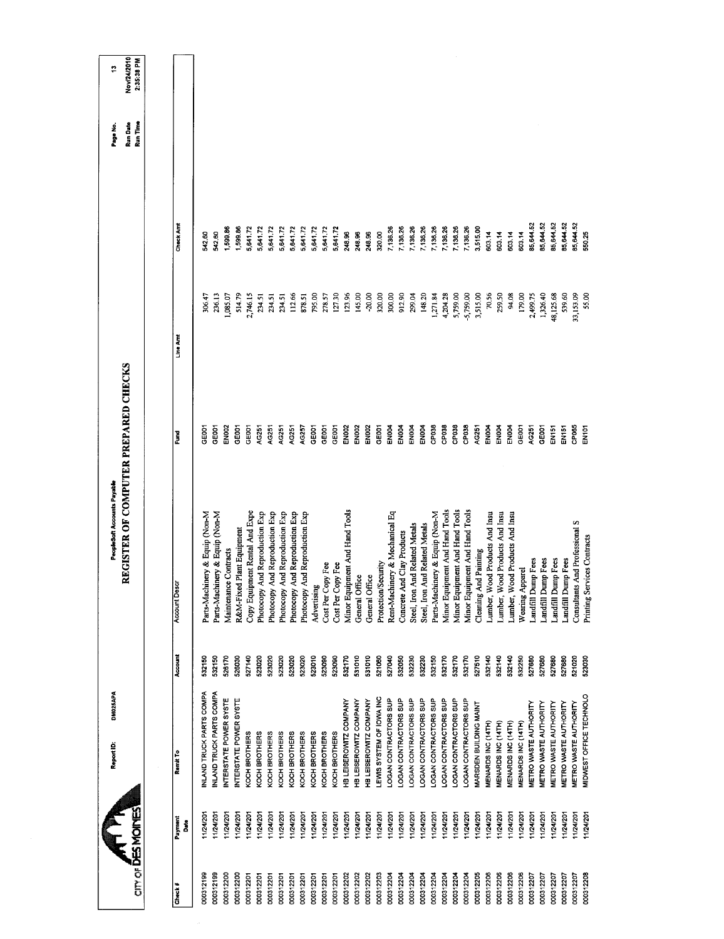|                         |              | DM025APA<br>Report ID:        |         | REGISTER OF COMPUTER PREPARED CHECKS<br>PeopleSoft Accounts Payable |                   |           | Page No.             | ÷                         |  |
|-------------------------|--------------|-------------------------------|---------|---------------------------------------------------------------------|-------------------|-----------|----------------------|---------------------------|--|
| om of <b>DES MOINES</b> |              |                               |         |                                                                     |                   |           | Run Time<br>Run Date | Nov/24/2010<br>2:35:38 PM |  |
|                         |              |                               |         |                                                                     |                   |           |                      |                           |  |
| Check#                  | Payment<br>å | Remit To                      | Account | <b>Account Descr</b>                                                | š                 | Line Amt  | Check Arnt           |                           |  |
| 000312199               | 11/24/201    | INLAND TRUCK PARTS COMPA      | 532150  | Parts-Machinery & Equip (Non-M                                      | <b>GEOOT</b>      | 306.47    | 542.60               |                           |  |
| 000312199               | 1/24/201     | NLAND TRUCK PARTS COMPA       | 532150  | Parts-Machinery & Equip (Non-M                                      | CHEOOT            | 236.13    | 542.60               |                           |  |
| 000312200               | 11/24/201    | INTERSTATE POWER SYSTE        | 526170  | Maintenance Contracts                                               | EN002             | 1,085.07  | 1,599.86             |                           |  |
| 000312200               | 11/24/201    | INTERSTATE POWER SYSTE        | 526030  | R&M-Fixed Plant Equipment                                           | GE001             | 514.79    | 1,599.86             |                           |  |
| 000312201               | 1/24/201     | KOCH BROTHERS                 | 527140  | Copy Equipment Rental And Expe                                      | GEOOT             | 2,746.15  | 5,641.72             |                           |  |
| 000312201               | 11/24/201    | KOCH BROTHERS                 | 523020  | And Reproduction Exp<br>Photocopy                                   | AG251             | 234.51    | 5,641.72             |                           |  |
| 000312201               | 11/24/201    | KOCH BROTHERS                 | 523020  | And Reproduction Exp<br>Photocopy                                   | AG251             | 234.51    | 5,641.72             |                           |  |
| 000312201               | 11/24/201    | KOCH BROTHERS                 | 523020  | And Reproduction Exp<br>Photocopy                                   | AC251             | 234.51    | 5,641.72             |                           |  |
| 000312201               | 11/24/201    | KOCH BROTHERS                 | 523020  | And Reproduction Exp<br>Photocopy                                   | AG251             | 112.66    | 5,641.72             |                           |  |
| 000312201               | 1/24/201     | KOCH BROTHERS                 | 523020  | And Reproduction Exp<br>Photocopy                                   | AC257             | 878.51    | 5,641.72             |                           |  |
| 000312201               | 11/24/201    | KOCH BROTHERS                 | 523010  | Advertising                                                         | GE001             | 795.00    | 5,641.72             |                           |  |
| 000312201               | 11/24/201    | KOCH BROTHERS                 | 523090  | Cost Per Copy Fee                                                   | GE001             | 278.57    | 5,641.72             |                           |  |
| 000312201               | 11/24/201    | KOCH BROTHERS                 | 523090  | Cost Per Copy Fee                                                   | GE001             | 127.30    | 5,641.72             |                           |  |
| 000312202               | 11/24/201    | HB LEISEROWITZ COMPANY        | 532170  | Minor Equipment And Hand Tools                                      | <b>EN002</b>      | 12396     | 248.96               |                           |  |
| 000312202               | 1/24/201     | <b>HB LEISEROWITZ COMPANY</b> | 531010  | General Office                                                      | <b>EN002</b>      | 145,00    | 248.96               |                           |  |
| 000312202               | 11/24/201    | HB LEISEROWITZ COMPANY        | 531010  | General Office                                                      | EN <sub>DO2</sub> | $-20,00$  | 248.96               |                           |  |
| 000312203               | 11/24/201    | LEWIS SYSTEM OF IOWA INC      | 521060  | Protection/Security                                                 | GEDOT             | 320,00    | 320.00               |                           |  |
| 000312204               | 11/24/201    | OGAN CONTRACTORS SUP          | 527040  | Rent-Machinery & Mechanical Eq                                      | EN004             | 300.00    | 7,136.26             |                           |  |
| 000312204               | 11/24/201    | LOGAN CONTRACTORS SUP         | 532050  | Concrete And Clay Products                                          | EN <sub>DO</sub>  | 912.90    | 7,136.26             |                           |  |
| 000312204               | 11/24/201    | OGAN CONTRACTORS SUP          | 532230  | Steel, Iron And Related Metals                                      | EN <sub>004</sub> | 299.04    | 7,136.26             |                           |  |
| 000312204               | 11/24/201    | OGAN CONTRACTORS SUP          | 532230  | Steel, Iron And Related Metals                                      | EN004             | 148.20    | 7,136.26             |                           |  |
| 000312204               | 11/24/201    | LOGAN CONTRACTORS SUP         | 532150  | Parts-Machinery & Equip (Non-M                                      | CP038             | 1,271.84  | 7,136.26             |                           |  |
| 000312204               | 1/24/201     | OGAN CONTRACTORS SUP          | 532170  | Minor Equipment And Hand Tools                                      | CP038             | 4,204.28  | 7,136.26             |                           |  |
| 000312204               | 11/24/201    | LOGAN CONTRACTORS SUP         | 532170  | Minor Equipment And Hand Tools                                      | CP038             | 5,759.00  | 7,136.26             |                           |  |
| 000312204               | 11/24/201    | LOGAN CONTRACTORS SUP         | 532170  | Minor Equipment And Hand Tools                                      | CP038             | 5,759.00  | 7,136.26             |                           |  |
| 000312205               | 11/24/201    | MARSDEN BUILDING MAINT        | 527510  | Cleaning And Painting                                               | AG251             | 3,515.00  | 3,515.00             |                           |  |
| 000312206               | 11/24/201    | MENARDS INC (14TH)            | 532140  | Lumber, Wood Products And Insu                                      | EN004             | 70.56     | 603.14               |                           |  |
| 000312206               | 11/24/201    | MENARDS INC (14TH)            | 532140  | Lumber, Wood Products And Insu                                      | ENDOA             | 259.50    | 603.14               |                           |  |
| 000312206               | 11/24/201    | MENARDS INC (14TH)            | 532140  | Lumber, Wood Products And Insu                                      | EN004             | 94.08     | 603.14               |                           |  |
| 000312206               | 11/24/201    | MENARDS INC (14TH)            | 532250  | Wearing Apparel                                                     | GE001             | 179.00    | 603.14               |                           |  |
| 000312207               | 1/24/201     | <b>METRO WASTE AUTHORITY</b>  | 527680  | <b>Landfill Dump Fees</b>                                           | AG251             | 2,499.75  | 85,644.52            |                           |  |
| 000312207               | 11/24/201    | <b>METRO WASTE AUTHORITY</b>  | 527680  | Landfill Dump Fees                                                  | GE001             | 1,326.40  | 85,644.52            |                           |  |
| 000312207               | 11/24/201    | <b>METRO WASTE AUTHORITY</b>  | 527680  | Landfill Dump Fees                                                  | EN151             | 48,125.68 | 35,644.52            |                           |  |
| 000312207               | 11/24/201    | <b>METRO WASTE AUTHORITY</b>  | 527680  | <b>Landfill Dump Fees</b>                                           | EN151             | \$39.60   | 35,644.52            |                           |  |
| 000312207               | 11/24/201    | METRO WASTE AUTHORITY         | 521020  | Consultants And Professional S                                      | CP065             | 33,153.09 | 35,644.52            |                           |  |
| 000312208               | 11/24/201    | MIDWEST OFFICE TECHNOLO       | 523030  | Printing Services Contracts                                         | EN <sub>101</sub> | 55.00     | 550.25               |                           |  |
|                         |              |                               |         |                                                                     |                   |           |                      |                           |  |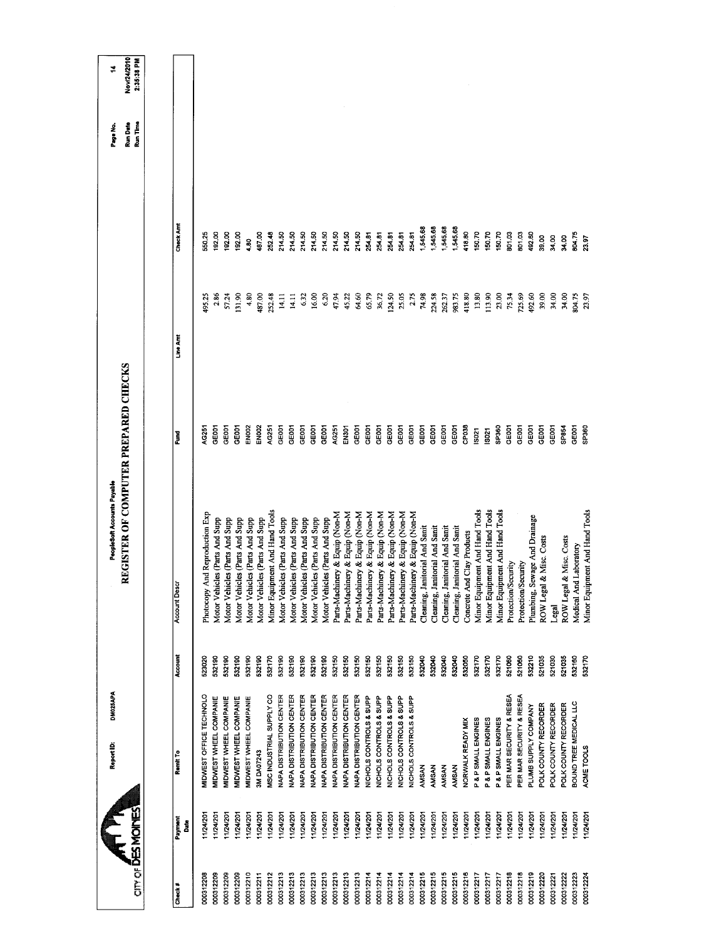| $CITCIF$ DES MOINES |                                 |         | REGISTER OF COMPUTER PREPARED CHECKS |                   |         |               | Run Time<br>Run Date | Nov/24/2010<br>2:35:38 PM |
|---------------------|---------------------------------|---------|--------------------------------------|-------------------|---------|---------------|----------------------|---------------------------|
|                     |                                 |         |                                      |                   |         |               |                      |                           |
|                     |                                 |         |                                      |                   |         |               |                      |                           |
| Payment<br>å        | Remit To                        | Account | <b>Account Descr</b>                 | Į                 | Line Am | Check Am      |                      |                           |
| 124/201             | MIDWEST OFFICE TECHNOLO         | 523020  | And Reproduction Exp<br>Photocopy    | AG251             | 195.25  | 550,25        |                      |                           |
| 1/24/201            | MIDWEST WHEEL COMPANIE          | 532190  | Motor Vehicles (Parts And Supp       | beas              | 2.86    | 192,00        |                      |                           |
| 1/24/201            | <b>MIDWEST WHEEL COMPANIE</b>   | 532190  | Motor Vehicles (Parts And Supp       | <b>GOOT</b>       | 57.24   | 192.00        |                      |                           |
| 1/24/201            | MIDWEST WHEEL COMPANIE          | 532190  | Motor Vehicles (Parts And Supp       | GE001             | 131.90  | 192.00        |                      |                           |
| 11/24/201           | MIDWEST WHEEL COMPANIE          | 532190  | Motor Vehicles (Parts And Supp       | EN <sub>002</sub> | 4.80    | $\frac{8}{4}$ |                      |                           |
| 1/24/201            | <b>3M DA07243</b>               | 532190  | Motor Vehicles (Parts And Supp       | EN <sub>002</sub> | 487.00  | 487.00        |                      |                           |
|                     | MSC INDUSTRIAL SUPPLY CO        | 532170  | Minor Equipment And Hand Tools       | AG251             | 252.48  | 252.48        |                      |                           |
| 11/24/201           | NAPA DISTRIBUTION CENTER        | 532190  | Motor Vehicles (Parts And Supp       | GEOOT             | 14.11   | 214.50        |                      |                           |
| 1/24/201            | <b>VAPA DISTRIBUTION CENTER</b> | 532190  | Motor Vehicles (Parts And Supp       | GE001             | 14.11   | 214.50        |                      |                           |
| 124/201             | <b>NAPA DISTRIBUTION CENTER</b> | 532190  | Motor Vehicles (Parts And Supp       | GE001             | 632     | 214.50        |                      |                           |
| 11/24/201           | <b>NAPA DISTRIBUTION CENTER</b> | 532190  | Motor Vehicles (Parts And Supp       | GEOOT             | 16.00   | 214.50        |                      |                           |
| 11/24/201           | <b>NAPA DISTRIBUTION CENTER</b> | 532190  | Motor Vehicles (Parts And Supp       | GE001             | 6.20    | 214.50        |                      |                           |
| 11/24/201           | NAPA DISTRIBUTION CENTER        | 532150  | Parts-Machinery & Equip (Non-M       | AG251             | 47.94   | 214.50        |                      |                           |
| 1/24/201            | <b>VAPA DISTRIBUTION CENTER</b> | 532150  | Parts-Machinery & Equip (Non-M       | EN301             | 45.22   | 214.50        |                      |                           |
|                     | <b>NAPA DISTRIBUTION CENTER</b> | 532150  | Parts-Machinery & Equip (Non-M       | GE001             | 64.60   | 214.50        |                      |                           |
|                     | NICHOLS CONTROLS & SUPP         | 532150  | Parts-Machinery & Equip (Non-M       | GEOOT             | 65.79   | 254.81        |                      |                           |
| 1/24/201            | NICHOLS CONTROLS & SUPP         | 532150  | Parts-Machinery & Equip (Non-M       | GE001             | 36.72   | 254.81        |                      |                           |
| 11/24/201           | NICHOLS CONTROLS & SUPP         | 532150  | Parts-Machinery & Equip (Non-M       | GE001             | 124.50  | 254.81        |                      |                           |
| 11/24/201           | NICHOLS CONTROLS & SUPP         | 532150  | Parts-Machinery & Equip (Non-M       | GE001             | 25.05   | 254.81        |                      |                           |
| 11/24/201           | NICHOLS CONTROLS & SUPP         | 532150  | Parts-Machinery & Equip (Non-M       | <b>GEOOT</b>      | 2.75    | 254.81        |                      |                           |
| 11/24/201           | <b>AMSAN</b>                    | 532040  | anitorial And Sanit<br>Cleaning, J   | GEOOT             | 74.98   | 1,545.68      |                      |                           |
| 11/24/201           | <b>AMSAN</b>                    | 532040  | anitorial And Sanit<br>Cleaning, J   | GE001             | 224.58  | 1,545.68      |                      |                           |
| 11/24/201           | AMSAN                           | 532040  | anitorial And Sanit<br>Cleaning, J   | <b>GEOOT</b>      | 262.37  | 545.68        |                      |                           |
| 11/24/201           | AMSAN                           | 532040  | anitorial And Sanit<br>Cleaning, J   | GE001             | 983.75  | 545.68        |                      |                           |
| 1/24/201            | NORWALK READY MIX               | 532050  | Concrete And Clay Products           | CP038             | 418.80  | 118.80        |                      |                           |
| 11/24/201           | P & P SMALL ENGINES             | 532170  | Minor Equipment And Hand Tools       | IS021             | 13.80   | 150.70        |                      |                           |
| 11/24/201           | P & P SMALL ENGINES             | 532170  | Minor Equipment And Hand Tools       | <b>S021</b>       | 113.90  | 150.70        |                      |                           |
|                     | P & P SMALL ENGINES             | 532170  | Minor Equipment And Hand Tools       | SP360             | 23.00   | 150.70        |                      |                           |
| 11/24/201           | PER MAR SECURITY & RESEA        | 521060  | Protection/Security                  | GE001             | 75.34   | 801.03        |                      |                           |
| 11/24/201           | PER MAR SECURITY & RESEA        | 521060  | Protection/Security                  | GEOOT             | 725.69  | 801.03        |                      |                           |
| 11/24/201           | PLUMB SUPPLY COMPANY            | 532210  | Plumbing, Sewage And Drainage        | GEOCI             | 492.60  | 492.60        |                      |                           |
| 11/24/201           | POLK COUNTY RECORDER            | 521035  | ROW Legal & Misc. Costs              | <b>GEOOT</b>      | 39.00   | 39.00         |                      |                           |
| 11/24/201           | POLK COUNTY RECORDER            | 521030  | Legal                                | <b>GEOOT</b>      | 34.00   | 34.00         |                      |                           |
| 11/24/201           | POLK COUNTY RECORDER            | 521035  | ROW Legal & Misc. Costs              | SP854             | 34.00   | 34.00         |                      |                           |
| 11/24/201           | <b>SOUND TREE MEDICAL LLC</b>   | 532160  | Medical And Laboratory               | GEOOT             | 304.75  | 804.75        |                      |                           |
| 1124/201            |                                 |         |                                      |                   |         |               |                      |                           |